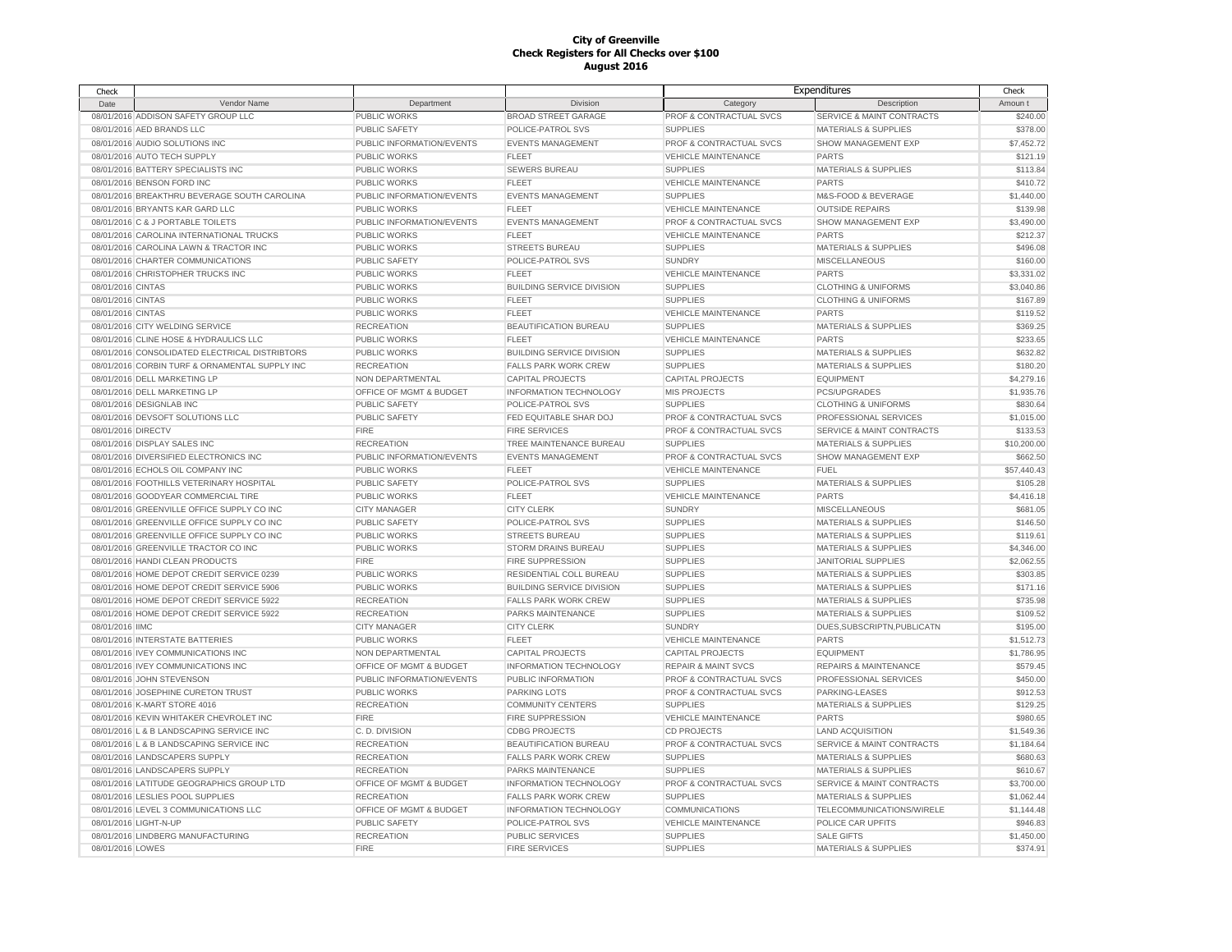| Check              |                                                                        |                           |                                                     |                                | Expenditures                         | Check                   |
|--------------------|------------------------------------------------------------------------|---------------------------|-----------------------------------------------------|--------------------------------|--------------------------------------|-------------------------|
| Date               | Vendor Name                                                            | Department                | Division                                            | Category                       | Description                          | Amoun t                 |
|                    | 08/01/2016 ADDISON SAFETY GROUP LLC                                    | PUBLIC WORKS              | <b>BROAD STREET GARAGE</b>                          | PROF & CONTRACTUAL SVCS        | SERVICE & MAINT CONTRACTS            | \$240.00                |
|                    | 08/01/2016 AED BRANDS LLC                                              | <b>PUBLIC SAFETY</b>      | POLICE-PATROL SVS                                   | <b>SUPPLIES</b>                | <b>MATERIALS &amp; SUPPLIES</b>      | \$378.00                |
|                    | 08/01/2016 AUDIO SOLUTIONS INC                                         | PUBLIC INFORMATION/EVENTS | <b>EVENTS MANAGEMENT</b>                            | PROF & CONTRACTUAL SVCS        | SHOW MANAGEMENT EXP                  | \$7,452.72              |
|                    | 08/01/2016 AUTO TECH SUPPLY                                            | <b>PUBLIC WORKS</b>       | <b>FLEET</b>                                        | <b>VEHICLE MAINTENANCE</b>     | PARTS                                | \$121.19                |
|                    | 08/01/2016 BATTERY SPECIALISTS INC                                     | PUBLIC WORKS              | SEWERS BUREAU                                       | <b>SUPPLIES</b>                | MATERIALS & SUPPLIES                 | \$113.84                |
|                    | 08/01/2016 BENSON FORD INC                                             | PUBLIC WORKS              | <b>FLEET</b>                                        | VEHICLE MAINTENANCE            | <b>PARTS</b>                         | \$410.72                |
|                    | 08/01/2016 BREAKTHRU BEVERAGE SOUTH CAROLINA                           | PUBLIC INFORMATION/EVENTS | <b>EVENTS MANAGEMENT</b>                            | <b>SUPPLIES</b>                | M&S-FOOD & BEVERAGE                  | \$1,440.00              |
|                    | 08/01/2016 BRYANTS KAR GARD LLC                                        | PUBLIC WORKS              | <b>FLEET</b>                                        | <b>VEHICLE MAINTENANCE</b>     | <b>OUTSIDE REPAIRS</b>               | \$139.98                |
|                    | 08/01/2016 C & J PORTABLE TOILETS                                      | PUBLIC INFORMATION/EVENTS | <b>EVENTS MANAGEMENT</b>                            | PROF & CONTRACTUAL SVCS        | SHOW MANAGEMENT EXP                  | \$3,490.00              |
|                    | 08/01/2016 CAROLINA INTERNATIONAL TRUCKS                               | <b>PUBLIC WORKS</b>       | <b>FLEET</b>                                        | <b>VEHICLE MAINTENANCE</b>     | <b>PARTS</b>                         | \$212.37                |
|                    | 08/01/2016 CAROLINA LAWN & TRACTOR INC                                 | <b>PUBLIC WORKS</b>       | <b>STREETS BUREAU</b>                               | <b>SUPPLIES</b>                | <b>MATERIALS &amp; SUPPLIES</b>      | \$496.08                |
|                    | 08/01/2016 CHARTER COMMUNICATIONS                                      | PUBLIC SAFETY             | POLICE-PATROL SVS                                   | <b>SUNDRY</b>                  | <b>MISCELLANEOUS</b>                 | \$160.00                |
|                    | 08/01/2016 CHRISTOPHER TRUCKS INC                                      | PUBLIC WORKS              | <b>FLEET</b>                                        | <b>VEHICLE MAINTENANCE</b>     | <b>PARTS</b>                         | \$3,331.02              |
| 08/01/2016 CINTAS  |                                                                        | <b>PUBLIC WORKS</b>       | <b>BUILDING SERVICE DIVISION</b>                    | <b>SUPPLIES</b>                | <b>CLOTHING &amp; UNIFORMS</b>       | \$3,040.86              |
| 08/01/2016 CINTAS  |                                                                        | <b>PUBLIC WORKS</b>       | <b>FLEET</b>                                        | <b>SUPPLIES</b>                | <b>CLOTHING &amp; UNIFORMS</b>       | \$167.89                |
| 08/01/2016 CINTAS  |                                                                        | PUBLIC WORKS              | <b>FLEET</b>                                        | <b>VEHICLE MAINTENANCE</b>     | PARTS                                | \$119.52                |
|                    | 08/01/2016 CITY WELDING SERVICE                                        | <b>RECREATION</b>         | BEAUTIFICATION BUREAU                               | <b>SUPPLIES</b>                | MATERIALS & SUPPLIES                 | \$369.25                |
|                    | 08/01/2016 CLINE HOSE & HYDRAULICS LLC                                 | PUBLIC WORKS              | <b>FLEET</b>                                        | VEHICLE MAINTENANCE            | <b>PARTS</b>                         | \$233.65                |
|                    | 08/01/2016 CONSOLIDATED ELECTRICAL DISTRIBTORS                         | <b>PUBLIC WORKS</b>       | <b>BUILDING SERVICE DIVISION</b>                    | <b>SUPPLIES</b>                | <b>MATERIALS &amp; SUPPLIES</b>      | \$632.82                |
|                    | 08/01/2016 CORBIN TURF & ORNAMENTAL SUPPLY INC                         | <b>RECREATION</b>         | <b>FALLS PARK WORK CREW</b>                         | <b>SUPPLIES</b>                | <b>MATERIALS &amp; SUPPLIES</b>      | \$180.20                |
|                    | 08/01/2016 DELL MARKETING LP                                           | NON DEPARTMENTAL          | <b>CAPITAL PROJECTS</b>                             | <b>CAPITAL PROJECTS</b>        | <b>EQUIPMENT</b>                     | \$4,279.16              |
|                    | 08/01/2016 DELL MARKETING LP                                           | OFFICE OF MGMT & BUDGET   | INFORMATION TECHNOLOGY                              | <b>MIS PROJECTS</b>            | <b>PCS/UPGRADES</b>                  | \$1,935.76              |
|                    | 08/01/2016 DESIGNLAB INC                                               | <b>PUBLIC SAFETY</b>      | POLICE-PATROL SVS                                   | <b>SUPPLIES</b>                | <b>CLOTHING &amp; UNIFORMS</b>       | \$830.64                |
|                    | 08/01/2016 DEVSOFT SOLUTIONS LLC                                       | <b>PUBLIC SAFETY</b>      | FED EQUITABLE SHAR DOJ                              | PROF & CONTRACTUAL SVCS        | PROFESSIONAL SERVICES                | \$1,015.00              |
| 08/01/2016 DIRECTV |                                                                        | <b>FIRE</b>               | <b>FIRE SERVICES</b>                                | PROF & CONTRACTUAL SVCS        | <b>SERVICE &amp; MAINT CONTRACTS</b> | \$133.53                |
|                    |                                                                        |                           |                                                     |                                |                                      |                         |
|                    | 08/01/2016 DISPLAY SALES INC<br>08/01/2016 DIVERSIFIED ELECTRONICS INC | <b>RECREATION</b>         | TREE MAINTENANCE BUREAU<br><b>EVENTS MANAGEMENT</b> | <b>SUPPLIES</b>                | <b>MATERIALS &amp; SUPPLIES</b>      | \$10,200.00<br>\$662.50 |
|                    |                                                                        | PUBLIC INFORMATION/EVENTS |                                                     | PROF & CONTRACTUAL SVCS        | SHOW MANAGEMENT EXP                  |                         |
|                    | 08/01/2016 ECHOLS OIL COMPANY INC                                      | PUBLIC WORKS              | <b>FLEET</b>                                        | <b>VEHICLE MAINTENANCE</b>     | <b>FUEL</b>                          | \$57,440.43             |
|                    | 08/01/2016 FOOTHILLS VETERINARY HOSPITAL                               | PUBLIC SAFETY             | POLICE-PATROL SVS                                   | <b>SUPPLIES</b>                | MATERIALS & SUPPLIES                 | \$105.28                |
|                    | 08/01/2016 GOODYEAR COMMERCIAL TIRE                                    | PUBLIC WORKS              | <b>FLEET</b>                                        | VEHICLE MAINTENANCE            | <b>PARTS</b>                         | \$4,416.18              |
|                    | 08/01/2016 GREENVILLE OFFICE SUPPLY CO INC                             | <b>CITY MANAGER</b>       | <b>CITY CLERK</b>                                   | <b>SUNDRY</b>                  | MISCELLANEOUS                        | \$681.05                |
|                    | 08/01/2016 GREENVILLE OFFICE SUPPLY CO INC                             | <b>PUBLIC SAFETY</b>      | POLICE-PATROL SVS                                   | <b>SUPPLIES</b>                | <b>MATERIALS &amp; SUPPLIES</b>      | \$146.50                |
|                    | 08/01/2016 GREENVILLE OFFICE SUPPLY CO INC                             | <b>PUBLIC WORKS</b>       | <b>STREETS BUREAU</b>                               | <b>SUPPLIES</b>                | <b>MATERIALS &amp; SUPPLIES</b>      | \$119.61                |
|                    | 08/01/2016 GREENVILLE TRACTOR CO INC                                   | <b>PUBLIC WORKS</b>       | <b>STORM DRAINS BUREAU</b>                          | <b>SUPPLIES</b>                | <b>MATERIALS &amp; SUPPLIES</b>      | \$4,346.00              |
|                    | 08/01/2016 HANDI CLEAN PRODUCTS                                        | <b>FIRE</b>               | <b>FIRE SUPPRESSION</b>                             | <b>SUPPLIES</b>                | <b>JANITORIAL SUPPLIES</b>           | \$2,062.55              |
|                    | 08/01/2016 HOME DEPOT CREDIT SERVICE 0239                              | <b>PUBLIC WORKS</b>       | <b>RESIDENTIAL COLL BUREAU</b>                      | <b>SUPPLIES</b>                | <b>MATERIALS &amp; SUPPLIES</b>      | \$303.85                |
|                    | 08/01/2016 HOME DEPOT CREDIT SERVICE 5906                              | <b>PUBLIC WORKS</b>       | <b>BUILDING SERVICE DIVISION</b>                    | <b>SUPPLIES</b>                | <b>MATERIALS &amp; SUPPLIES</b>      | \$171.16                |
|                    | 08/01/2016 HOME DEPOT CREDIT SERVICE 5922                              | <b>RECREATION</b>         | <b>FALLS PARK WORK CREW</b>                         | <b>SUPPLIES</b>                | <b>MATERIALS &amp; SUPPLIES</b>      | \$735.98                |
|                    | 08/01/2016 HOME DEPOT CREDIT SERVICE 5922                              | <b>RECREATION</b>         | PARKS MAINTENANCE                                   | <b>SUPPLIES</b>                | <b>MATERIALS &amp; SUPPLIES</b>      | \$109.52                |
| 08/01/2016 IIMC    |                                                                        | <b>CITY MANAGER</b>       | <b>CITY CLERK</b>                                   | <b>SUNDRY</b>                  | DUES, SUBSCRIPTN, PUBLICATN          | \$195.00                |
|                    | 08/01/2016 INTERSTATE BATTERIES                                        | PUBLIC WORKS              | <b>FLEET</b>                                        | VEHICLE MAINTENANCE            | <b>PARTS</b>                         | \$1,512.73              |
|                    | 08/01/2016 IVEY COMMUNICATIONS INC                                     | NON DEPARTMENTAL          | CAPITAL PROJECTS                                    | CAPITAL PROJECTS               | <b>EQUIPMENT</b>                     | \$1,786.95              |
|                    | 08/01/2016 IVEY COMMUNICATIONS INC                                     | OFFICE OF MGMT & BUDGET   | INFORMATION TECHNOLOGY                              | <b>REPAIR &amp; MAINT SVCS</b> | <b>REPAIRS &amp; MAINTENANCE</b>     | \$579.45                |
|                    | 08/01/2016 JOHN STEVENSON                                              | PUBLIC INFORMATION/EVENTS | PUBLIC INFORMATION                                  | PROF & CONTRACTUAL SVCS        | PROFESSIONAL SERVICES                | \$450.00                |
|                    | 08/01/2016 JOSEPHINE CURETON TRUST                                     | PUBLIC WORKS              | <b>PARKING LOTS</b>                                 | PROF & CONTRACTUAL SVCS        | PARKING-LEASES                       | \$912.53                |
|                    | 08/01/2016 K-MART STORE 4016                                           | <b>RECREATION</b>         | <b>COMMUNITY CENTERS</b>                            | <b>SUPPLIES</b>                | <b>MATERIALS &amp; SUPPLIES</b>      | \$129.25                |
|                    | 08/01/2016 KEVIN WHITAKER CHEVROLET INC                                | <b>FIRE</b>               | <b>FIRE SUPPRESSION</b>                             | <b>VEHICLE MAINTENANCE</b>     | <b>PARTS</b>                         | \$980.65                |
|                    | 08/01/2016 L & B LANDSCAPING SERVICE INC                               | C.D. DIVISION             | <b>CDBG PROJECTS</b>                                | <b>CD PROJECTS</b>             | <b>LAND ACQUISITION</b>              | \$1,549.36              |
|                    | 08/01/2016 L & B LANDSCAPING SERVICE INC                               | <b>RECREATION</b>         | BEAUTIFICATION BUREAU                               | PROF & CONTRACTUAL SVCS        | <b>SERVICE &amp; MAINT CONTRACTS</b> | \$1,184.64              |
|                    | 08/01/2016 LANDSCAPERS SUPPLY                                          | <b>RECREATION</b>         | <b>FALLS PARK WORK CREW</b>                         | <b>SUPPLIES</b>                | <b>MATERIALS &amp; SUPPLIES</b>      | \$680.63                |
|                    | 08/01/2016 LANDSCAPERS SUPPLY                                          | <b>RECREATION</b>         | PARKS MAINTENANCE                                   | <b>SUPPLIES</b>                | <b>MATERIALS &amp; SUPPLIES</b>      | \$610.67                |
|                    | 08/01/2016 LATITUDE GEOGRAPHICS GROUP LTD                              | OFFICE OF MGMT & BUDGET   | <b>INFORMATION TECHNOLOGY</b>                       | PROF & CONTRACTUAL SVCS        | SERVICE & MAINT CONTRACTS            | \$3,700.00              |
|                    | 08/01/2016 LESLIES POOL SUPPLIES                                       | <b>RECREATION</b>         | <b>FALLS PARK WORK CREW</b>                         | <b>SUPPLIES</b>                | MATERIALS & SUPPLIES                 | \$1,062.44              |
|                    | 08/01/2016 LEVEL 3 COMMUNICATIONS LLC                                  | OFFICE OF MGMT & BUDGET   | <b>INFORMATION TECHNOLOGY</b>                       | <b>COMMUNICATIONS</b>          | TELECOMMUNICATIONS/WIRELE            | \$1,144.48              |
|                    | 08/01/2016 LIGHT-N-UP                                                  | <b>PUBLIC SAFETY</b>      | POLICE-PATROL SVS                                   | <b>VEHICLE MAINTENANCE</b>     | POLICE CAR UPFITS                    | \$946.83                |
|                    | 08/01/2016 LINDBERG MANUFACTURING                                      | <b>RECREATION</b>         | <b>PUBLIC SERVICES</b>                              | <b>SUPPLIES</b>                | <b>SALE GIFTS</b>                    | \$1,450.00              |
| 08/01/2016 LOWES   |                                                                        | <b>FIRE</b>               | <b>FIRE SERVICES</b>                                | <b>SUPPLIES</b>                | <b>MATERIALS &amp; SUPPLIES</b>      | \$374.91                |
|                    |                                                                        |                           |                                                     |                                |                                      |                         |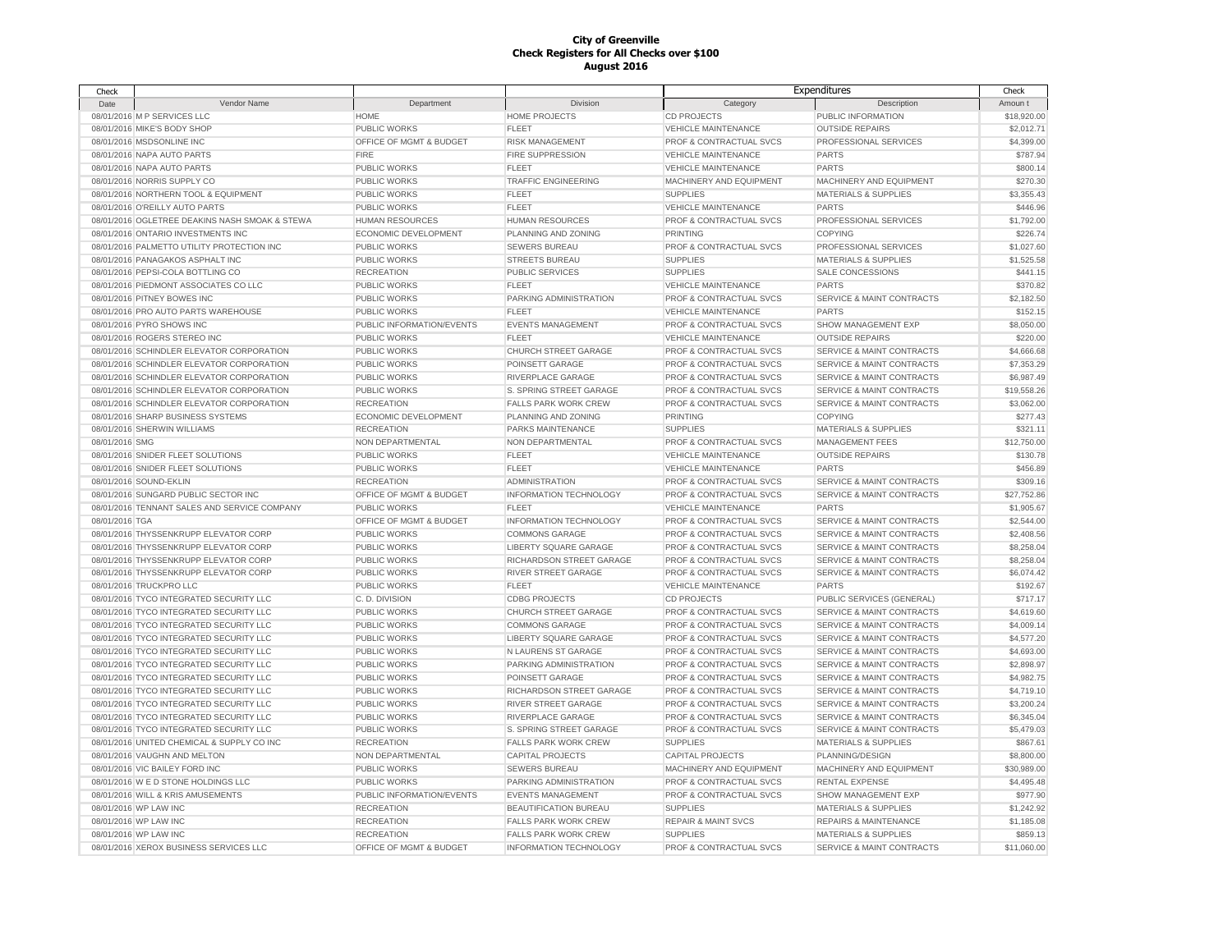| Check          |                                                |                           |                               |                                    | Expenditures                         | Check       |
|----------------|------------------------------------------------|---------------------------|-------------------------------|------------------------------------|--------------------------------------|-------------|
| Date           | Vendor Name                                    | Department                | Division                      | Category                           | Description                          | Amoun t     |
|                | 08/01/2016 M P SERVICES LLC                    | <b>HOME</b>               | <b>HOME PROJECTS</b>          | <b>CD PROJECTS</b>                 | PUBLIC INFORMATION                   | \$18,920.00 |
|                | 08/01/2016 MIKE'S BODY SHOP                    | PUBLIC WORKS              | <b>FLEET</b>                  | <b>VEHICLE MAINTENANCE</b>         | <b>OUTSIDE REPAIRS</b>               | \$2,012.71  |
|                | 08/01/2016 MSDSONLINE INC                      | OFFICE OF MGMT & BUDGET   | <b>RISK MANAGEMENT</b>        | PROF & CONTRACTUAL SVCS            | PROFESSIONAL SERVICES                | \$4,399.00  |
|                | 08/01/2016 NAPA AUTO PARTS                     | <b>FIRE</b>               | FIRE SUPPRESSION              | <b>VEHICLE MAINTENANCE</b>         | <b>PARTS</b>                         | \$787.94    |
|                | 08/01/2016 NAPA AUTO PARTS                     | <b>PUBLIC WORKS</b>       | <b>FLEET</b>                  | <b>VEHICLE MAINTENANCE</b>         | <b>PARTS</b>                         | \$800.14    |
|                | 08/01/2016 NORRIS SUPPLY CO                    | <b>PUBLIC WORKS</b>       | <b>TRAFFIC ENGINEERING</b>    | MACHINERY AND EQUIPMENT            | MACHINERY AND EQUIPMENT              | \$270.30    |
|                | 08/01/2016 NORTHERN TOOL & EQUIPMENT           | <b>PUBLIC WORKS</b>       | <b>FLEET</b>                  | <b>SUPPLIES</b>                    | <b>MATERIALS &amp; SUPPLIES</b>      | \$3,355.43  |
|                | 08/01/2016 O'REILLY AUTO PARTS                 | <b>PUBLIC WORKS</b>       | <b>FLEET</b>                  | <b>VEHICLE MAINTENANCE</b>         | <b>PARTS</b>                         | \$446.96    |
|                | 08/01/2016 OGLETREE DEAKINS NASH SMOAK & STEWA | <b>HUMAN RESOURCES</b>    | <b>HUMAN RESOURCES</b>        | PROF & CONTRACTUAL SVCS            | PROFESSIONAL SERVICES                | \$1,792.00  |
|                | 08/01/2016 ONTARIO INVESTMENTS INC             | ECONOMIC DEVELOPMENT      | PLANNING AND ZONING           | <b>PRINTING</b>                    | <b>COPYING</b>                       | \$226.74    |
|                | 08/01/2016 PALMETTO UTILITY PROTECTION INC     | <b>PUBLIC WORKS</b>       | <b>SEWERS BUREAU</b>          | PROF & CONTRACTUAL SVCS            | PROFESSIONAL SERVICES                | \$1,027.60  |
|                | 08/01/2016 PANAGAKOS ASPHALT INC               | PUBLIC WORKS              | <b>STREETS BUREAU</b>         | <b>SUPPLIES</b>                    | <b>MATERIALS &amp; SUPPLIES</b>      | \$1,525.58  |
|                | 08/01/2016 PEPSI-COLA BOTTLING CO              | <b>RECREATION</b>         | PUBLIC SERVICES               | <b>SUPPLIES</b>                    | SALE CONCESSIONS                     | \$441.15    |
|                | 08/01/2016 PIEDMONT ASSOCIATES CO LLC          | PUBLIC WORKS              | <b>FLEET</b>                  | <b>VEHICLE MAINTENANCE</b>         | <b>PARTS</b>                         | \$370.82    |
|                | 08/01/2016 PITNEY BOWES INC                    | PUBLIC WORKS              | PARKING ADMINISTRATION        | PROF & CONTRACTUAL SVCS            | SERVICE & MAINT CONTRACTS            | \$2,182.50  |
|                | 08/01/2016 PRO AUTO PARTS WAREHOUSE            | PUBLIC WORKS              | <b>FLEET</b>                  | <b>VEHICLE MAINTENANCE</b>         | PARTS                                | \$152.15    |
|                | 08/01/2016 PYRO SHOWS INC                      | PUBLIC INFORMATION/EVENTS | <b>EVENTS MANAGEMENT</b>      | PROF & CONTRACTUAL SVCS            | SHOW MANAGEMENT EXP                  | \$8,050.00  |
|                | 08/01/2016 ROGERS STEREO INC                   | PUBLIC WORKS              | <b>FLEET</b>                  | <b>VEHICLE MAINTENANCE</b>         | <b>OUTSIDE REPAIRS</b>               | \$220.00    |
|                | 08/01/2016 SCHINDLER ELEVATOR CORPORATION      | PUBLIC WORKS              | CHURCH STREET GARAGE          | PROF & CONTRACTUAL SVCS            | <b>SERVICE &amp; MAINT CONTRACTS</b> | \$4,666.68  |
|                | 08/01/2016 SCHINDLER ELEVATOR CORPORATION      | <b>PUBLIC WORKS</b>       | POINSETT GARAGE               | PROF & CONTRACTUAL SVCS            | <b>SERVICE &amp; MAINT CONTRACTS</b> | \$7,353.29  |
|                | 08/01/2016 SCHINDLER ELEVATOR CORPORATION      | PUBLIC WORKS              | RIVERPLACE GARAGE             | PROF & CONTRACTUAL SVCS            | SERVICE & MAINT CONTRACTS            | \$6,987.49  |
|                | 08/01/2016 SCHINDLER ELEVATOR CORPORATION      | PUBLIC WORKS              | S. SPRING STREET GARAGE       | PROF & CONTRACTUAL SVCS            | <b>SERVICE &amp; MAINT CONTRACTS</b> | \$19,558.26 |
|                | 08/01/2016 SCHINDLER ELEVATOR CORPORATION      | <b>RECREATION</b>         | FALLS PARK WORK CREW          | PROF & CONTRACTUAL SVCS            | SERVICE & MAINT CONTRACTS            | \$3,062.00  |
|                | 08/01/2016 SHARP BUSINESS SYSTEMS              | ECONOMIC DEVELOPMENT      | PLANNING AND ZONING           | <b>PRINTING</b>                    | <b>COPYING</b>                       | \$277.43    |
|                | 08/01/2016 SHERWIN WILLIAMS                    | <b>RECREATION</b>         | PARKS MAINTENANCE             | <b>SUPPLIES</b>                    | <b>MATERIALS &amp; SUPPLIES</b>      | \$321.11    |
| 08/01/2016 SMG |                                                | NON DEPARTMENTAL          | NON DEPARTMENTAL              | PROF & CONTRACTUAL SVCS            | MANAGEMENT FEES                      | \$12,750.00 |
|                | 08/01/2016 SNIDER FLEET SOLUTIONS              | PUBLIC WORKS              | <b>FLEET</b>                  | <b>VEHICLE MAINTENANCE</b>         | <b>OUTSIDE REPAIRS</b>               | \$130.78    |
|                | 08/01/2016 SNIDER FLEET SOLUTIONS              | PUBLIC WORKS              | <b>FLEET</b>                  | <b>VEHICLE MAINTENANCE</b>         | <b>PARTS</b>                         | \$456.89    |
|                | 08/01/2016 SOUND-EKLIN                         | <b>RECREATION</b>         | <b>ADMINISTRATION</b>         | PROF & CONTRACTUAL SVCS            | SERVICE & MAINT CONTRACTS            | \$309.16    |
|                | 08/01/2016 SUNGARD PUBLIC SECTOR INC           | OFFICE OF MGMT & BUDGET   | <b>INFORMATION TECHNOLOGY</b> | PROF & CONTRACTUAL SVCS            | <b>SERVICE &amp; MAINT CONTRACTS</b> | \$27.752.86 |
|                | 08/01/2016 TENNANT SALES AND SERVICE COMPANY   | <b>PUBLIC WORKS</b>       | <b>FLEET</b>                  | <b>VEHICLE MAINTENANCE</b>         | <b>PARTS</b>                         | \$1,905.67  |
| 08/01/2016 TGA |                                                | OFFICE OF MGMT & BUDGET   | INFORMATION TECHNOLOGY        | <b>PROF &amp; CONTRACTUAL SVCS</b> | <b>SERVICE &amp; MAINT CONTRACTS</b> | \$2,544.00  |
|                | 08/01/2016 THYSSENKRUPP ELEVATOR CORP          | PUBLIC WORKS              | <b>COMMONS GARAGE</b>         | PROF & CONTRACTUAL SVCS            | SERVICE & MAINT CONTRACTS            | \$2,408.56  |
|                | 08/01/2016 THYSSENKRUPP ELEVATOR CORP          | PUBLIC WORKS              | LIBERTY SQUARE GARAGE         | PROF & CONTRACTUAL SVCS            | <b>SERVICE &amp; MAINT CONTRACTS</b> | \$8,258.04  |
|                | 08/01/2016 THYSSENKRUPP ELEVATOR CORP          | PUBLIC WORKS              | RICHARDSON STREET GARAGE      | PROF & CONTRACTUAL SVCS            | SERVICE & MAINT CONTRACTS            | \$8,258.04  |
|                | 08/01/2016 THYSSENKRUPP ELEVATOR CORP          | <b>PUBLIC WORKS</b>       | <b>RIVER STREET GARAGE</b>    | PROF & CONTRACTUAL SVCS            | SERVICE & MAINT CONTRACTS            | \$6,074.42  |
|                | 08/01/2016 TRUCKPRO LLC                        | PUBLIC WORKS              | <b>FLEET</b>                  | <b>VEHICLE MAINTENANCE</b>         | <b>PARTS</b>                         | \$192.67    |
|                | 08/01/2016 TYCO INTEGRATED SECURITY LLC        | C.D. DIVISION             | <b>CDBG PROJECTS</b>          | <b>CD PROJECTS</b>                 | PUBLIC SERVICES (GENERAL)            | \$717.17    |
|                | 08/01/2016 TYCO INTEGRATED SECURITY LLC        | <b>PUBLIC WORKS</b>       | <b>CHURCH STREET GARAGE</b>   | <b>PROF &amp; CONTRACTUAL SVCS</b> | <b>SERVICE &amp; MAINT CONTRACTS</b> | \$4,619.60  |
|                | 08/01/2016 TYCO INTEGRATED SECURITY LLC        | PUBLIC WORKS              | <b>COMMONS GARAGE</b>         | <b>PROF &amp; CONTRACTUAL SVCS</b> | <b>SERVICE &amp; MAINT CONTRACTS</b> | \$4,009.14  |
|                | 08/01/2016 TYCO INTEGRATED SECURITY LLC        | PUBLIC WORKS              | LIBERTY SQUARE GARAGE         | PROF & CONTRACTUAL SVCS            | <b>SERVICE &amp; MAINT CONTRACTS</b> | \$4,577.20  |
|                | 08/01/2016 TYCO INTEGRATED SECURITY LLC        | PUBLIC WORKS              | N LAURENS ST GARAGE           | <b>PROF &amp; CONTRACTUAL SVCS</b> | <b>SERVICE &amp; MAINT CONTRACTS</b> | \$4,693.00  |
|                | 08/01/2016 TYCO INTEGRATED SECURITY LLC        | PUBLIC WORKS              | PARKING ADMINISTRATION        | <b>PROF &amp; CONTRACTUAL SVCS</b> | <b>SERVICE &amp; MAINT CONTRACTS</b> | \$2,898.97  |
|                | 08/01/2016 TYCO INTEGRATED SECURITY LLC        | PUBLIC WORKS              | POINSETT GARAGE               | PROF & CONTRACTUAL SVCS            | SERVICE & MAINT CONTRACTS            | \$4,982.75  |
|                | 08/01/2016 TYCO INTEGRATED SECURITY LLC        | PUBLIC WORKS              | RICHARDSON STREET GARAGE      | PROF & CONTRACTUAL SVCS            | <b>SERVICE &amp; MAINT CONTRACTS</b> | \$4,719.10  |
|                | 08/01/2016 TYCO INTEGRATED SECURITY LLC        | <b>PUBLIC WORKS</b>       | <b>RIVER STREET GARAGE</b>    | PROF & CONTRACTUAL SVCS            | SERVICE & MAINT CONTRACTS            | \$3,200.24  |
|                | 08/01/2016 TYCO INTEGRATED SECURITY LLC        | <b>PUBLIC WORKS</b>       | RIVERPLACE GARAGE             | PROF & CONTRACTUAL SVCS            | <b>SERVICE &amp; MAINT CONTRACTS</b> | \$6,345.04  |
|                | 08/01/2016 TYCO INTEGRATED SECURITY LLC        | PUBLIC WORKS              | S. SPRING STREET GARAGE       | PROF & CONTRACTUAL SVCS            | <b>SERVICE &amp; MAINT CONTRACTS</b> | \$5,479.03  |
|                | 08/01/2016 UNITED CHEMICAL & SUPPLY CO INC     | <b>RECREATION</b>         | <b>FALLS PARK WORK CREW</b>   | <b>SUPPLIES</b>                    | <b>MATERIALS &amp; SUPPLIES</b>      | \$867.61    |
|                | 08/01/2016 VAUGHN AND MELTON                   | NON DEPARTMENTAL          | <b>CAPITAL PROJECTS</b>       | <b>CAPITAL PROJECTS</b>            | PLANNING/DESIGN                      | \$8,800.00  |
|                | 08/01/2016 VIC BAILEY FORD INC                 | PUBLIC WORKS              | <b>SEWERS BUREAU</b>          | MACHINERY AND EQUIPMENT            | MACHINERY AND EQUIPMENT              | \$30,989.00 |
|                | 08/01/2016 W E D STONE HOLDINGS LLC            | PUBLIC WORKS              | PARKING ADMINISTRATION        | <b>PROF &amp; CONTRACTUAL SVCS</b> | <b>RENTAL EXPENSE</b>                | \$4,495.48  |
|                | 08/01/2016 WILL & KRIS AMUSEMENTS              | PUBLIC INFORMATION/EVENTS | <b>EVENTS MANAGEMENT</b>      | PROF & CONTRACTUAL SVCS            | SHOW MANAGEMENT EXP                  | \$977.90    |
|                | 08/01/2016 WP LAW INC                          | <b>RECREATION</b>         | BEAUTIFICATION BUREAU         | <b>SUPPLIES</b>                    | <b>MATERIALS &amp; SUPPLIES</b>      | \$1,242.92  |
|                | 08/01/2016 WP LAW INC                          | <b>RECREATION</b>         | <b>FALLS PARK WORK CREW</b>   | <b>REPAIR &amp; MAINT SVCS</b>     | <b>REPAIRS &amp; MAINTENANCE</b>     | \$1,185.08  |
|                |                                                |                           |                               |                                    | <b>MATERIALS &amp; SUPPLIES</b>      |             |
|                | 08/01/2016 WP LAW INC                          | <b>RECREATION</b>         | <b>FALLS PARK WORK CREW</b>   | <b>SUPPLIES</b>                    |                                      | \$859.13    |
|                | 08/01/2016 XEROX BUSINESS SERVICES LLC         | OFFICE OF MGMT & BUDGET   | <b>INFORMATION TECHNOLOGY</b> | PROF & CONTRACTUAL SVCS            | SERVICE & MAINT CONTRACTS            | \$11,060.00 |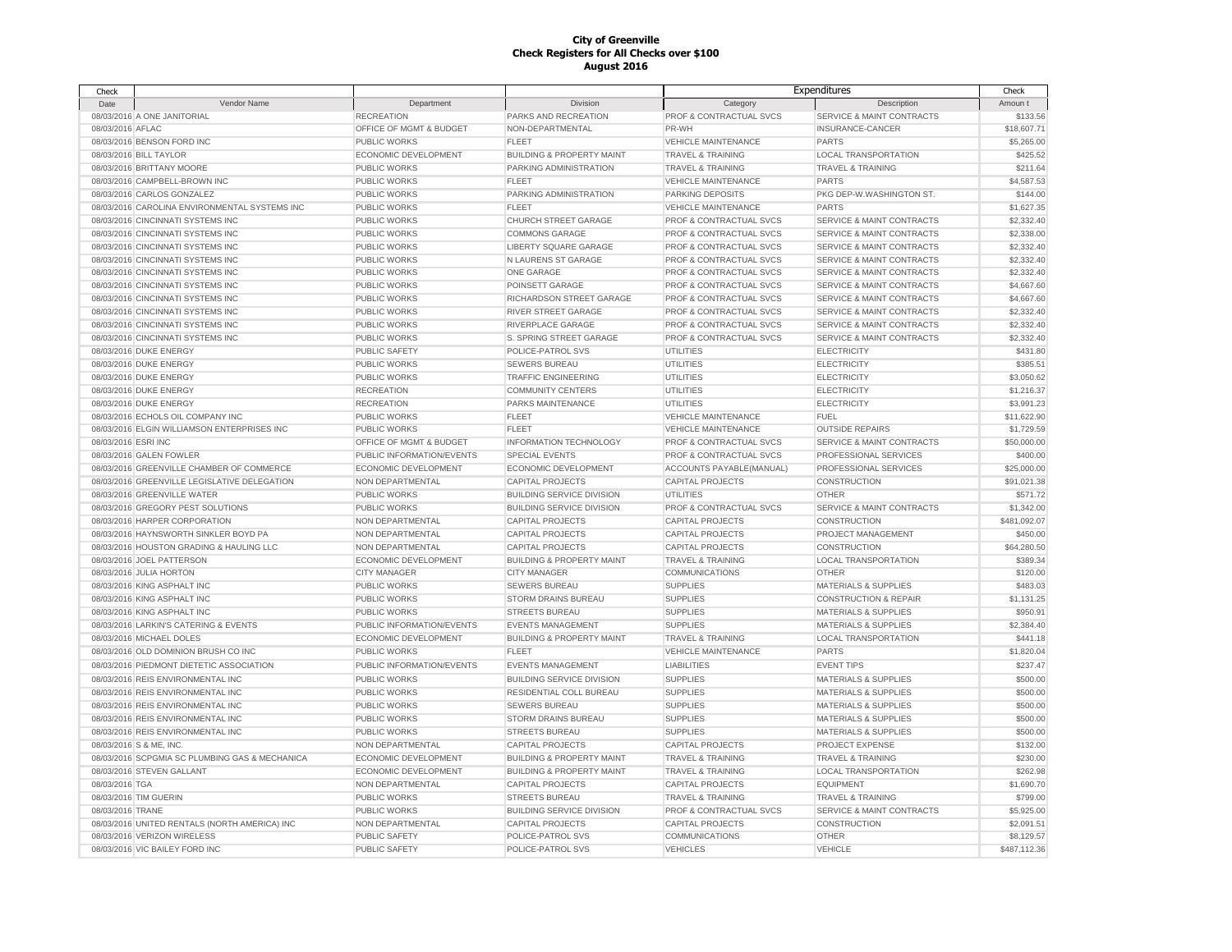| Check               |                                                |                           |                                      |                              | Expenditures                         | Check        |
|---------------------|------------------------------------------------|---------------------------|--------------------------------------|------------------------------|--------------------------------------|--------------|
| Date                | Vendor Name                                    | Department                | Division                             | Category                     | Description                          | Amoun t      |
|                     | 08/03/2016 A ONE JANITORIAL                    | <b>RECREATION</b>         | PARKS AND RECREATION                 | PROF & CONTRACTUAL SVCS      | SERVICE & MAINT CONTRACTS            | \$133.56     |
| 08/03/2016 AFLAC    |                                                | OFFICE OF MGMT & BUDGET   | NON-DEPARTMENTAL                     | PR-WH                        | INSURANCE-CANCER                     | \$18,607.71  |
|                     | 08/03/2016 BENSON FORD INC                     | <b>PUBLIC WORKS</b>       | <b>FLEET</b>                         | <b>VEHICLE MAINTENANCE</b>   | PARTS                                | \$5,265.00   |
|                     | 08/03/2016 BILL TAYLOR                         | ECONOMIC DEVELOPMENT      | <b>BUILDING &amp; PROPERTY MAINT</b> | <b>TRAVEL &amp; TRAINING</b> | <b>LOCAL TRANSPORTATION</b>          | \$425.52     |
|                     | 08/03/2016 BRITTANY MOORE                      | <b>PUBLIC WORKS</b>       | PARKING ADMINISTRATION               | <b>TRAVEL &amp; TRAINING</b> | <b>TRAVEL &amp; TRAINING</b>         | \$211.64     |
|                     | 08/03/2016 CAMPBELL-BROWN INC                  | <b>PUBLIC WORKS</b>       | <b>FLEET</b>                         | <b>VEHICLE MAINTENANCE</b>   | PARTS                                | \$4,587.53   |
|                     | 08/03/2016 CARLOS GONZALEZ                     | PUBLIC WORKS              | PARKING ADMINISTRATION               | PARKING DEPOSITS             | PKG DEP-W.WASHINGTON ST.             | \$144.00     |
|                     | 08/03/2016 CAROLINA ENVIRONMENTAL SYSTEMS INC  | PUBLIC WORKS              | <b>FLEET</b>                         | <b>VEHICLE MAINTENANCE</b>   | <b>PARTS</b>                         | \$1,627.35   |
|                     | 08/03/2016 CINCINNATI SYSTEMS INC              | PUBLIC WORKS              | CHURCH STREET GARAGE                 | PROF & CONTRACTUAL SVCS      | <b>SERVICE &amp; MAINT CONTRACTS</b> | \$2,332.40   |
|                     | 08/03/2016 CINCINNATI SYSTEMS INC              | PUBLIC WORKS              | <b>COMMONS GARAGE</b>                | PROF & CONTRACTUAL SVCS      | <b>SERVICE &amp; MAINT CONTRACTS</b> | \$2,338.00   |
|                     | 08/03/2016 CINCINNATI SYSTEMS INC              | PUBLIC WORKS              | LIBERTY SQUARE GARAGE                | PROF & CONTRACTUAL SVCS      | <b>SERVICE &amp; MAINT CONTRACTS</b> | \$2,332.40   |
|                     | 08/03/2016 CINCINNATI SYSTEMS INC              | PUBLIC WORKS              | N LAURENS ST GARAGE                  | PROF & CONTRACTUAL SVCS      | <b>SERVICE &amp; MAINT CONTRACTS</b> | \$2,332.40   |
|                     | 08/03/2016 CINCINNATI SYSTEMS INC              | PUBLIC WORKS              | ONE GARAGE                           | PROF & CONTRACTUAL SVCS      | <b>SERVICE &amp; MAINT CONTRACTS</b> | \$2,332.40   |
|                     | 08/03/2016 CINCINNATI SYSTEMS INC              | PUBLIC WORKS              | POINSETT GARAGE                      | PROF & CONTRACTUAL SVCS      | <b>SERVICE &amp; MAINT CONTRACTS</b> | \$4,667.60   |
|                     |                                                |                           |                                      |                              |                                      |              |
|                     | 08/03/2016 CINCINNATI SYSTEMS INC              | PUBLIC WORKS              | RICHARDSON STREET GARAGE             | PROF & CONTRACTUAL SVCS      | SERVICE & MAINT CONTRACTS            | \$4,667.60   |
|                     | 08/03/2016 CINCINNATI SYSTEMS INC              | PUBLIC WORKS              | RIVER STREET GARAGE                  | PROF & CONTRACTUAL SVCS      | SERVICE & MAINT CONTRACTS            | \$2,332.40   |
|                     | 08/03/2016 CINCINNATI SYSTEMS INC              | <b>PUBLIC WORKS</b>       | RIVERPLACE GARAGE                    | PROF & CONTRACTUAL SVCS      | <b>SERVICE &amp; MAINT CONTRACTS</b> | \$2,332.40   |
|                     | 08/03/2016 CINCINNATI SYSTEMS INC              | PUBLIC WORKS              | S. SPRING STREET GARAGE              | PROF & CONTRACTUAL SVCS      | SERVICE & MAINT CONTRACTS            | \$2,332.40   |
|                     | 08/03/2016 DUKE ENERGY                         | PUBLIC SAFETY             | POLICE-PATROL SVS                    | UTILITIES                    | <b>ELECTRICITY</b>                   | \$431.80     |
|                     | 08/03/2016 DUKE ENERGY                         | <b>PUBLIC WORKS</b>       | <b>SEWERS BUREAU</b>                 | UTILITIES                    | <b>ELECTRICITY</b>                   | \$385.51     |
|                     | 08/03/2016 DUKE ENERGY                         | <b>PUBLIC WORKS</b>       | <b>TRAFFIC ENGINEERING</b>           | UTILITIES                    | <b>ELECTRICITY</b>                   | \$3,050.62   |
|                     | 08/03/2016 DUKE ENERGY                         | <b>RECREATION</b>         | <b>COMMUNITY CENTERS</b>             | <b>UTILITIES</b>             | <b>ELECTRICITY</b>                   | \$1,216.37   |
|                     | 08/03/2016 DUKE ENERGY                         | <b>RECREATION</b>         | PARKS MAINTENANCE                    | UTILITIES                    | <b>ELECTRICITY</b>                   | \$3,991.23   |
|                     | 08/03/2016 ECHOLS OIL COMPANY INC              | <b>PUBLIC WORKS</b>       | <b>FLEET</b>                         | <b>VEHICLE MAINTENANCE</b>   | <b>FUEL</b>                          | \$11,622.90  |
|                     | 08/03/2016 ELGIN WILLIAMSON ENTERPRISES INC    | <b>PUBLIC WORKS</b>       | <b>FLEET</b>                         | <b>VEHICLE MAINTENANCE</b>   | <b>OUTSIDE REPAIRS</b>               | \$1,729.59   |
| 08/03/2016 ESRI INC |                                                | OFFICE OF MGMT & BUDGET   | INFORMATION TECHNOLOGY               | PROF & CONTRACTUAL SVCS      | SERVICE & MAINT CONTRACTS            | \$50,000.00  |
|                     | 08/03/2016 GALEN FOWLER                        | PUBLIC INFORMATION/EVENTS | <b>SPECIAL EVENTS</b>                | PROF & CONTRACTUAL SVCS      | PROFESSIONAL SERVICES                | \$400.00     |
|                     | 08/03/2016 GREENVILLE CHAMBER OF COMMERCE      | ECONOMIC DEVELOPMENT      | ECONOMIC DEVELOPMENT                 | ACCOUNTS PAYABLE(MANUAL)     | PROFESSIONAL SERVICES                | \$25,000.00  |
|                     | 08/03/2016 GREENVILLE LEGISLATIVE DELEGATION   | NON DEPARTMENTAL          | <b>CAPITAL PROJECTS</b>              | <b>CAPITAL PROJECTS</b>      | CONSTRUCTION                         | \$91,021.38  |
|                     | 08/03/2016 GREENVILLE WATER                    | PUBLIC WORKS              | <b>BUILDING SERVICE DIVISION</b>     | UTILITIES                    | <b>OTHER</b>                         | \$571.72     |
|                     | 08/03/2016 GREGORY PEST SOLUTIONS              | PUBLIC WORKS              | <b>BUILDING SERVICE DIVISION</b>     | PROF & CONTRACTUAL SVCS      | <b>SERVICE &amp; MAINT CONTRACTS</b> | \$1,342.00   |
|                     | 08/03/2016 HARPER CORPORATION                  | NON DEPARTMENTAL          | <b>CAPITAL PROJECTS</b>              | <b>CAPITAL PROJECTS</b>      | CONSTRUCTION                         | \$481,092.07 |
|                     | 08/03/2016 HAYNSWORTH SINKLER BOYD PA          | NON DEPARTMENTAL          | <b>CAPITAL PROJECTS</b>              | <b>CAPITAL PROJECTS</b>      | PROJECT MANAGEMENT                   | \$450.00     |
|                     | 08/03/2016 HOUSTON GRADING & HAULING LLC       | NON DEPARTMENTAL          | <b>CAPITAL PROJECTS</b>              | <b>CAPITAL PROJECTS</b>      | <b>CONSTRUCTION</b>                  | \$64,280.50  |
|                     | 08/03/2016 JOEL PATTERSON                      | ECONOMIC DEVELOPMENT      | <b>BUILDING &amp; PROPERTY MAINT</b> | <b>TRAVEL &amp; TRAINING</b> | <b>LOCAL TRANSPORTATION</b>          | \$389.34     |
|                     | 08/03/2016 JULIA HORTON                        | <b>CITY MANAGER</b>       | <b>CITY MANAGER</b>                  | COMMUNICATIONS               | OTHER                                | \$120.00     |
|                     | 08/03/2016 KING ASPHALT INC                    | PUBLIC WORKS              | <b>SEWERS BUREAU</b>                 | <b>SUPPLIES</b>              | <b>MATERIALS &amp; SUPPLIES</b>      | \$483.03     |
|                     | 08/03/2016 KING ASPHALT INC                    | <b>PUBLIC WORKS</b>       | STORM DRAINS BUREAU                  | <b>SUPPLIES</b>              | <b>CONSTRUCTION &amp; REPAIR</b>     | \$1,131.25   |
|                     | 08/03/2016 KING ASPHALT INC                    | <b>PUBLIC WORKS</b>       | <b>STREETS BUREAU</b>                | <b>SUPPLIES</b>              | <b>MATERIALS &amp; SUPPLIES</b>      | \$950.91     |
|                     | 08/03/2016 LARKIN'S CATERING & EVENTS          | PUBLIC INFORMATION/EVENTS | <b>EVENTS MANAGEMENT</b>             | <b>SUPPLIES</b>              | <b>MATERIALS &amp; SUPPLIES</b>      | \$2,384.40   |
|                     | 08/03/2016 MICHAEL DOLES                       | ECONOMIC DEVELOPMENT      | <b>BUILDING &amp; PROPERTY MAINT</b> | <b>TRAVEL &amp; TRAINING</b> | <b>LOCAL TRANSPORTATION</b>          | \$441.18     |
|                     | 08/03/2016 OLD DOMINION BRUSH CO INC           | PUBLIC WORKS              | FLEET                                | <b>VEHICLE MAINTENANCE</b>   | <b>PARTS</b>                         | \$1,820.04   |
|                     | 08/03/2016 PIEDMONT DIETETIC ASSOCIATION       | PUBLIC INFORMATION/EVENTS | <b>EVENTS MANAGEMENT</b>             | <b>LIABILITIES</b>           | <b>EVENT TIPS</b>                    | \$237.47     |
|                     | 08/03/2016 REIS ENVIRONMENTAL INC              | <b>PUBLIC WORKS</b>       | <b>BUILDING SERVICE DIVISION</b>     | <b>SUPPLIES</b>              | <b>MATERIALS &amp; SUPPLIES</b>      | \$500.00     |
|                     | 08/03/2016 REIS ENVIRONMENTAL INC              | PUBLIC WORKS              | <b>RESIDENTIAL COLL BUREAU</b>       | <b>SUPPLIES</b>              | <b>MATERIALS &amp; SUPPLIES</b>      | \$500.00     |
|                     | 08/03/2016 REIS ENVIRONMENTAL INC              | PUBLIC WORKS              | <b>SEWERS BUREAU</b>                 | <b>SUPPLIES</b>              | <b>MATERIALS &amp; SUPPLIES</b>      | \$500.00     |
|                     | 08/03/2016 REIS ENVIRONMENTAL INC              | PUBLIC WORKS              | STORM DRAINS BUREAU                  | <b>SUPPLIES</b>              | <b>MATERIALS &amp; SUPPLIES</b>      | \$500.00     |
|                     | 08/03/2016 REIS ENVIRONMENTAL INC              | <b>PUBLIC WORKS</b>       | <b>STREETS BUREAU</b>                | <b>SUPPLIES</b>              | MATERIALS & SUPPLIES                 | \$500.00     |
|                     |                                                |                           |                                      |                              |                                      |              |
|                     | 08/03/2016 S & ME, INC.                        | NON DEPARTMENTAL          | <b>CAPITAL PROJECTS</b>              | <b>CAPITAL PROJECTS</b>      | PROJECT EXPENSE                      | \$132.00     |
|                     | 08/03/2016 SCPGMIA SC PLUMBING GAS & MECHANICA | ECONOMIC DEVELOPMENT      | <b>BUILDING &amp; PROPERTY MAINT</b> | <b>TRAVEL &amp; TRAINING</b> | <b>TRAVEL &amp; TRAINING</b>         | \$230.00     |
|                     | 08/03/2016 STEVEN GALLANT                      | ECONOMIC DEVELOPMENT      | <b>BUILDING &amp; PROPERTY MAINT</b> | <b>TRAVEL &amp; TRAINING</b> | <b>LOCAL TRANSPORTATION</b>          | \$262.98     |
| 08/03/2016 TGA      |                                                | NON DEPARTMENTAL          | <b>CAPITAL PROJECTS</b>              | <b>CAPITAL PROJECTS</b>      | <b>EQUIPMENT</b>                     | \$1,690.70   |
|                     | 08/03/2016 TIM GUERIN                          | PUBLIC WORKS              | <b>STREETS BUREAU</b>                | <b>TRAVEL &amp; TRAINING</b> | <b>TRAVEL &amp; TRAINING</b>         | \$799.00     |
| 08/03/2016 TRANE    |                                                | PUBLIC WORKS              | <b>BUILDING SERVICE DIVISION</b>     | PROF & CONTRACTUAL SVCS      | <b>SERVICE &amp; MAINT CONTRACTS</b> | \$5,925.00   |
|                     | 08/03/2016 UNITED RENTALS (NORTH AMERICA) INC  | NON DEPARTMENTAL          | <b>CAPITAL PROJECTS</b>              | <b>CAPITAL PROJECTS</b>      | CONSTRUCTION                         | \$2.091.51   |
|                     | 08/03/2016 VERIZON WIRELESS                    | PUBLIC SAFETY             | POLICE-PATROL SVS                    | <b>COMMUNICATIONS</b>        | <b>OTHER</b>                         | \$8,129.57   |
|                     | 08/03/2016 VIC BAILEY FORD INC                 | <b>PUBLIC SAFETY</b>      | POLICE-PATROL SVS                    | <b>VEHICLES</b>              | <b>VEHICLE</b>                       | \$487,112,36 |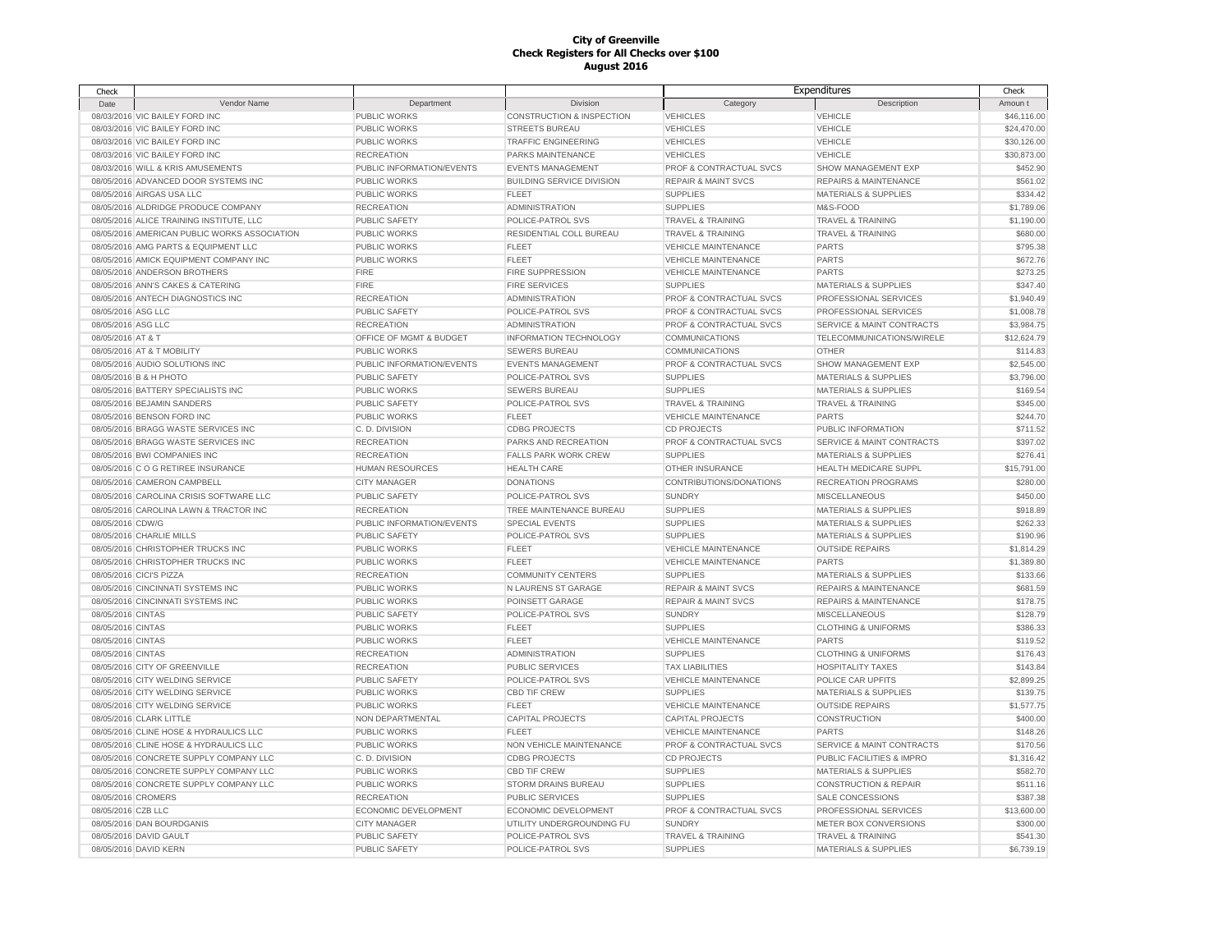| Check              |                                              |                             |                                      |                                | Expenditures                         | Check       |
|--------------------|----------------------------------------------|-----------------------------|--------------------------------------|--------------------------------|--------------------------------------|-------------|
| Date               | <b>Vendor Name</b>                           | Department                  | <b>Division</b>                      | Category                       | Description                          | Amoun t     |
|                    | 08/03/2016 VIC BAILEY FORD INC               | <b>PUBLIC WORKS</b>         | <b>CONSTRUCTION &amp; INSPECTION</b> | <b>VEHICLES</b>                | <b>VEHICLE</b>                       | \$46,116.00 |
|                    | 08/03/2016 VIC BAILEY FORD INC               | PUBLIC WORKS                | STREETS BUREAU                       | <b>VEHICLES</b>                | <b>VEHICLE</b>                       | \$24,470.00 |
|                    | 08/03/2016 VIC BAILEY FORD INC               | PUBLIC WORKS                | <b>TRAFFIC ENGINEERING</b>           | <b>VEHICLES</b>                | <b>VEHICLE</b>                       | \$30,126.00 |
|                    | 08/03/2016 VIC BAILEY FORD INC               | <b>RECREATION</b>           | PARKS MAINTENANCE                    | <b>VEHICLES</b>                | <b>VEHICLE</b>                       | \$30,873.00 |
|                    | 08/03/2016 WILL & KRIS AMUSEMENTS            | PUBLIC INFORMATION/EVENTS   | <b>EVENTS MANAGEMENT</b>             | PROF & CONTRACTUAL SVCS        | SHOW MANAGEMENT EXP                  | \$452.90    |
|                    | 08/05/2016 ADVANCED DOOR SYSTEMS INC         | <b>PUBLIC WORKS</b>         | <b>BUILDING SERVICE DIVISION</b>     | <b>REPAIR &amp; MAINT SVCS</b> | <b>REPAIRS &amp; MAINTENANCE</b>     | \$561.02    |
|                    | 08/05/2016 AIRGAS USA LLC                    | PUBLIC WORKS                | <b>FLEET</b>                         | <b>SUPPLIES</b>                | <b>MATERIALS &amp; SUPPLIES</b>      | \$334.42    |
|                    | 08/05/2016 ALDRIDGE PRODUCE COMPANY          | <b>RECREATION</b>           | <b>ADMINISTRATION</b>                | <b>SUPPLIES</b>                | M&S-FOOD                             | \$1,789.06  |
|                    | 08/05/2016 ALICE TRAINING INSTITUTE, LLC     | PUBLIC SAFETY               | POLICE-PATROL SVS                    | <b>TRAVEL &amp; TRAINING</b>   | <b>TRAVEL &amp; TRAINING</b>         | \$1,190.00  |
|                    | 08/05/2016 AMERICAN PUBLIC WORKS ASSOCIATION | <b>PUBLIC WORKS</b>         | <b>RESIDENTIAL COLL BUREAU</b>       | <b>TRAVEL &amp; TRAINING</b>   | <b>TRAVEL &amp; TRAINING</b>         | \$680.00    |
|                    | 08/05/2016 AMG PARTS & EQUIPMENT LLC         | <b>PUBLIC WORKS</b>         | <b>FLEET</b>                         | <b>VEHICLE MAINTENANCE</b>     | <b>PARTS</b>                         | \$795.38    |
|                    | 08/05/2016 AMICK EQUIPMENT COMPANY INC       |                             | <b>FLEET</b>                         | <b>VEHICLE MAINTENANCE</b>     | <b>PARTS</b>                         | \$672.76    |
|                    | 08/05/2016 ANDERSON BROTHERS                 | PUBLIC WORKS<br><b>FIRE</b> | FIRE SUPPRESSION                     |                                | <b>PARTS</b>                         |             |
|                    |                                              |                             |                                      | VEHICLE MAINTENANCE            |                                      | \$273.25    |
|                    | 08/05/2016 ANN'S CAKES & CATERING            | <b>FIRE</b>                 | <b>FIRE SERVICES</b>                 | <b>SUPPLIES</b>                | <b>MATERIALS &amp; SUPPLIES</b>      | \$347.40    |
|                    | 08/05/2016 ANTECH DIAGNOSTICS INC            | <b>RECREATION</b>           | <b>ADMINISTRATION</b>                | PROF & CONTRACTUAL SVCS        | PROFESSIONAL SERVICES                | \$1,940.49  |
| 08/05/2016 ASG LLC |                                              | <b>PUBLIC SAFETY</b>        | POLICE-PATROL SVS                    | PROF & CONTRACTUAL SVCS        | PROFESSIONAL SERVICES                | \$1,008.78  |
| 08/05/2016 ASG LLC |                                              | <b>RECREATION</b>           | <b>ADMINISTRATION</b>                | PROF & CONTRACTUAL SVCS        | <b>SERVICE &amp; MAINT CONTRACTS</b> | \$3,984.75  |
| 08/05/2016 AT & T  |                                              | OFFICE OF MGMT & BUDGET     | <b>INFORMATION TECHNOLOGY</b>        | <b>COMMUNICATIONS</b>          | TELECOMMUNICATIONS/WIRELE            | \$12,624.79 |
|                    | 08/05/2016 AT & T MOBILITY                   | <b>PUBLIC WORKS</b>         | <b>SEWERS BUREAU</b>                 | <b>COMMUNICATIONS</b>          | OTHER                                | \$114.83    |
|                    | 08/05/2016 AUDIO SOLUTIONS INC               | PUBLIC INFORMATION/EVENTS   | <b>EVENTS MANAGEMENT</b>             | PROF & CONTRACTUAL SVCS        | SHOW MANAGEMENT EXP                  | \$2,545.00  |
|                    | 08/05/2016 B & H PHOTO                       | PUBLIC SAFETY               | POLICE-PATROL SVS                    | <b>SUPPLIES</b>                | <b>MATERIALS &amp; SUPPLIES</b>      | \$3,796.00  |
|                    | 08/05/2016 BATTERY SPECIALISTS INC           | <b>PUBLIC WORKS</b>         | <b>SEWERS BUREAU</b>                 | <b>SUPPLIES</b>                | <b>MATERIALS &amp; SUPPLIES</b>      | \$169.54    |
|                    | 08/05/2016 BEJAMIN SANDERS                   | <b>PUBLIC SAFETY</b>        | POLICE-PATROL SVS                    | <b>TRAVEL &amp; TRAINING</b>   | <b>TRAVEL &amp; TRAINING</b>         | \$345.00    |
|                    | 08/05/2016 BENSON FORD INC                   | <b>PUBLIC WORKS</b>         | <b>FLEET</b>                         | <b>VEHICLE MAINTENANCE</b>     | <b>PARTS</b>                         | \$244.70    |
|                    | 08/05/2016 BRAGG WASTE SERVICES INC          | C.D. DIVISION               | <b>CDBG PROJECTS</b>                 | <b>CD PROJECTS</b>             | PUBLIC INFORMATION                   | \$711.52    |
|                    | 08/05/2016 BRAGG WASTE SERVICES INC          | <b>RECREATION</b>           | PARKS AND RECREATION                 | PROF & CONTRACTUAL SVCS        | <b>SERVICE &amp; MAINT CONTRACTS</b> | \$397.02    |
|                    | 08/05/2016 BWI COMPANIES INC                 | <b>RECREATION</b>           | <b>FALLS PARK WORK CREW</b>          | <b>SUPPLIES</b>                | <b>MATERIALS &amp; SUPPLIES</b>      | \$276.41    |
|                    | 08/05/2016 C O G RETIREE INSURANCE           | <b>HUMAN RESOURCES</b>      | <b>HEALTH CARE</b>                   | OTHER INSURANCE                | HEALTH MEDICARE SUPPL                | \$15,791.00 |
|                    | 08/05/2016 CAMERON CAMPBELL                  | <b>CITY MANAGER</b>         | <b>DONATIONS</b>                     | CONTRIBUTIONS/DONATIONS        | <b>RECREATION PROGRAMS</b>           | \$280.00    |
|                    | 08/05/2016 CAROLINA CRISIS SOFTWARE LLC      | PUBLIC SAFETY               | POLICE-PATROL SVS                    | <b>SUNDRY</b>                  | <b>MISCELLANEOUS</b>                 | \$450.00    |
|                    | 08/05/2016 CAROLINA LAWN & TRACTOR INC       | <b>RECREATION</b>           | TREE MAINTENANCE BUREAU              | <b>SUPPLIES</b>                | <b>MATERIALS &amp; SUPPLIES</b>      | \$918.89    |
| 08/05/2016 CDW/G   |                                              | PUBLIC INFORMATION/EVENTS   | <b>SPECIAL EVENTS</b>                | <b>SUPPLIES</b>                | <b>MATERIALS &amp; SUPPLIES</b>      | \$262.33    |
|                    | 08/05/2016 CHARLIE MILLS                     | <b>PUBLIC SAFETY</b>        | POLICE-PATROL SVS                    | <b>SUPPLIES</b>                | <b>MATERIALS &amp; SUPPLIES</b>      | \$190.96    |
|                    | 08/05/2016 CHRISTOPHER TRUCKS INC            | <b>PUBLIC WORKS</b>         | <b>FLEET</b>                         | <b>VEHICLE MAINTENANCE</b>     | <b>OUTSIDE REPAIRS</b>               | \$1,814.29  |
|                    |                                              |                             |                                      |                                |                                      |             |
|                    | 08/05/2016 CHRISTOPHER TRUCKS INC            | PUBLIC WORKS                | FLEET                                | <b>VEHICLE MAINTENANCE</b>     | <b>PARTS</b>                         | \$1,389.80  |
|                    | 08/05/2016 CICI'S PIZZA                      | <b>RECREATION</b>           | <b>COMMUNITY CENTERS</b>             | <b>SUPPLIES</b>                | MATERIALS & SUPPLIES                 | \$133.66    |
|                    | 08/05/2016 CINCINNATI SYSTEMS INC            | <b>PUBLIC WORKS</b>         | N LAURENS ST GARAGE                  | <b>REPAIR &amp; MAINT SVCS</b> | <b>REPAIRS &amp; MAINTENANCE</b>     | \$681.59    |
|                    | 08/05/2016 CINCINNATI SYSTEMS INC            | <b>PUBLIC WORKS</b>         | POINSETT GARAGE                      | <b>REPAIR &amp; MAINT SVCS</b> | <b>REPAIRS &amp; MAINTENANCE</b>     | \$178.75    |
| 08/05/2016 CINTAS  |                                              | <b>PUBLIC SAFETY</b>        | POLICE-PATROL SVS                    | <b>SUNDRY</b>                  | <b>MISCELLANEOUS</b>                 | \$128.79    |
| 08/05/2016 CINTAS  |                                              | PUBLIC WORKS                | <b>FLEET</b>                         | <b>SUPPLIES</b>                | <b>CLOTHING &amp; UNIFORMS</b>       | \$386.33    |
| 08/05/2016 CINTAS  |                                              | PUBLIC WORKS                | <b>FLEET</b>                         | <b>VEHICLE MAINTENANCE</b>     | <b>PARTS</b>                         | \$119.52    |
| 08/05/2016 CINTAS  |                                              | <b>RECREATION</b>           | <b>ADMINISTRATION</b>                | <b>SUPPLIES</b>                | <b>CLOTHING &amp; UNIFORMS</b>       | \$176.43    |
|                    | 08/05/2016 CITY OF GREENVILLE                | <b>RECREATION</b>           | <b>PUBLIC SERVICES</b>               | <b>TAX LIABILITIES</b>         | <b>HOSPITALITY TAXES</b>             | \$143.84    |
|                    | 08/05/2016 CITY WELDING SERVICE              | PUBLIC SAFETY               | POLICE-PATROL SVS                    | <b>VEHICLE MAINTENANCE</b>     | POLICE CAR UPFITS                    | \$2,899.25  |
|                    | 08/05/2016 CITY WELDING SERVICE              | PUBLIC WORKS                | <b>CBD TIF CREW</b>                  | <b>SUPPLIES</b>                | <b>MATERIALS &amp; SUPPLIES</b>      | \$139.75    |
|                    | 08/05/2016 CITY WELDING SERVICE              | PUBLIC WORKS                | <b>FLEET</b>                         | <b>VEHICLE MAINTENANCE</b>     | <b>OUTSIDE REPAIRS</b>               | \$1,577.75  |
|                    | 08/05/2016 CLARK LITTLE                      | NON DEPARTMENTAL            | <b>CAPITAL PROJECTS</b>              | <b>CAPITAL PROJECTS</b>        | CONSTRUCTION                         | \$400.00    |
|                    | 08/05/2016 CLINE HOSE & HYDRAULICS LLC       | <b>PUBLIC WORKS</b>         | <b>FLEET</b>                         | <b>VEHICLE MAINTENANCE</b>     | <b>PARTS</b>                         | \$148.26    |
|                    | 08/05/2016 CLINE HOSE & HYDRAULICS LLC       | <b>PUBLIC WORKS</b>         | NON VEHICLE MAINTENANCE              | PROF & CONTRACTUAL SVCS        | <b>SERVICE &amp; MAINT CONTRACTS</b> | \$170.56    |
|                    | 08/05/2016 CONCRETE SUPPLY COMPANY LLC       | C.D. DIVISION               | <b>CDBG PROJECTS</b>                 | <b>CD PROJECTS</b>             | PUBLIC FACILITIES & IMPRO            | \$1,316.42  |
|                    | 08/05/2016 CONCRETE SUPPLY COMPANY LLC       | <b>PUBLIC WORKS</b>         | <b>CBD TIF CREW</b>                  | <b>SUPPLIES</b>                | <b>MATERIALS &amp; SUPPLIES</b>      | \$582.70    |
|                    | 08/05/2016 CONCRETE SUPPLY COMPANY LLC       | PUBLIC WORKS                | <b>STORM DRAINS BUREAU</b>           | <b>SUPPLIES</b>                | <b>CONSTRUCTION &amp; REPAIR</b>     | \$511.16    |
| 08/05/2016 CROMERS |                                              | <b>RECREATION</b>           | PUBLIC SERVICES                      | <b>SUPPLIES</b>                | SALE CONCESSIONS                     | \$387.38    |
| 08/05/2016 CZB LLC |                                              | ECONOMIC DEVELOPMENT        | ECONOMIC DEVELOPMENT                 | PROF & CONTRACTUAL SVCS        | PROFESSIONAL SERVICES                | \$13,600.00 |
|                    | 08/05/2016 DAN BOURDGANIS                    | <b>CITY MANAGER</b>         | UTILITY UNDERGROUNDING FU            | <b>SUNDRY</b>                  | METER BOX CONVERSIONS                | \$300.00    |
|                    | 08/05/2016 DAVID GAULT                       | PUBLIC SAFETY               | POLICE-PATROL SVS                    | <b>TRAVEL &amp; TRAINING</b>   | <b>TRAVEL &amp; TRAINING</b>         | \$541.30    |
|                    | 08/05/2016 DAVID KERN                        | PUBLIC SAFETY               | POLICE-PATROL SVS                    | <b>SUPPLIES</b>                | <b>MATERIALS &amp; SUPPLIES</b>      | \$6,739.19  |
|                    |                                              |                             |                                      |                                |                                      |             |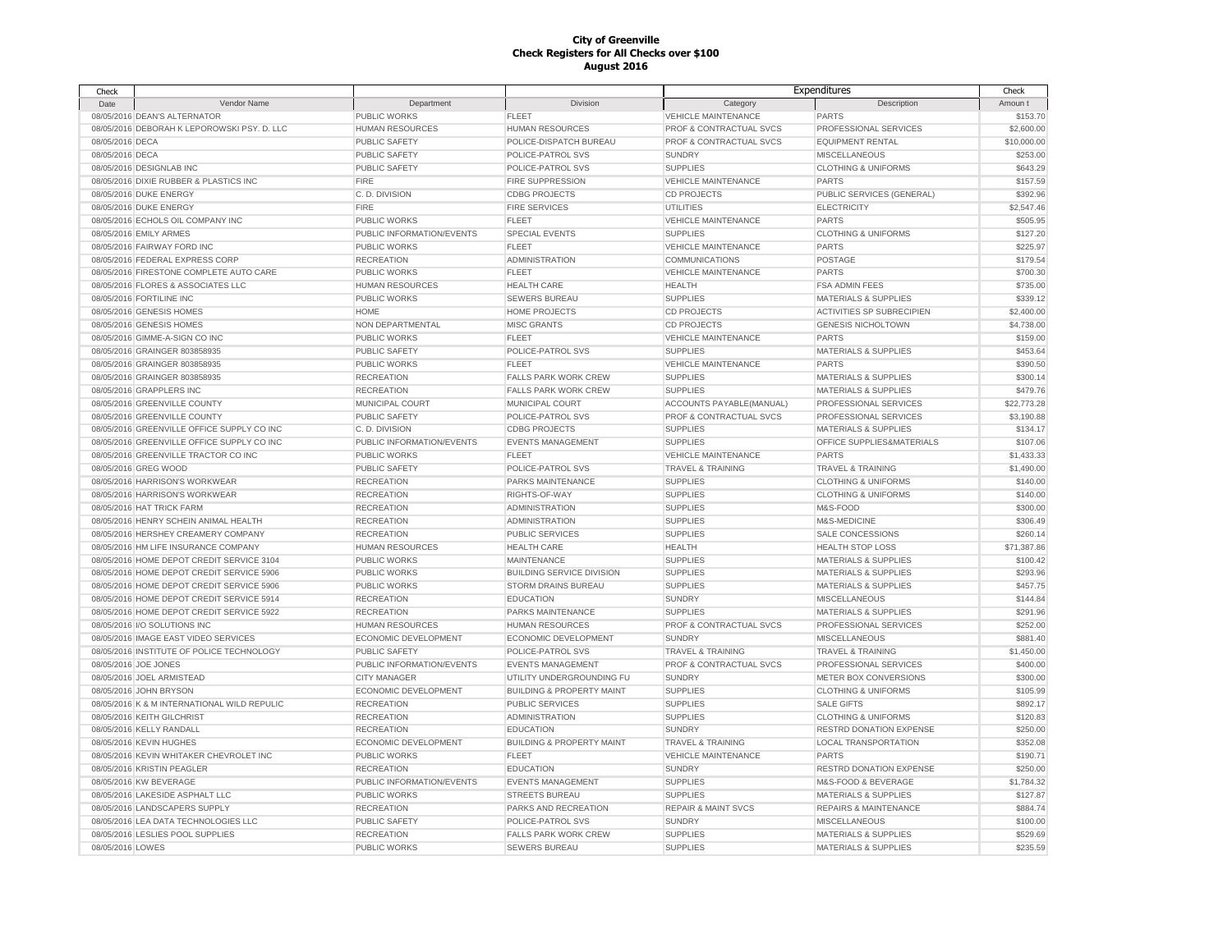| Check            |                                             |                           |                                      |                                | Expenditures                     | Check       |
|------------------|---------------------------------------------|---------------------------|--------------------------------------|--------------------------------|----------------------------------|-------------|
| Date             | Vendor Name                                 | Department                | Division                             | Category                       | Description                      | Amoun t     |
|                  | 08/05/2016 DEAN'S ALTERNATOR                | PUBLIC WORKS              | <b>FLEET</b>                         | <b>VEHICLE MAINTENANCE</b>     | <b>PARTS</b>                     | \$153.70    |
|                  | 08/05/2016 DEBORAH K LEPOROWSKI PSY. D. LLC | HUMAN RESOURCES           | <b>HUMAN RESOURCES</b>               | PROF & CONTRACTUAL SVCS        | PROFESSIONAL SERVICES            | \$2,600.00  |
| 08/05/2016 DECA  |                                             | <b>PUBLIC SAFETY</b>      | POLICE-DISPATCH BUREAU               | PROF & CONTRACTUAL SVCS        | <b>EQUIPMENT RENTAL</b>          | \$10,000.00 |
| 08/05/2016 DECA  |                                             | <b>PUBLIC SAFETY</b>      | POLICE-PATROL SVS                    | <b>SUNDRY</b>                  | <b>MISCELLANEOUS</b>             | \$253.00    |
|                  | 08/05/2016 DESIGNLAB INC                    | <b>PUBLIC SAFETY</b>      | POLICE-PATROL SVS                    | <b>SUPPLIES</b>                | <b>CLOTHING &amp; UNIFORMS</b>   | \$643.29    |
|                  | 08/05/2016 DIXIE RUBBER & PLASTICS INC      | <b>FIRE</b>               | <b>FIRE SUPPRESSION</b>              | <b>VEHICLE MAINTENANCE</b>     | <b>PARTS</b>                     | \$157.59    |
|                  | 08/05/2016 DUKE ENERGY                      | C.D. DIVISION             | <b>CDBG PROJECTS</b>                 | <b>CD PROJECTS</b>             | PUBLIC SERVICES (GENERAL)        | \$392.96    |
|                  | 08/05/2016 DUKE ENERGY                      | <b>FIRE</b>               | <b>FIRE SERVICES</b>                 | UTILITIES                      | <b>ELECTRICITY</b>               | \$2,547.46  |
|                  | 08/05/2016 ECHOLS OIL COMPANY INC           | <b>PUBLIC WORKS</b>       | <b>FLEET</b>                         | <b>VEHICLE MAINTENANCE</b>     | <b>PARTS</b>                     | \$505.95    |
|                  | 08/05/2016 EMILY ARMES                      | PUBLIC INFORMATION/EVENTS | <b>SPECIAL EVENTS</b>                | <b>SUPPLIES</b>                | <b>CLOTHING &amp; UNIFORMS</b>   | \$127.20    |
|                  | 08/05/2016 FAIRWAY FORD INC                 | PUBLIC WORKS              | <b>FLEET</b>                         | <b>VEHICLE MAINTENANCE</b>     | <b>PARTS</b>                     | \$225.97    |
|                  | 08/05/2016 FEDERAL EXPRESS CORP             | <b>RECREATION</b>         | <b>ADMINISTRATION</b>                | <b>COMMUNICATIONS</b>          | POSTAGE                          | \$179.54    |
|                  | 08/05/2016 FIRESTONE COMPLETE AUTO CARE     | <b>PUBLIC WORKS</b>       | <b>FLEET</b>                         | <b>VEHICLE MAINTENANCE</b>     | PARTS                            | \$700.30    |
|                  | 08/05/2016 FLORES & ASSOCIATES LLC          | <b>HUMAN RESOURCES</b>    | <b>HEALTH CARE</b>                   | HEALTH                         | <b>FSA ADMIN FEES</b>            | \$735.00    |
|                  | 08/05/2016 FORTILINE INC                    | <b>PUBLIC WORKS</b>       | <b>SEWERS BUREAU</b>                 | <b>SUPPLIES</b>                | <b>MATERIALS &amp; SUPPLIES</b>  | \$339.12    |
|                  | 08/05/2016 GENESIS HOMES                    | <b>HOME</b>               | <b>HOME PROJECTS</b>                 | <b>CD PROJECTS</b>             | ACTIVITIES SP SUBRECIPIEN        | \$2,400.00  |
|                  | 08/05/2016 GENESIS HOMES                    | NON DEPARTMENTAL          | <b>MISC GRANTS</b>                   | <b>CD PROJECTS</b>             | <b>GENESIS NICHOLTOWN</b>        | \$4,738.00  |
|                  | 08/05/2016 GIMME-A-SIGN CO INC              | <b>PUBLIC WORKS</b>       | <b>FLEET</b>                         | <b>VEHICLE MAINTENANCE</b>     | <b>PARTS</b>                     | \$159.00    |
|                  | 08/05/2016 GRAINGER 803858935               | PUBLIC SAFETY             | POLICE-PATROL SVS                    | <b>SUPPLIES</b>                | <b>MATERIALS &amp; SUPPLIES</b>  | \$453.64    |
|                  | 08/05/2016 GRAINGER 803858935               | <b>PUBLIC WORKS</b>       | <b>FLEET</b>                         | <b>VEHICLE MAINTENANCE</b>     | <b>PARTS</b>                     | \$390.50    |
|                  | 08/05/2016 GRAINGER 803858935               | <b>RECREATION</b>         | <b>FALLS PARK WORK CREW</b>          | <b>SUPPLIES</b>                | <b>MATERIALS &amp; SUPPLIES</b>  | \$300.14    |
|                  | 08/05/2016 GRAPPLERS INC                    | <b>RECREATION</b>         | <b>FALLS PARK WORK CREW</b>          | <b>SUPPLIES</b>                | <b>MATERIALS &amp; SUPPLIES</b>  | \$479.76    |
|                  | 08/05/2016 GREENVILLE COUNTY                | MUNICIPAL COURT           | MUNICIPAL COURT                      | ACCOUNTS PAYABLE(MANUAL)       | PROFESSIONAL SERVICES            | \$22,773.28 |
|                  | 08/05/2016 GREENVILLE COUNTY                | <b>PUBLIC SAFETY</b>      | POLICE-PATROL SVS                    | PROF & CONTRACTUAL SVCS        | PROFESSIONAL SERVICES            | \$3,190.88  |
|                  | 08/05/2016 GREENVILLE OFFICE SUPPLY CO INC  | C.D. DIVISION             | <b>CDBG PROJECTS</b>                 | <b>SUPPLIES</b>                | <b>MATERIALS &amp; SUPPLIES</b>  | \$134.17    |
|                  | 08/05/2016 GREENVILLE OFFICE SUPPLY CO INC  | PUBLIC INFORMATION/EVENTS | <b>EVENTS MANAGEMENT</b>             | <b>SUPPLIES</b>                | OFFICE SUPPLIES&MATERIALS        | \$107.06    |
|                  | 08/05/2016 GREENVILLE TRACTOR CO INC        | <b>PUBLIC WORKS</b>       | <b>FLEET</b>                         | <b>VEHICLE MAINTENANCE</b>     | <b>PARTS</b>                     | \$1,433.33  |
|                  | 08/05/2016 GREG WOOD                        | PUBLIC SAFETY             | POLICE-PATROL SVS                    | <b>TRAVEL &amp; TRAINING</b>   | <b>TRAVEL &amp; TRAINING</b>     | \$1,490.00  |
|                  | 08/05/2016 HARRISON'S WORKWEAR              | <b>RECREATION</b>         | PARKS MAINTENANCE                    | <b>SUPPLIES</b>                | <b>CLOTHING &amp; UNIFORMS</b>   | \$140.00    |
|                  | 08/05/2016 HARRISON'S WORKWEAR              | <b>RECREATION</b>         | RIGHTS-OF-WAY                        | <b>SUPPLIES</b>                | <b>CLOTHING &amp; UNIFORMS</b>   | \$140.00    |
|                  | 08/05/2016 HAT TRICK FARM                   | <b>RECREATION</b>         | <b>ADMINISTRATION</b>                | <b>SUPPLIES</b>                | M&S-FOOD                         | \$300.00    |
|                  | 08/05/2016 HENRY SCHEIN ANIMAL HEALTH       | <b>RECREATION</b>         | <b>ADMINISTRATION</b>                | <b>SUPPLIES</b>                | M&S-MEDICINE                     | \$306.49    |
|                  | 08/05/2016 HERSHEY CREAMERY COMPANY         | <b>RECREATION</b>         | PUBLIC SERVICES                      | <b>SUPPLIES</b>                | SALE CONCESSIONS                 | \$260.14    |
|                  | 08/05/2016 HM LIFE INSURANCE COMPANY        | <b>HUMAN RESOURCES</b>    | <b>HEALTH CARE</b>                   | HEALTH                         | <b>HEALTH STOP LOSS</b>          | \$71,387.86 |
|                  | 08/05/2016 HOME DEPOT CREDIT SERVICE 3104   | <b>PUBLIC WORKS</b>       | MAINTENANCE                          | <b>SUPPLIES</b>                | <b>MATERIALS &amp; SUPPLIES</b>  | \$100.42    |
|                  | 08/05/2016 HOME DEPOT CREDIT SERVICE 5906   | <b>PUBLIC WORKS</b>       | <b>BUILDING SERVICE DIVISION</b>     | <b>SUPPLIES</b>                | <b>MATERIALS &amp; SUPPLIES</b>  | \$293.96    |
|                  | 08/05/2016 HOME DEPOT CREDIT SERVICE 5906   | PUBLIC WORKS              | STORM DRAINS BUREAU                  | <b>SUPPLIES</b>                | <b>MATERIALS &amp; SUPPLIES</b>  | \$457.75    |
|                  | 08/05/2016 HOME DEPOT CREDIT SERVICE 5914   | <b>RECREATION</b>         | <b>EDUCATION</b>                     | <b>SUNDRY</b>                  | <b>MISCELLANEOUS</b>             | \$144.84    |
|                  | 08/05/2016 HOME DEPOT CREDIT SERVICE 5922   | <b>RECREATION</b>         | <b>PARKS MAINTENANCE</b>             | <b>SUPPLIES</b>                | <b>MATERIALS &amp; SUPPLIES</b>  | \$291.96    |
|                  | 08/05/2016 I/O SOLUTIONS INC                | <b>HUMAN RESOURCES</b>    | <b>HUMAN RESOURCES</b>               | PROF & CONTRACTUAL SVCS        | PROFESSIONAL SERVICES            | \$252.00    |
|                  | 08/05/2016 IMAGE EAST VIDEO SERVICES        | ECONOMIC DEVELOPMENT      | <b>ECONOMIC DEVELOPMENT</b>          | <b>SUNDRY</b>                  | <b>MISCELLANEOUS</b>             | \$881.40    |
|                  | 08/05/2016 INSTITUTE OF POLICE TECHNOLOGY   | <b>PUBLIC SAFETY</b>      | POLICE-PATROL SVS                    | <b>TRAVEL &amp; TRAINING</b>   | <b>TRAVEL &amp; TRAINING</b>     | \$1,450.00  |
|                  | 08/05/2016 JOE JONES                        | PUBLIC INFORMATION/EVENTS | <b>EVENTS MANAGEMENT</b>             | PROF & CONTRACTUAL SVCS        | PROFESSIONAL SERVICES            | \$400.00    |
|                  | 08/05/2016 JOEL ARMISTEAD                   | <b>CITY MANAGER</b>       | UTILITY UNDERGROUNDING FU            | <b>SUNDRY</b>                  | METER BOX CONVERSIONS            | \$300.00    |
|                  | 08/05/2016 JOHN BRYSON                      | ECONOMIC DEVELOPMENT      | <b>BUILDING &amp; PROPERTY MAINT</b> | <b>SUPPLIES</b>                | <b>CLOTHING &amp; UNIFORMS</b>   | \$105.99    |
|                  | 08/05/2016 K & M INTERNATIONAL WILD REPULIC | <b>RECREATION</b>         | <b>PUBLIC SERVICES</b>               | <b>SUPPLIES</b>                | <b>SALE GIFTS</b>                | \$892.17    |
|                  | 08/05/2016 KEITH GILCHRIST                  | <b>RECREATION</b>         | <b>ADMINISTRATION</b>                | <b>SUPPLIES</b>                | <b>CLOTHING &amp; UNIFORMS</b>   | \$120.83    |
|                  | 08/05/2016 KELLY RANDALL                    | <b>RECREATION</b>         | <b>EDUCATION</b>                     | <b>SUNDRY</b>                  | <b>RESTRD DONATION EXPENSE</b>   | \$250.00    |
|                  | 08/05/2016 KEVIN HUGHES                     | ECONOMIC DEVELOPMENT      | <b>BUILDING &amp; PROPERTY MAINT</b> | <b>TRAVEL &amp; TRAINING</b>   | <b>LOCAL TRANSPORTATION</b>      | \$352.08    |
|                  | 08/05/2016 KEVIN WHITAKER CHEVROLET INC     | <b>PUBLIC WORKS</b>       | <b>FLEET</b>                         | <b>VEHICLE MAINTENANCE</b>     | <b>PARTS</b>                     | \$190.71    |
|                  | 08/05/2016 KRISTIN PEAGLER                  | <b>RECREATION</b>         | <b>EDUCATION</b>                     | <b>SUNDRY</b>                  | <b>RESTRD DONATION EXPENSE</b>   | \$250.00    |
|                  | 08/05/2016 KW BEVERAGE                      | PUBLIC INFORMATION/EVENTS | <b>EVENTS MANAGEMENT</b>             | <b>SUPPLIES</b>                | M&S-FOOD & BEVERAGE              | \$1,784.32  |
|                  | 08/05/2016 LAKESIDE ASPHALT LLC             | <b>PUBLIC WORKS</b>       | <b>STREETS BUREAU</b>                | <b>SUPPLIES</b>                | <b>MATERIALS &amp; SUPPLIES</b>  | \$127.87    |
|                  | 08/05/2016 LANDSCAPERS SUPPLY               | <b>RECREATION</b>         | PARKS AND RECREATION                 | <b>REPAIR &amp; MAINT SVCS</b> | <b>REPAIRS &amp; MAINTENANCE</b> | \$884.74    |
|                  | 08/05/2016 LEA DATA TECHNOLOGIES LLC        | <b>PUBLIC SAFETY</b>      | POLICE-PATROL SVS                    | <b>SUNDRY</b>                  | <b>MISCELLANEOUS</b>             | \$100.00    |
|                  | 08/05/2016 LESLIES POOL SUPPLIES            | <b>RECREATION</b>         | <b>FALLS PARK WORK CREW</b>          | <b>SUPPLIES</b>                | <b>MATERIALS &amp; SUPPLIES</b>  | \$529.69    |
| 08/05/2016 LOWES |                                             | PUBLIC WORKS              | <b>SEWERS BUREAU</b>                 | <b>SUPPLIES</b>                | <b>MATERIALS &amp; SUPPLIES</b>  | \$235.59    |
|                  |                                             |                           |                                      |                                |                                  |             |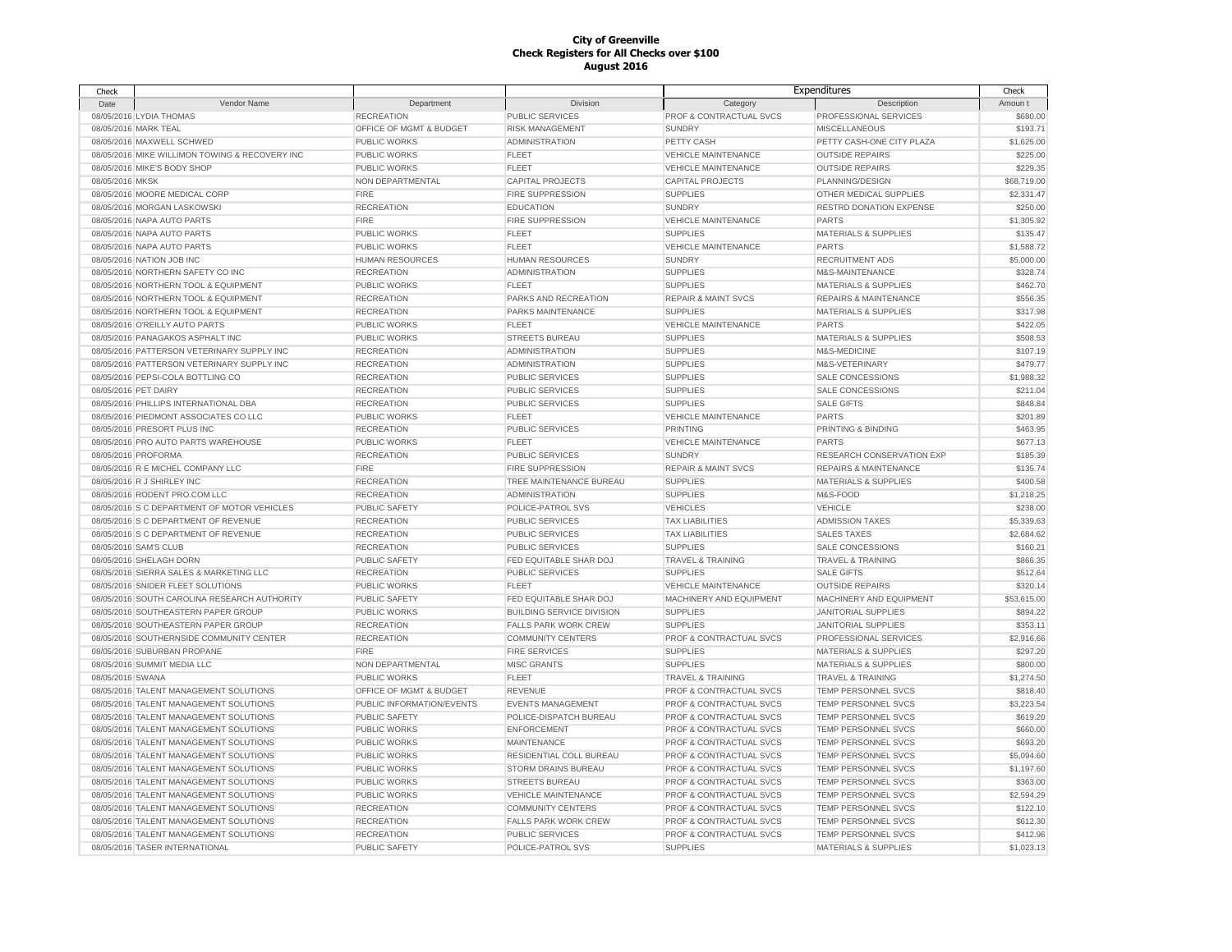| Check                |                                                |                           |                                  |                                      | Expenditures                     | Check       |
|----------------------|------------------------------------------------|---------------------------|----------------------------------|--------------------------------------|----------------------------------|-------------|
| Date                 | Vendor Name                                    | Department                | Division                         | Category                             | Description                      | Amoun t     |
|                      | 08/05/2016 LYDIA THOMAS                        | <b>RECREATION</b>         | PUBLIC SERVICES                  | PROF & CONTRACTUAL SVCS              | PROFESSIONAL SERVICES            | \$680.00    |
|                      | 08/05/2016 MARK TEAL                           | OFFICE OF MGMT & BUDGET   | <b>RISK MANAGEMENT</b>           | <b>SUNDRY</b>                        | <b>MISCELLANEOUS</b>             | \$193.71    |
|                      | 08/05/2016 MAXWELL SCHWED                      | <b>PUBLIC WORKS</b>       | <b>ADMINISTRATION</b>            | PETTY CASH                           | PETTY CASH-ONE CITY PLAZA        | \$1,625.00  |
|                      | 08/05/2016 MIKE WILLIMON TOWING & RECOVERY INC | PUBLIC WORKS              | <b>FLEET</b>                     | <b>VEHICLE MAINTENANCE</b>           | <b>OUTSIDE REPAIRS</b>           | \$225.00    |
|                      | 08/05/2016 MIKE'S BODY SHOP                    | <b>PUBLIC WORKS</b>       | <b>FLEET</b>                     | <b>VEHICLE MAINTENANCE</b>           | <b>OUTSIDE REPAIRS</b>           | \$229.35    |
| 08/05/2016 MKSK      |                                                | NON DEPARTMENTAL          | <b>CAPITAL PROJECTS</b>          | <b>CAPITAL PROJECTS</b>              | PLANNING/DESIGN                  | \$68,719.00 |
|                      | 08/05/2016 MOORE MEDICAL CORP                  | <b>FIRE</b>               | <b>FIRE SUPPRESSION</b>          | <b>SUPPLIES</b>                      | OTHER MEDICAL SUPPLIES           | \$2,331.47  |
|                      | 08/05/2016 MORGAN LASKOWSKI                    | <b>RECREATION</b>         | <b>EDUCATION</b>                 | <b>SUNDRY</b>                        | <b>RESTRD DONATION EXPENSE</b>   | \$250.00    |
|                      | 08/05/2016 NAPA AUTO PARTS                     | <b>FIRE</b>               | <b>FIRE SUPPRESSION</b>          | <b>VEHICLE MAINTENANCE</b>           | <b>PARTS</b>                     | \$1,305.92  |
|                      | 08/05/2016 NAPA AUTO PARTS                     | <b>PUBLIC WORKS</b>       | <b>FLEET</b>                     | <b>SUPPLIES</b>                      | <b>MATERIALS &amp; SUPPLIES</b>  | \$135.47    |
|                      | 08/05/2016 NAPA AUTO PARTS                     | <b>PUBLIC WORKS</b>       | <b>FLEET</b>                     | <b>VEHICLE MAINTENANCE</b>           | <b>PARTS</b>                     | \$1,588.72  |
|                      |                                                |                           |                                  | <b>SUNDRY</b>                        |                                  |             |
|                      | 08/05/2016 NATION JOB INC                      | HUMAN RESOURCES           | <b>HUMAN RESOURCES</b>           |                                      | RECRUITMENT ADS                  | \$5,000.00  |
|                      | 08/05/2016 NORTHERN SAFETY CO INC              | <b>RECREATION</b>         | <b>ADMINISTRATION</b>            | <b>SUPPLIES</b>                      | M&S-MAINTENANCE                  | \$328.74    |
|                      | 08/05/2016 NORTHERN TOOL & EQUIPMENT           | <b>PUBLIC WORKS</b>       | <b>FLEET</b>                     | <b>SUPPLIES</b>                      | MATERIALS & SUPPLIES             | \$462.70    |
|                      | 08/05/2016 NORTHERN TOOL & EQUIPMENT           | <b>RECREATION</b>         | PARKS AND RECREATION             | <b>REPAIR &amp; MAINT SVCS</b>       | REPAIRS & MAINTENANCE            | \$556.35    |
|                      | 08/05/2016 NORTHERN TOOL & EQUIPMENT           | <b>RECREATION</b>         | PARKS MAINTENANCE                | <b>SUPPLIES</b>                      | MATERIALS & SUPPLIES             | \$317.98    |
|                      | 08/05/2016 O'REILLY AUTO PARTS                 | <b>PUBLIC WORKS</b>       | <b>FLEET</b>                     | <b>VEHICLE MAINTENANCE</b>           | <b>PARTS</b>                     | \$422.05    |
|                      | 08/05/2016 PANAGAKOS ASPHALT INC               | <b>PUBLIC WORKS</b>       | <b>STREETS BUREAU</b>            | <b>SUPPLIES</b>                      | <b>MATERIALS &amp; SUPPLIES</b>  | \$508.53    |
|                      | 08/05/2016 PATTERSON VETERINARY SUPPLY INC     | <b>RECREATION</b>         | <b>ADMINISTRATION</b>            | <b>SUPPLIES</b>                      | M&S-MEDICINE                     | \$107.19    |
|                      | 08/05/2016 PATTERSON VETERINARY SUPPLY INC     | <b>RECREATION</b>         | <b>ADMINISTRATION</b>            | <b>SUPPLIES</b>                      | M&S-VETERINARY                   | \$479.77    |
|                      | 08/05/2016 PEPSI-COLA BOTTLING CO              | <b>RECREATION</b>         | <b>PUBLIC SERVICES</b>           | <b>SUPPLIES</b>                      | SALE CONCESSIONS                 | \$1,988.32  |
| 08/05/2016 PET DAIRY |                                                | <b>RECREATION</b>         | PUBLIC SERVICES                  | <b>SUPPLIES</b>                      | SALE CONCESSIONS                 | \$211.04    |
|                      | 08/05/2016 PHILLIPS INTERNATIONAL DBA          | <b>RECREATION</b>         | <b>PUBLIC SERVICES</b>           | <b>SUPPLIES</b>                      | <b>SALE GIFTS</b>                | \$848.84    |
|                      | 08/05/2016 PIEDMONT ASSOCIATES CO LLC          | PUBLIC WORKS              | <b>FLEET</b>                     | <b>VEHICLE MAINTENANCE</b>           | <b>PARTS</b>                     | \$201.89    |
|                      | 08/05/2016 PRESORT PLUS INC                    | <b>RECREATION</b>         | PUBLIC SERVICES                  | <b>PRINTING</b>                      | PRINTING & BINDING               | \$463.95    |
|                      | 08/05/2016 PRO AUTO PARTS WAREHOUSE            | <b>PUBLIC WORKS</b>       | <b>FLEET</b>                     | <b>VEHICLE MAINTENANCE</b>           | <b>PARTS</b>                     | \$677.13    |
|                      | 08/05/2016 PROFORMA                            | <b>RECREATION</b>         | <b>PUBLIC SERVICES</b>           | <b>SUNDRY</b>                        | RESEARCH CONSERVATION EXP        | \$185.39    |
|                      | 08/05/2016 R E MICHEL COMPANY LLC              | <b>FIRE</b>               | <b>FIRE SUPPRESSION</b>          | <b>REPAIR &amp; MAINT SVCS</b>       | <b>REPAIRS &amp; MAINTENANCE</b> | \$135.74    |
|                      | 08/05/2016 R J SHIRLEY INC                     | <b>RECREATION</b>         | TREE MAINTENANCE BUREAU          | <b>SUPPLIES</b>                      | <b>MATERIALS &amp; SUPPLIES</b>  | \$400.58    |
|                      | 08/05/2016 RODENT PRO.COM LLC                  | <b>RECREATION</b>         | <b>ADMINISTRATION</b>            | <b>SUPPLIES</b>                      | M&S-FOOD                         | \$1,218.25  |
|                      | 08/05/2016 S C DEPARTMENT OF MOTOR VEHICLES    | PUBLIC SAFETY             | POLICE-PATROL SVS                | <b>VEHICLES</b>                      | <b>VEHICLE</b>                   | \$238.00    |
|                      | 08/05/2016 S C DEPARTMENT OF REVENUE           | <b>RECREATION</b>         | <b>PUBLIC SERVICES</b>           | <b>TAX LIABILITIES</b>               | <b>ADMISSION TAXES</b>           | \$5,339.63  |
|                      | 08/05/2016 S C DEPARTMENT OF REVENUE           | <b>RECREATION</b>         | <b>PUBLIC SERVICES</b>           | <b>TAX LIABILITIES</b>               | <b>SALES TAXES</b>               | \$2,684.62  |
|                      | 08/05/2016 SAM'S CLUB                          | <b>RECREATION</b>         | <b>PUBLIC SERVICES</b>           | <b>SUPPLIES</b>                      | SALE CONCESSIONS                 | \$160.21    |
|                      | 08/05/2016 SHELAGH DORN                        | PUBLIC SAFETY             | FED EQUITABLE SHAR DOJ           |                                      | <b>TRAVEL &amp; TRAINING</b>     | \$866.35    |
|                      |                                                |                           |                                  | TRAVEL & TRAINING<br><b>SUPPLIES</b> | <b>SALE GIFTS</b>                |             |
|                      | 08/05/2016 SIERRA SALES & MARKETING LLC        | <b>RECREATION</b>         | <b>PUBLIC SERVICES</b>           |                                      |                                  | \$512.64    |
|                      | 08/05/2016 SNIDER FLEET SOLUTIONS              | <b>PUBLIC WORKS</b>       | <b>FLEET</b>                     | <b>VEHICLE MAINTENANCE</b>           | <b>OUTSIDE REPAIRS</b>           | \$320.14    |
|                      | 08/05/2016 SOUTH CAROLINA RESEARCH AUTHORITY   | PUBLIC SAFETY             | FED EQUITABLE SHAR DOJ           | MACHINERY AND EQUIPMENT              | MACHINERY AND EQUIPMENT          | \$53,615.00 |
|                      | 08/05/2016 SOUTHEASTERN PAPER GROUP            | PUBLIC WORKS              | <b>BUILDING SERVICE DIVISION</b> | <b>SUPPLIES</b>                      | JANITORIAL SUPPLIES              | \$894.22    |
|                      | 08/05/2016 SOUTHEASTERN PAPER GROUP            | <b>RECREATION</b>         | <b>FALLS PARK WORK CREW</b>      | <b>SUPPLIES</b>                      | <b>JANITORIAL SUPPLIES</b>       | \$353.11    |
|                      | 08/05/2016 SOUTHERNSIDE COMMUNITY CENTER       | <b>RECREATION</b>         | <b>COMMUNITY CENTERS</b>         | PROF & CONTRACTUAL SVCS              | PROFESSIONAL SERVICES            | \$2,916.66  |
|                      | 08/05/2016 SUBURBAN PROPANE                    | <b>FIRE</b>               | <b>FIRE SERVICES</b>             | <b>SUPPLIES</b>                      | <b>MATERIALS &amp; SUPPLIES</b>  | \$297.20    |
|                      | 08/05/2016 SUMMIT MEDIA LLC                    | NON DEPARTMENTAL          | <b>MISC GRANTS</b>               | <b>SUPPLIES</b>                      | MATERIALS & SUPPLIES             | \$800.00    |
| 08/05/2016 SWANA     |                                                | PUBLIC WORKS              | <b>FLEET</b>                     | <b>TRAVEL &amp; TRAINING</b>         | <b>TRAVEL &amp; TRAINING</b>     | \$1,274.50  |
|                      | 08/05/2016 TALENT MANAGEMENT SOLUTIONS         | OFFICE OF MGMT & BUDGET   | <b>REVENUE</b>                   | PROF & CONTRACTUAL SVCS              | TEMP PERSONNEL SVCS              | \$818.40    |
|                      | 08/05/2016 TALENT MANAGEMENT SOLUTIONS         | PUBLIC INFORMATION/EVENTS | <b>EVENTS MANAGEMENT</b>         | PROF & CONTRACTUAL SVCS              | TEMP PERSONNEL SVCS              | \$3,223.54  |
|                      | 08/05/2016 TALENT MANAGEMENT SOLUTIONS         | PUBLIC SAFETY             | POLICE-DISPATCH BUREAU           | PROF & CONTRACTUAL SVCS              | TEMP PERSONNEL SVCS              | \$619.20    |
|                      | 08/05/2016 TALENT MANAGEMENT SOLUTIONS         | <b>PUBLIC WORKS</b>       | <b>ENFORCEMENT</b>               | PROF & CONTRACTUAL SVCS              | TEMP PERSONNEL SVCS              | \$660.00    |
|                      | 08/05/2016 TALENT MANAGEMENT SOLUTIONS         | <b>PUBLIC WORKS</b>       | MAINTENANCE                      | PROF & CONTRACTUAL SVCS              | TEMP PERSONNEL SVCS              | \$693.20    |
|                      | 08/05/2016 TALENT MANAGEMENT SOLUTIONS         | <b>PUBLIC WORKS</b>       | RESIDENTIAL COLL BUREAU          | PROF & CONTRACTUAL SVCS              | TEMP PERSONNEL SVCS              | \$5,094.60  |
|                      | 08/05/2016 TALENT MANAGEMENT SOLUTIONS         | <b>PUBLIC WORKS</b>       | <b>STORM DRAINS BUREAU</b>       | PROF & CONTRACTUAL SVCS              | TEMP PERSONNEL SVCS              | \$1,197.60  |
|                      | 08/05/2016 TALENT MANAGEMENT SOLUTIONS         | PUBLIC WORKS              | <b>STREETS BUREAU</b>            | PROF & CONTRACTUAL SVCS              | TEMP PERSONNEL SVCS              | \$363.00    |
|                      | 08/05/2016 TALENT MANAGEMENT SOLUTIONS         | <b>PUBLIC WORKS</b>       | <b>VEHICLE MAINTENANCE</b>       | PROF & CONTRACTUAL SVCS              | TEMP PERSONNEL SVCS              | \$2,594.29  |
|                      | 08/05/2016 TALENT MANAGEMENT SOLUTIONS         | <b>RECREATION</b>         | <b>COMMUNITY CENTERS</b>         | PROF & CONTRACTUAL SVCS              | <b>TEMP PERSONNEL SVCS</b>       | \$122.10    |
|                      | 08/05/2016 TALENT MANAGEMENT SOLUTIONS         | <b>RECREATION</b>         | <b>FALLS PARK WORK CREW</b>      | <b>PROF &amp; CONTRACTUAL SVCS</b>   | TEMP PERSONNEL SVCS              | \$612.30    |
|                      | 08/05/2016 TALENT MANAGEMENT SOLUTIONS         | <b>RECREATION</b>         | PUBLIC SERVICES                  | PROF & CONTRACTUAL SVCS              | <b>TEMP PERSONNEL SVCS</b>       | \$412.96    |
|                      | 08/05/2016 TASER INTERNATIONAL                 | PUBLIC SAFETY             | POLICE-PATROL SVS                | <b>SUPPLIES</b>                      | <b>MATERIALS &amp; SUPPLIES</b>  | \$1,023.13  |
|                      |                                                |                           |                                  |                                      |                                  |             |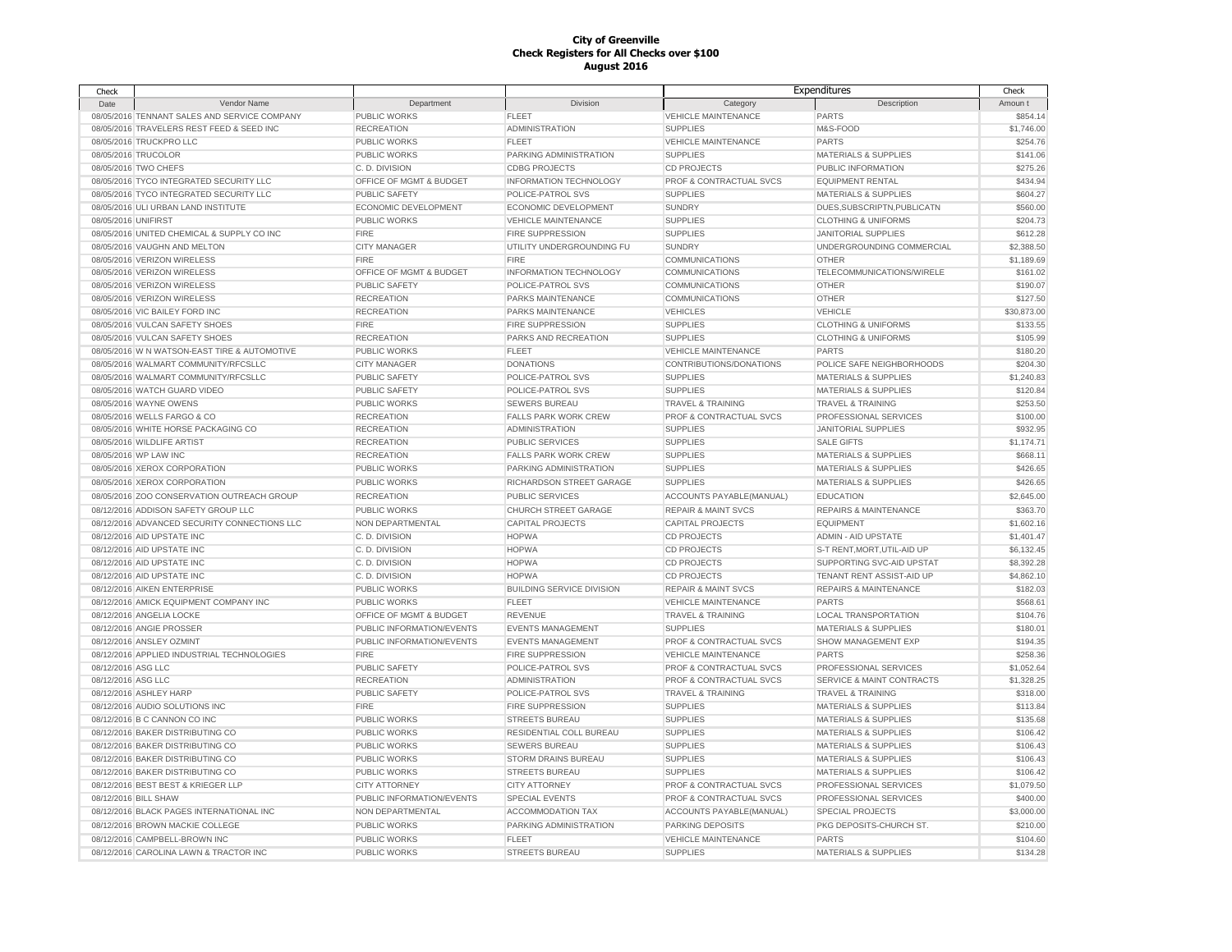| Check               |                                              |                           |                                  |                                | Expenditures                     | Check       |
|---------------------|----------------------------------------------|---------------------------|----------------------------------|--------------------------------|----------------------------------|-------------|
| Date                | Vendor Name                                  | Department                | Division                         | Category                       | Description                      | Amoun t     |
|                     | 08/05/2016 TENNANT SALES AND SERVICE COMPANY | PUBLIC WORKS              | <b>FLEET</b>                     | <b>VEHICLE MAINTENANCE</b>     | <b>PARTS</b>                     | \$854.14    |
|                     | 08/05/2016 TRAVELERS REST FEED & SEED INC    | <b>RECREATION</b>         | <b>ADMINISTRATION</b>            | <b>SUPPLIES</b>                | M&S-FOOD                         | \$1,746.00  |
|                     | 08/05/2016 TRUCKPRO LLC                      | PUBLIC WORKS              | <b>FLEET</b>                     | <b>VEHICLE MAINTENANCE</b>     | <b>PARTS</b>                     | \$254.76    |
|                     | 08/05/2016 TRUCOLOR                          | <b>PUBLIC WORKS</b>       | PARKING ADMINISTRATION           | <b>SUPPLIES</b>                | <b>MATERIALS &amp; SUPPLIES</b>  | \$141.06    |
|                     | 08/05/2016 TWO CHEFS                         | C.D. DIVISION             | <b>CDBG PROJECTS</b>             | <b>CD PROJECTS</b>             | PUBLIC INFORMATION               | \$275.26    |
|                     | 08/05/2016 TYCO INTEGRATED SECURITY LLC      | OFFICE OF MGMT & BUDGET   | <b>INFORMATION TECHNOLOGY</b>    | PROF & CONTRACTUAL SVCS        | <b>EQUIPMENT RENTAL</b>          | \$434.94    |
|                     | 08/05/2016 TYCO INTEGRATED SECURITY LLC      | <b>PUBLIC SAFETY</b>      | POLICE-PATROL SVS                | <b>SUPPLIES</b>                | MATERIALS & SUPPLIES             | \$604.27    |
|                     | 08/05/2016 ULI URBAN LAND INSTITUTE          | ECONOMIC DEVELOPMENT      | <b>ECONOMIC DEVELOPMENT</b>      | <b>SUNDRY</b>                  | DUES, SUBSCRIPTN, PUBLICATN      | \$560.00    |
| 08/05/2016 UNIFIRST |                                              | PUBLIC WORKS              | <b>VEHICLE MAINTENANCE</b>       | <b>SUPPLIES</b>                | <b>CLOTHING &amp; UNIFORMS</b>   | \$204.73    |
|                     | 08/05/2016 UNITED CHEMICAL & SUPPLY CO INC   | <b>FIRE</b>               | FIRE SUPPRESSION                 | <b>SUPPLIES</b>                | <b>JANITORIAL SUPPLIES</b>       | \$612.28    |
|                     | 08/05/2016 VAUGHN AND MELTON                 | <b>CITY MANAGER</b>       | UTILITY UNDERGROUNDING FU        | <b>SUNDRY</b>                  | UNDERGROUNDING COMMERCIAL        | \$2,388.50  |
|                     | 08/05/2016 VERIZON WIRELESS                  | <b>FIRE</b>               | <b>FIRE</b>                      | <b>COMMUNICATIONS</b>          | <b>OTHER</b>                     | \$1,189.69  |
|                     | 08/05/2016 VERIZON WIRELESS                  | OFFICE OF MGMT & BUDGET   | INFORMATION TECHNOLOGY           | <b>COMMUNICATIONS</b>          | TELECOMMUNICATIONS/WIRELE        | \$161.02    |
|                     | 08/05/2016 VERIZON WIRELESS                  | <b>PUBLIC SAFETY</b>      | POLICE-PATROL SVS                | <b>COMMUNICATIONS</b>          | <b>OTHER</b>                     | \$190.07    |
|                     | 08/05/2016 VERIZON WIRELESS                  | <b>RECREATION</b>         | PARKS MAINTENANCE                | COMMUNICATIONS                 | <b>OTHER</b>                     | \$127.50    |
|                     | 08/05/2016 VIC BAILEY FORD INC               | <b>RECREATION</b>         | PARKS MAINTENANCE                | <b>VEHICLES</b>                | <b>VEHICLE</b>                   | \$30,873.00 |
|                     | 08/05/2016 VULCAN SAFETY SHOES               | <b>FIRE</b>               | <b>FIRE SUPPRESSION</b>          | <b>SUPPLIES</b>                | <b>CLOTHING &amp; UNIFORMS</b>   | \$133.55    |
|                     | 08/05/2016 VULCAN SAFETY SHOES               | <b>RECREATION</b>         | PARKS AND RECREATION             | <b>SUPPLIES</b>                | <b>CLOTHING &amp; UNIFORMS</b>   | \$105.99    |
|                     | 08/05/2016 W N WATSON-EAST TIRE & AUTOMOTIVE | PUBLIC WORKS              | <b>FLEET</b>                     | <b>VEHICLE MAINTENANCE</b>     | <b>PARTS</b>                     | \$180.20    |
|                     | 08/05/2016 WALMART COMMUNITY/RFCSLLC         | <b>CITY MANAGER</b>       | <b>DONATIONS</b>                 | CONTRIBUTIONS/DONATIONS        | POLICE SAFE NEIGHBORHOODS        | \$204.30    |
|                     | 08/05/2016 WALMART COMMUNITY/RFCSLLC         | PUBLIC SAFETY             | POLICE-PATROL SVS                | <b>SUPPLIES</b>                | <b>MATERIALS &amp; SUPPLIES</b>  | \$1,240.83  |
|                     | 08/05/2016 WATCH GUARD VIDEO                 | PUBLIC SAFETY             | POLICE-PATROL SVS                | <b>SUPPLIES</b>                | <b>MATERIALS &amp; SUPPLIES</b>  | \$120.84    |
|                     | 08/05/2016 WAYNE OWENS                       | PUBLIC WORKS              | <b>SEWERS BUREAU</b>             | TRAVEL & TRAINING              | <b>TRAVEL &amp; TRAINING</b>     | \$253.50    |
|                     | 08/05/2016 WELLS FARGO & CO                  | <b>RECREATION</b>         | <b>FALLS PARK WORK CREW</b>      | PROF & CONTRACTUAL SVCS        | PROFESSIONAL SERVICES            | \$100.00    |
|                     | 08/05/2016 WHITE HORSE PACKAGING CO          | <b>RECREATION</b>         | <b>ADMINISTRATION</b>            | <b>SUPPLIES</b>                | <b>JANITORIAL SUPPLIES</b>       | \$932.95    |
|                     | 08/05/2016 WILDLIFE ARTIST                   | <b>RECREATION</b>         | PUBLIC SERVICES                  | <b>SUPPLIES</b>                | <b>SALE GIFTS</b>                | \$1,174.71  |
|                     | 08/05/2016 WP LAW INC                        | <b>RECREATION</b>         | <b>FALLS PARK WORK CREW</b>      | <b>SUPPLIES</b>                | <b>MATERIALS &amp; SUPPLIES</b>  | \$668.11    |
|                     | 08/05/2016 XEROX CORPORATION                 | PUBLIC WORKS              | PARKING ADMINISTRATION           | <b>SUPPLIES</b>                | <b>MATERIALS &amp; SUPPLIES</b>  | \$426.65    |
|                     | 08/05/2016 XEROX CORPORATION                 | PUBLIC WORKS              | RICHARDSON STREET GARAGE         | <b>SUPPLIES</b>                | <b>MATERIALS &amp; SUPPLIES</b>  | \$426.65    |
|                     | 08/05/2016 ZOO CONSERVATION OUTREACH GROUP   | <b>RECREATION</b>         | PUBLIC SERVICES                  | ACCOUNTS PAYABLE(MANUAL)       | <b>EDUCATION</b>                 | \$2,645.00  |
|                     | 08/12/2016 ADDISON SAFETY GROUP LLC          | PUBLIC WORKS              | CHURCH STREET GARAGE             | <b>REPAIR &amp; MAINT SVCS</b> | <b>REPAIRS &amp; MAINTENANCE</b> | \$363.70    |
|                     |                                              |                           |                                  |                                |                                  |             |
|                     | 08/12/2016 ADVANCED SECURITY CONNECTIONS LLC | NON DEPARTMENTAL          | CAPITAL PROJECTS                 | <b>CAPITAL PROJECTS</b>        | <b>EQUIPMENT</b>                 | \$1,602.16  |
|                     | 08/12/2016 AID UPSTATE INC                   | C.D. DIVISION             | <b>HOPWA</b>                     | <b>CD PROJECTS</b>             | <b>ADMIN - AID UPSTATE</b>       | \$1,401.47  |
|                     | 08/12/2016 AID UPSTATE INC                   | C.D. DIVISION             | <b>HOPWA</b>                     | <b>CD PROJECTS</b>             | S-T RENT, MORT, UTIL-AID UP      | \$6,132.45  |
|                     | 08/12/2016 AID UPSTATE INC                   | C.D. DIVISION             | <b>HOPWA</b>                     | <b>CD PROJECTS</b>             | SUPPORTING SVC-AID UPSTAT        | \$8,392.28  |
|                     | 08/12/2016 AID UPSTATE INC                   | C.D. DIVISION             | <b>HOPWA</b>                     | <b>CD PROJECTS</b>             | TENANT RENT ASSIST-AID UP        | \$4,862.10  |
|                     | 08/12/2016 AIKEN ENTERPRISE                  | PUBLIC WORKS              | <b>BUILDING SERVICE DIVISION</b> | <b>REPAIR &amp; MAINT SVCS</b> | <b>REPAIRS &amp; MAINTENANCE</b> | \$182.03    |
|                     | 08/12/2016 AMICK EQUIPMENT COMPANY INC       | PUBLIC WORKS              | <b>FLEET</b>                     | <b>VEHICLE MAINTENANCE</b>     | <b>PARTS</b>                     | \$568.61    |
|                     | 08/12/2016 ANGELIA LOCKE                     | OFFICE OF MGMT & BUDGET   | REVENUE                          | <b>TRAVEL &amp; TRAINING</b>   | <b>LOCAL TRANSPORTATION</b>      | \$104.76    |
|                     | 08/12/2016 ANGIE PROSSER                     | PUBLIC INFORMATION/EVENTS | <b>EVENTS MANAGEMENT</b>         | <b>SUPPLIES</b>                | <b>MATERIALS &amp; SUPPLIES</b>  | \$180.01    |
|                     | 08/12/2016 ANSLEY OZMINT                     | PUBLIC INFORMATION/EVENTS | <b>EVENTS MANAGEMENT</b>         | PROF & CONTRACTUAL SVCS        | <b>SHOW MANAGEMENT EXP</b>       | \$194.35    |
|                     | 08/12/2016 APPLIED INDUSTRIAL TECHNOLOGIES   | <b>FIRE</b>               | FIRE SUPPRESSION                 | <b>VEHICLE MAINTENANCE</b>     | <b>PARTS</b>                     | \$258.36    |
| 08/12/2016 ASG LLC  |                                              | PUBLIC SAFETY             | POLICE-PATROL SVS                | PROF & CONTRACTUAL SVCS        | PROFESSIONAL SERVICES            | \$1,052.64  |
| 08/12/2016 ASG LLC  |                                              | <b>RECREATION</b>         | <b>ADMINISTRATION</b>            | PROF & CONTRACTUAL SVCS        | SERVICE & MAINT CONTRACTS        | \$1,328.25  |
|                     | 08/12/2016 ASHLEY HARP                       | <b>PUBLIC SAFETY</b>      | POLICE-PATROL SVS                | <b>TRAVEL &amp; TRAINING</b>   | <b>TRAVEL &amp; TRAINING</b>     | \$318.00    |
|                     | 08/12/2016 AUDIO SOLUTIONS INC               | <b>FIRE</b>               | <b>FIRE SUPPRESSION</b>          | <b>SUPPLIES</b>                | <b>MATERIALS &amp; SUPPLIES</b>  | \$113.84    |
|                     | 08/12/2016 B C CANNON CO INC                 | <b>PUBLIC WORKS</b>       | <b>STREETS BUREAU</b>            | <b>SUPPLIES</b>                | <b>MATERIALS &amp; SUPPLIES</b>  | \$135.68    |
|                     | 08/12/2016 BAKER DISTRIBUTING CO             | <b>PUBLIC WORKS</b>       | RESIDENTIAL COLL BUREAU          | <b>SUPPLIES</b>                | <b>MATERIALS &amp; SUPPLIES</b>  | \$106.42    |
|                     | 08/12/2016 BAKER DISTRIBUTING CO             | <b>PUBLIC WORKS</b>       | SEWERS BUREAU                    | <b>SUPPLIES</b>                | <b>MATERIALS &amp; SUPPLIES</b>  | \$106.43    |
|                     | 08/12/2016 BAKER DISTRIBUTING CO             | PUBLIC WORKS              | STORM DRAINS BUREAU              | <b>SUPPLIES</b>                | MATERIALS & SUPPLIES             | \$106.43    |
|                     | 08/12/2016 BAKER DISTRIBUTING CO             | <b>PUBLIC WORKS</b>       | <b>STREETS BUREAU</b>            | <b>SUPPLIES</b>                | <b>MATERIALS &amp; SUPPLIES</b>  | \$106.42    |
|                     | 08/12/2016 BEST BEST & KRIEGER LLP           | <b>CITY ATTORNEY</b>      | <b>CITY ATTORNEY</b>             | PROF & CONTRACTUAL SVCS        | PROFESSIONAL SERVICES            | \$1,079.50  |
|                     | 08/12/2016 BILL SHAW                         | PUBLIC INFORMATION/EVENTS | <b>SPECIAL EVENTS</b>            | PROF & CONTRACTUAL SVCS        | PROFESSIONAL SERVICES            | \$400.00    |
|                     | 08/12/2016 BLACK PAGES INTERNATIONAL INC     | NON DEPARTMENTAL          | ACCOMMODATION TAX                | ACCOUNTS PAYABLE(MANUAL)       | <b>SPECIAL PROJECTS</b>          | \$3,000.00  |
|                     | 08/12/2016 BROWN MACKIE COLLEGE              | PUBLIC WORKS              | PARKING ADMINISTRATION           | PARKING DEPOSITS               | PKG DEPOSITS-CHURCH ST.          | \$210.00    |
|                     | 08/12/2016 CAMPBELL-BROWN INC                | PUBLIC WORKS              | <b>FLEET</b>                     | <b>VEHICLE MAINTENANCE</b>     | <b>PARTS</b>                     | \$104.60    |
|                     | 08/12/2016 CAROLINA LAWN & TRACTOR INC       | PUBLIC WORKS              | <b>STREETS BUREAU</b>            | <b>SUPPLIES</b>                | <b>MATERIALS &amp; SUPPLIES</b>  | \$134.28    |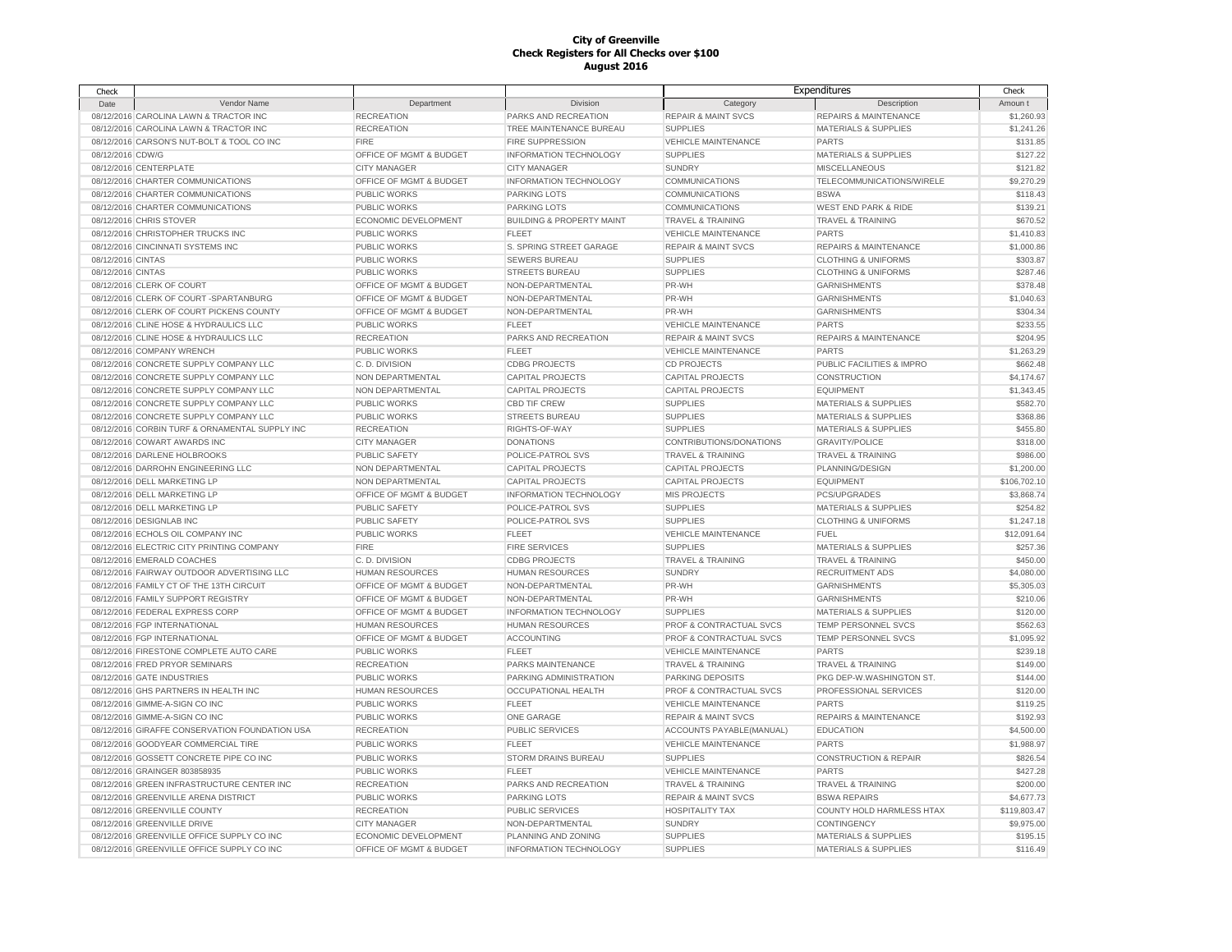| Check             |                                                |                         |                                      |                                | Expenditures                     | Check        |
|-------------------|------------------------------------------------|-------------------------|--------------------------------------|--------------------------------|----------------------------------|--------------|
| Date              | Vendor Name                                    | Department              | Division                             | Category                       | Description                      | Amoun t      |
|                   | 08/12/2016 CAROLINA LAWN & TRACTOR INC         | <b>RECREATION</b>       | PARKS AND RECREATION                 | <b>REPAIR &amp; MAINT SVCS</b> | <b>REPAIRS &amp; MAINTENANCE</b> | \$1,260.93   |
|                   | 08/12/2016 CAROLINA LAWN & TRACTOR INC         | <b>RECREATION</b>       | TREE MAINTENANCE BUREAU              | <b>SUPPLIES</b>                | <b>MATERIALS &amp; SUPPLIES</b>  | \$1,241.26   |
|                   | 08/12/2016 CARSON'S NUT-BOLT & TOOL CO INC     | <b>FIRE</b>             | <b>FIRE SUPPRESSION</b>              | <b>VEHICLE MAINTENANCE</b>     | <b>PARTS</b>                     | \$131.85     |
| 08/12/2016 CDW/G  |                                                | OFFICE OF MGMT & BUDGET | INFORMATION TECHNOLOGY               | <b>SUPPLIES</b>                | <b>MATERIALS &amp; SUPPLIES</b>  | \$127.22     |
|                   | 08/12/2016 CENTERPLATE                         | <b>CITY MANAGER</b>     | <b>CITY MANAGER</b>                  | <b>SUNDRY</b>                  | <b>MISCELLANEOUS</b>             | \$121.82     |
|                   | 08/12/2016 CHARTER COMMUNICATIONS              | OFFICE OF MGMT & BUDGET | INFORMATION TECHNOLOGY               | <b>COMMUNICATIONS</b>          | TELECOMMUNICATIONS/WIRELE        | \$9,270.29   |
|                   | 08/12/2016 CHARTER COMMUNICATIONS              | PUBLIC WORKS            | <b>PARKING LOTS</b>                  | COMMUNICATIONS                 | <b>BSWA</b>                      | \$118.43     |
|                   | 08/12/2016 CHARTER COMMUNICATIONS              | <b>PUBLIC WORKS</b>     | <b>PARKING LOTS</b>                  | <b>COMMUNICATIONS</b>          | <b>WEST END PARK &amp; RIDE</b>  | \$139.21     |
|                   | 08/12/2016 CHRIS STOVER                        | ECONOMIC DEVELOPMENT    | <b>BUILDING &amp; PROPERTY MAINT</b> | <b>TRAVEL &amp; TRAINING</b>   | <b>TRAVEL &amp; TRAINING</b>     | \$670.52     |
|                   | 08/12/2016 CHRISTOPHER TRUCKS INC              | <b>PUBLIC WORKS</b>     | <b>FLEET</b>                         | <b>VEHICLE MAINTENANCE</b>     | <b>PARTS</b>                     | \$1,410.83   |
|                   | 08/12/2016 CINCINNATI SYSTEMS INC              | <b>PUBLIC WORKS</b>     | S. SPRING STREET GARAGE              | <b>REPAIR &amp; MAINT SVCS</b> | <b>REPAIRS &amp; MAINTENANCE</b> | \$1,000.86   |
| 08/12/2016 CINTAS |                                                | PUBLIC WORKS            | <b>SEWERS BUREAU</b>                 | <b>SUPPLIES</b>                | <b>CLOTHING &amp; UNIFORMS</b>   | \$303.87     |
| 08/12/2016 CINTAS |                                                | PUBLIC WORKS            | <b>STREETS BUREAU</b>                | <b>SUPPLIES</b>                | <b>CLOTHING &amp; UNIFORMS</b>   | \$287.46     |
|                   | 08/12/2016 CLERK OF COURT                      | OFFICE OF MGMT & BUDGET | NON-DEPARTMENTAL                     | PR-WH                          | <b>GARNISHMENTS</b>              | \$378.48     |
|                   | 08/12/2016 CLERK OF COURT -SPARTANBURG         | OFFICE OF MGMT & BUDGET | NON-DEPARTMENTAL                     | PR-WH                          | <b>GARNISHMENTS</b>              | \$1,040.63   |
|                   | 08/12/2016 CLERK OF COURT PICKENS COUNTY       | OFFICE OF MGMT & BUDGET | NON-DEPARTMENTAL                     | PR-WH                          | <b>GARNISHMENTS</b>              | \$304.34     |
|                   | 08/12/2016 CLINE HOSE & HYDRAULICS LLC         | <b>PUBLIC WORKS</b>     | <b>FLEET</b>                         | <b>VEHICLE MAINTENANCE</b>     | <b>PARTS</b>                     | \$233.55     |
|                   | 08/12/2016 CLINE HOSE & HYDRAULICS LLC         | <b>RECREATION</b>       | PARKS AND RECREATION                 | <b>REPAIR &amp; MAINT SVCS</b> | <b>REPAIRS &amp; MAINTENANCE</b> | \$204.95     |
|                   | 08/12/2016 COMPANY WRENCH                      | <b>PUBLIC WORKS</b>     | <b>FLEET</b>                         | <b>VEHICLE MAINTENANCE</b>     | <b>PARTS</b>                     | \$1,263.29   |
|                   | 08/12/2016 CONCRETE SUPPLY COMPANY LLC         | C.D. DIVISION           | <b>CDBG PROJECTS</b>                 | <b>CD PROJECTS</b>             | PUBLIC FACILITIES & IMPRO        | \$662.48     |
|                   | 08/12/2016 CONCRETE SUPPLY COMPANY LLC         | NON DEPARTMENTAL        | <b>CAPITAL PROJECTS</b>              | <b>CAPITAL PROJECTS</b>        | CONSTRUCTION                     | \$4,174.67   |
|                   | 08/12/2016 CONCRETE SUPPLY COMPANY LLC         | NON DEPARTMENTAL        | <b>CAPITAL PROJECTS</b>              | <b>CAPITAL PROJECTS</b>        | <b>EQUIPMENT</b>                 | \$1,343.45   |
|                   | 08/12/2016 CONCRETE SUPPLY COMPANY LLC         | PUBLIC WORKS            | <b>CBD TIF CREW</b>                  | <b>SUPPLIES</b>                | <b>MATERIALS &amp; SUPPLIES</b>  | \$582.70     |
|                   | 08/12/2016 CONCRETE SUPPLY COMPANY LLC         | <b>PUBLIC WORKS</b>     | <b>STREETS BUREAU</b>                | <b>SUPPLIES</b>                | <b>MATERIALS &amp; SUPPLIES</b>  | \$368.86     |
|                   | 08/12/2016 CORBIN TURF & ORNAMENTAL SUPPLY INC | <b>RECREATION</b>       | RIGHTS-OF-WAY                        | <b>SUPPLIES</b>                | <b>MATERIALS &amp; SUPPLIES</b>  | \$455.80     |
|                   | 08/12/2016 COWART AWARDS INC                   | <b>CITY MANAGER</b>     | <b>DONATIONS</b>                     | CONTRIBUTIONS/DONATIONS        | <b>GRAVITY/POLICE</b>            | \$318.00     |
|                   | 08/12/2016 DARLENE HOLBROOKS                   | PUBLIC SAFETY           | POLICE-PATROL SVS                    | <b>TRAVEL &amp; TRAINING</b>   | <b>TRAVEL &amp; TRAINING</b>     | \$986.00     |
|                   | 08/12/2016 DARROHN ENGINEERING LLC             | NON DEPARTMENTAL        | <b>CAPITAL PROJECTS</b>              | CAPITAL PROJECTS               | PLANNING/DESIGN                  | \$1,200.00   |
|                   | 08/12/2016 DELL MARKETING LP                   | NON DEPARTMENTAL        | <b>CAPITAL PROJECTS</b>              | <b>CAPITAL PROJECTS</b>        | <b>EQUIPMENT</b>                 | \$106,702.10 |
|                   | 08/12/2016 DELL MARKETING LP                   | OFFICE OF MGMT & BUDGET | INFORMATION TECHNOLOGY               | <b>MIS PROJECTS</b>            | PCS/UPGRADES                     | \$3,868.74   |
|                   | 08/12/2016 DELL MARKETING LP                   | <b>PUBLIC SAFETY</b>    | POLICE-PATROL SVS                    | <b>SUPPLIES</b>                | <b>MATERIALS &amp; SUPPLIES</b>  | \$254.82     |
|                   | 08/12/2016 DESIGNLAB INC                       | PUBLIC SAFETY           | POLICE-PATROL SVS                    | <b>SUPPLIES</b>                | <b>CLOTHING &amp; UNIFORMS</b>   | \$1,247.18   |
|                   | 08/12/2016 ECHOLS OIL COMPANY INC              | <b>PUBLIC WORKS</b>     | <b>FLEET</b>                         | <b>VEHICLE MAINTENANCE</b>     | <b>FUEL</b>                      | \$12,091.64  |
|                   | 08/12/2016 ELECTRIC CITY PRINTING COMPANY      | <b>FIRE</b>             | <b>FIRE SERVICES</b>                 | <b>SUPPLIES</b>                | <b>MATERIALS &amp; SUPPLIES</b>  | \$257.36     |
|                   | 08/12/2016 EMERALD COACHES                     | C.D. DIVISION           | <b>CDBG PROJECTS</b>                 |                                | <b>TRAVEL &amp; TRAINING</b>     | \$450.00     |
|                   | 08/12/2016 FAIRWAY OUTDOOR ADVERTISING LLC     | <b>HUMAN RESOURCES</b>  |                                      | TRAVEL & TRAINING              | <b>RECRUITMENT ADS</b>           | \$4,080.00   |
|                   |                                                |                         | HUMAN RESOURCES                      | <b>SUNDRY</b>                  |                                  |              |
|                   | 08/12/2016 FAMILY CT OF THE 13TH CIRCUIT       | OFFICE OF MGMT & BUDGET | NON-DEPARTMENTAL<br>NON-DEPARTMENTAL | PR-WH                          | <b>GARNISHMENTS</b>              | \$5,305.03   |
|                   | 08/12/2016 FAMILY SUPPORT REGISTRY             | OFFICE OF MGMT & BUDGET |                                      | PR-WH                          | <b>GARNISHMENTS</b>              | \$210.06     |
|                   | 08/12/2016 FEDERAL EXPRESS CORP                | OFFICE OF MGMT & BUDGET | INFORMATION TECHNOLOGY               | <b>SUPPLIES</b>                | <b>MATERIALS &amp; SUPPLIES</b>  | \$120.00     |
|                   | 08/12/2016 FGP INTERNATIONAL                   | <b>HUMAN RESOURCES</b>  | <b>HUMAN RESOURCES</b>               | PROF & CONTRACTUAL SVCS        | TEMP PERSONNEL SVCS              | \$562.63     |
|                   | 08/12/2016 FGP INTERNATIONAL                   | OFFICE OF MGMT & BUDGET | <b>ACCOUNTING</b>                    | PROF & CONTRACTUAL SVCS        | TEMP PERSONNEL SVCS              | \$1,095.92   |
|                   | 08/12/2016 FIRESTONE COMPLETE AUTO CARE        | <b>PUBLIC WORKS</b>     | FLEET                                | <b>VEHICLE MAINTENANCE</b>     | <b>PARTS</b>                     | \$239.18     |
|                   | 08/12/2016 FRED PRYOR SEMINARS                 | <b>RECREATION</b>       | PARKS MAINTENANCE                    | <b>TRAVEL &amp; TRAINING</b>   | <b>TRAVEL &amp; TRAINING</b>     | \$149.00     |
|                   | 08/12/2016 GATE INDUSTRIES                     | PUBLIC WORKS            | PARKING ADMINISTRATION               | PARKING DEPOSITS               | PKG DEP-W.WASHINGTON ST.         | \$144.00     |
|                   | 08/12/2016 GHS PARTNERS IN HEALTH INC          | <b>HUMAN RESOURCES</b>  | OCCUPATIONAL HEALTH                  | PROF & CONTRACTUAL SVCS        | PROFESSIONAL SERVICES            | \$120.00     |
|                   | 08/12/2016 GIMME-A-SIGN CO INC                 | PUBLIC WORKS            | <b>FLEET</b>                         | <b>VEHICLE MAINTENANCE</b>     | <b>PARTS</b>                     | \$119.25     |
|                   | 08/12/2016 GIMME-A-SIGN CO INC                 | PUBLIC WORKS            | ONE GARAGE                           | <b>REPAIR &amp; MAINT SVCS</b> | <b>REPAIRS &amp; MAINTENANCE</b> | \$192.93     |
|                   | 08/12/2016 GIRAFFE CONSERVATION FOUNDATION USA | <b>RECREATION</b>       | PUBLIC SERVICES                      | ACCOUNTS PAYABLE(MANUAL)       | <b>EDUCATION</b>                 | \$4,500.00   |
|                   | 08/12/2016 GOODYEAR COMMERCIAL TIRE            | <b>PUBLIC WORKS</b>     | <b>FLEET</b>                         | <b>VEHICLE MAINTENANCE</b>     | <b>PARTS</b>                     | \$1,988.97   |
|                   | 08/12/2016 GOSSETT CONCRETE PIPE CO INC        | <b>PUBLIC WORKS</b>     | STORM DRAINS BUREAU                  | <b>SUPPLIES</b>                | <b>CONSTRUCTION &amp; REPAIR</b> | \$826.54     |
|                   | 08/12/2016 GRAINGER 803858935                  | <b>PUBLIC WORKS</b>     | <b>FLEET</b>                         | <b>VEHICLE MAINTENANCE</b>     | <b>PARTS</b>                     | \$427.28     |
|                   | 08/12/2016 GREEN INFRASTRUCTURE CENTER INC     | <b>RECREATION</b>       | PARKS AND RECREATION                 | <b>TRAVEL &amp; TRAINING</b>   | <b>TRAVEL &amp; TRAINING</b>     | \$200.00     |
|                   | 08/12/2016 GREENVILLE ARENA DISTRICT           | PUBLIC WORKS            | <b>PARKING LOTS</b>                  | <b>REPAIR &amp; MAINT SVCS</b> | <b>BSWA REPAIRS</b>              | \$4,677.73   |
|                   | 08/12/2016 GREENVILLE COUNTY                   | <b>RECREATION</b>       | PUBLIC SERVICES                      | <b>HOSPITALITY TAX</b>         | COUNTY HOLD HARMLESS HTAX        | \$119,803.47 |
|                   | 08/12/2016 GREENVILLE DRIVE                    | <b>CITY MANAGER</b>     | NON-DEPARTMENTAL                     | <b>SUNDRY</b>                  | CONTINGENCY                      | \$9,975.00   |
|                   | 08/12/2016 GREENVILLE OFFICE SUPPLY CO INC     | ECONOMIC DEVELOPMENT    | PLANNING AND ZONING                  | <b>SUPPLIES</b>                | <b>MATERIALS &amp; SUPPLIES</b>  | \$195.15     |
|                   | 08/12/2016 GREENVILLE OFFICE SUPPLY CO INC     | OFFICE OF MGMT & BUDGET | <b>INFORMATION TECHNOLOGY</b>        | <b>SUPPLIES</b>                | <b>MATERIALS &amp; SUPPLIES</b>  | \$116.49     |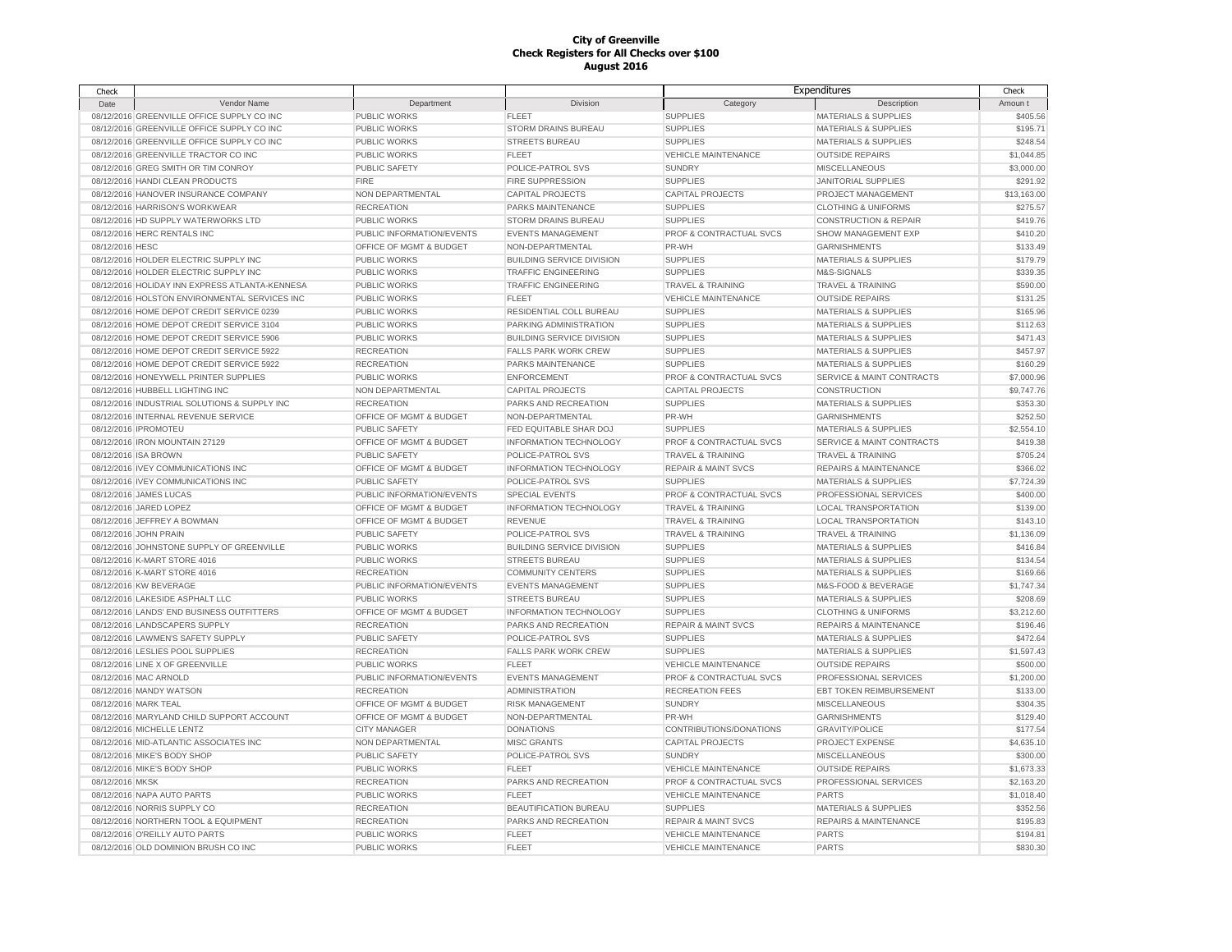| Check           |                                                |                                                 |                                             |                                                   | Expenditures                     | Check       |
|-----------------|------------------------------------------------|-------------------------------------------------|---------------------------------------------|---------------------------------------------------|----------------------------------|-------------|
| Date            | Vendor Name                                    | Department                                      | Division                                    | Category                                          | Description                      | Amoun t     |
|                 | 08/12/2016 GREENVILLE OFFICE SUPPLY CO INC     | PUBLIC WORKS                                    | <b>FLEET</b>                                | <b>SUPPLIES</b>                                   | <b>MATERIALS &amp; SUPPLIES</b>  | \$405.56    |
|                 | 08/12/2016 GREENVILLE OFFICE SUPPLY CO INC     | PUBLIC WORKS                                    | STORM DRAINS BUREAU                         | <b>SUPPLIES</b>                                   | <b>MATERIALS &amp; SUPPLIES</b>  | \$195.71    |
|                 | 08/12/2016 GREENVILLE OFFICE SUPPLY CO INC     | PUBLIC WORKS                                    | <b>STREETS BUREAU</b>                       | <b>SUPPLIES</b>                                   | <b>MATERIALS &amp; SUPPLIES</b>  | \$248.54    |
|                 | 08/12/2016 GREENVILLE TRACTOR CO INC           | PUBLIC WORKS                                    | <b>FLEET</b>                                | <b>VEHICLE MAINTENANCE</b>                        | <b>OUTSIDE REPAIRS</b>           | \$1,044.85  |
|                 | 08/12/2016 GREG SMITH OR TIM CONROY            | PUBLIC SAFETY                                   | POLICE-PATROL SVS                           | <b>SUNDRY</b>                                     | MISCELLANEOUS                    | \$3,000.00  |
|                 | 08/12/2016 HANDI CLEAN PRODUCTS                | <b>FIRE</b>                                     | FIRE SUPPRESSION                            | <b>SUPPLIES</b>                                   | <b>JANITORIAL SUPPLIES</b>       | \$291.92    |
|                 | 08/12/2016 HANOVER INSURANCE COMPANY           | NON DEPARTMENTAL                                | <b>CAPITAL PROJECTS</b>                     | <b>CAPITAL PROJECTS</b>                           | PROJECT MANAGEMENT               | \$13,163.00 |
|                 | 08/12/2016 HARRISON'S WORKWEAR                 | <b>RECREATION</b>                               | PARKS MAINTENANCE                           | <b>SUPPLIES</b>                                   | <b>CLOTHING &amp; UNIFORMS</b>   | \$275.57    |
|                 | 08/12/2016 HD SUPPLY WATERWORKS LTD            | PUBLIC WORKS                                    | STORM DRAINS BUREAU                         | <b>SUPPLIES</b>                                   | <b>CONSTRUCTION &amp; REPAIR</b> | \$419.76    |
|                 | 08/12/2016 HERC RENTALS INC                    | PUBLIC INFORMATION/EVENTS                       | <b>EVENTS MANAGEMENT</b>                    | PROF & CONTRACTUAL SVCS                           | SHOW MANAGEMENT EXP              | \$410.20    |
| 08/12/2016 HESC |                                                | OFFICE OF MGMT & BUDGET                         | NON-DEPARTMENTAL                            | PR-WH                                             | <b>GARNISHMENTS</b>              | \$133.49    |
|                 | 08/12/2016 HOLDER ELECTRIC SUPPLY INC          | PUBLIC WORKS                                    | <b>BUILDING SERVICE DIVISION</b>            | <b>SUPPLIES</b>                                   | <b>MATERIALS &amp; SUPPLIES</b>  | \$179.79    |
|                 | 08/12/2016 HOLDER ELECTRIC SUPPLY INC          | PUBLIC WORKS                                    | <b>TRAFFIC ENGINEERING</b>                  | <b>SUPPLIES</b>                                   | M&S-SIGNALS                      | \$339.35    |
|                 | 08/12/2016 HOLIDAY INN EXPRESS ATLANTA-KENNESA | <b>PUBLIC WORKS</b>                             | <b>TRAFFIC ENGINEERING</b>                  | <b>TRAVEL &amp; TRAINING</b>                      | TRAVEL & TRAINING                | \$590.00    |
|                 | 08/12/2016 HOLSTON ENVIRONMENTAL SERVICES INC  | <b>PUBLIC WORKS</b>                             | <b>FLEET</b>                                | <b>VEHICLE MAINTENANCE</b>                        | <b>OUTSIDE REPAIRS</b>           | \$131.25    |
|                 | 08/12/2016 HOME DEPOT CREDIT SERVICE 0239      | <b>PUBLIC WORKS</b>                             | RESIDENTIAL COLL BUREAU                     | <b>SUPPLIES</b>                                   | <b>MATERIALS &amp; SUPPLIES</b>  | \$165.96    |
|                 | 08/12/2016 HOME DEPOT CREDIT SERVICE 3104      | PUBLIC WORKS                                    | PARKING ADMINISTRATION                      | <b>SUPPLIES</b>                                   | <b>MATERIALS &amp; SUPPLIES</b>  | \$112.63    |
|                 | 08/12/2016 HOME DEPOT CREDIT SERVICE 5906      | <b>PUBLIC WORKS</b>                             | <b>BUILDING SERVICE DIVISION</b>            | <b>SUPPLIES</b>                                   | <b>MATERIALS &amp; SUPPLIES</b>  | \$471.43    |
|                 | 08/12/2016 HOME DEPOT CREDIT SERVICE 5922      | <b>RECREATION</b>                               | <b>FALLS PARK WORK CREW</b>                 | <b>SUPPLIES</b>                                   | <b>MATERIALS &amp; SUPPLIES</b>  | \$457.97    |
|                 | 08/12/2016 HOME DEPOT CREDIT SERVICE 5922      | <b>RECREATION</b>                               | PARKS MAINTENANCE                           | <b>SUPPLIES</b>                                   | <b>MATERIALS &amp; SUPPLIES</b>  | \$160.29    |
|                 | 08/12/2016 HONEYWELL PRINTER SUPPLIES          | PUBLIC WORKS                                    | <b>ENFORCEMENT</b>                          | PROF & CONTRACTUAL SVCS                           | SERVICE & MAINT CONTRACTS        | \$7,000.96  |
|                 | 08/12/2016 HUBBELL LIGHTING INC                | NON DEPARTMENTAL                                | <b>CAPITAL PROJECTS</b>                     | <b>CAPITAL PROJECTS</b>                           | <b>CONSTRUCTION</b>              | \$9,747.76  |
|                 | 08/12/2016 INDUSTRIAL SOLUTIONS & SUPPLY INC   | <b>RECREATION</b>                               | PARKS AND RECREATION                        | <b>SUPPLIES</b>                                   | <b>MATERIALS &amp; SUPPLIES</b>  | \$353.30    |
|                 | 08/12/2016 INTERNAL REVENUE SERVICE            | OFFICE OF MGMT & BUDGET                         | NON-DEPARTMENTAL                            | PR-WH                                             | <b>GARNISHMENTS</b>              | \$252.50    |
|                 | 08/12/2016 IPROMOTEU                           | <b>PUBLIC SAFETY</b>                            | FED EQUITABLE SHAR DOJ                      | <b>SUPPLIES</b>                                   | <b>MATERIALS &amp; SUPPLIES</b>  |             |
|                 |                                                |                                                 |                                             |                                                   |                                  | \$2,554.10  |
|                 | 08/12/2016 IRON MOUNTAIN 27129                 | OFFICE OF MGMT & BUDGET                         | <b>INFORMATION TECHNOLOGY</b>               | PROF & CONTRACTUAL SVCS                           | SERVICE & MAINT CONTRACTS        | \$419.38    |
|                 | 08/12/2016 ISA BROWN                           | PUBLIC SAFETY                                   | POLICE-PATROL SVS                           | <b>TRAVEL &amp; TRAINING</b>                      | <b>TRAVEL &amp; TRAINING</b>     | \$705.24    |
|                 | 08/12/2016 IVEY COMMUNICATIONS INC             | OFFICE OF MGMT & BUDGET<br><b>PUBLIC SAFETY</b> | INFORMATION TECHNOLOGY<br>POLICE-PATROL SVS | <b>REPAIR &amp; MAINT SVCS</b><br><b>SUPPLIES</b> | <b>REPAIRS &amp; MAINTENANCE</b> | \$366.02    |
|                 | 08/12/2016 IVEY COMMUNICATIONS INC             |                                                 |                                             |                                                   | MATERIALS & SUPPLIES             | \$7,724.39  |
|                 | 08/12/2016 JAMES LUCAS                         | PUBLIC INFORMATION/EVENTS                       | SPECIAL EVENTS                              | PROF & CONTRACTUAL SVCS                           | PROFESSIONAL SERVICES            | \$400.00    |
|                 | 08/12/2016 JARED LOPEZ                         | OFFICE OF MGMT & BUDGET                         | INFORMATION TECHNOLOGY                      | <b>TRAVEL &amp; TRAINING</b>                      | LOCAL TRANSPORTATION             | \$139.00    |
|                 | 08/12/2016 JEFFREY A BOWMAN                    | OFFICE OF MGMT & BUDGET                         | <b>REVENUE</b>                              | <b>TRAVEL &amp; TRAINING</b>                      | LOCAL TRANSPORTATION             | \$143.10    |
|                 | 08/12/2016 JOHN PRAIN                          | <b>PUBLIC SAFETY</b>                            | POLICE-PATROL SVS                           | <b>TRAVEL &amp; TRAINING</b>                      | <b>TRAVEL &amp; TRAINING</b>     | \$1,136.09  |
|                 | 08/12/2016 JOHNSTONE SUPPLY OF GREENVILLE      | PUBLIC WORKS                                    | <b>BUILDING SERVICE DIVISION</b>            | <b>SUPPLIES</b>                                   | <b>MATERIALS &amp; SUPPLIES</b>  | \$416.84    |
|                 | 08/12/2016 K-MART STORE 4016                   | PUBLIC WORKS                                    | <b>STREETS BUREAU</b>                       | <b>SUPPLIES</b>                                   | <b>MATERIALS &amp; SUPPLIES</b>  | \$134.54    |
|                 | 08/12/2016 K-MART STORE 4016                   | <b>RECREATION</b>                               | <b>COMMUNITY CENTERS</b>                    | <b>SUPPLIES</b>                                   | <b>MATERIALS &amp; SUPPLIES</b>  | \$169.66    |
|                 | 08/12/2016 KW BEVERAGE                         | PUBLIC INFORMATION/EVENTS                       | <b>EVENTS MANAGEMENT</b>                    | <b>SUPPLIES</b>                                   | M&S-FOOD & BEVERAGE              | \$1,747.34  |
|                 | 08/12/2016 LAKESIDE ASPHALT LLC                | <b>PUBLIC WORKS</b>                             | <b>STREETS BUREAU</b>                       | <b>SUPPLIES</b>                                   | <b>MATERIALS &amp; SUPPLIES</b>  | \$208.69    |
|                 | 08/12/2016 LANDS' END BUSINESS OUTFITTERS      | OFFICE OF MGMT & BUDGET                         | INFORMATION TECHNOLOGY                      | <b>SUPPLIES</b>                                   | <b>CLOTHING &amp; UNIFORMS</b>   | \$3,212.60  |
|                 | 08/12/2016 LANDSCAPERS SUPPLY                  | <b>RECREATION</b>                               | PARKS AND RECREATION                        | <b>REPAIR &amp; MAINT SVCS</b>                    | <b>REPAIRS &amp; MAINTENANCE</b> | \$196.46    |
|                 | 08/12/2016 LAWMEN'S SAFETY SUPPLY              | PUBLIC SAFETY                                   | POLICE-PATROL SVS                           | <b>SUPPLIES</b>                                   | <b>MATERIALS &amp; SUPPLIES</b>  | \$472.64    |
|                 | 08/12/2016 LESLIES POOL SUPPLIES               | <b>RECREATION</b>                               | <b>FALLS PARK WORK CREW</b>                 | <b>SUPPLIES</b>                                   | <b>MATERIALS &amp; SUPPLIES</b>  | \$1,597.43  |
|                 | 08/12/2016 LINE X OF GREENVILLE                | <b>PUBLIC WORKS</b>                             | <b>FLEET</b>                                | <b>VEHICLE MAINTENANCE</b>                        | <b>OUTSIDE REPAIRS</b>           | \$500.00    |
|                 | 08/12/2016 MAC ARNOLD                          | PUBLIC INFORMATION/EVENTS                       | <b>EVENTS MANAGEMENT</b>                    | PROF & CONTRACTUAL SVCS                           | PROFESSIONAL SERVICES            | \$1,200.00  |
|                 | 08/12/2016 MANDY WATSON                        | <b>RECREATION</b>                               | <b>ADMINISTRATION</b>                       | <b>RECREATION FEES</b>                            | EBT TOKEN REIMBURSEMENT          | \$133.00    |
|                 | 08/12/2016 MARK TEAL                           | OFFICE OF MGMT & BUDGET                         | <b>RISK MANAGEMENT</b>                      | <b>SUNDRY</b>                                     | <b>MISCELLANEOUS</b>             | \$304.35    |
|                 | 08/12/2016 MARYLAND CHILD SUPPORT ACCOUNT      | OFFICE OF MGMT & BUDGET                         | NON-DEPARTMENTAL                            | PR-WH                                             | <b>GARNISHMENTS</b>              | \$129.40    |
|                 | 08/12/2016 MICHELLE LENTZ                      | <b>CITY MANAGER</b>                             | <b>DONATIONS</b>                            | CONTRIBUTIONS/DONATIONS                           | <b>GRAVITY/POLICE</b>            | \$177.54    |
|                 | 08/12/2016 MID-ATLANTIC ASSOCIATES INC         | NON DEPARTMENTAL                                | <b>MISC GRANTS</b>                          | <b>CAPITAL PROJECTS</b>                           | PROJECT EXPENSE                  | \$4,635.10  |
|                 | 08/12/2016 MIKE'S BODY SHOP                    | PUBLIC SAFETY                                   | POLICE-PATROL SVS                           | <b>SUNDRY</b>                                     | MISCELLANEOUS                    | \$300.00    |
|                 | 08/12/2016 MIKE'S BODY SHOP                    | PUBLIC WORKS                                    | FLEET                                       | <b>VEHICLE MAINTENANCE</b>                        | <b>OUTSIDE REPAIRS</b>           | \$1,673.33  |
| 08/12/2016 MKSK |                                                | <b>RECREATION</b>                               | PARKS AND RECREATION                        | PROF & CONTRACTUAL SVCS                           | PROFESSIONAL SERVICES            | \$2,163.20  |
|                 | 08/12/2016 NAPA AUTO PARTS                     | PUBLIC WORKS                                    | FLEET                                       | <b>VEHICLE MAINTENANCE</b>                        | <b>PARTS</b>                     | \$1,018.40  |
|                 | 08/12/2016 NORRIS SUPPLY CO                    | <b>RECREATION</b>                               | <b>BEAUTIFICATION BUREAU</b>                | <b>SUPPLIES</b>                                   | <b>MATERIALS &amp; SUPPLIES</b>  | \$352.56    |
|                 | 08/12/2016 NORTHERN TOOL & EQUIPMENT           | <b>RECREATION</b>                               | PARKS AND RECREATION                        | <b>REPAIR &amp; MAINT SVCS</b>                    | <b>REPAIRS &amp; MAINTENANCE</b> | \$195.83    |
|                 | 08/12/2016 O'REILLY AUTO PARTS                 | PUBLIC WORKS                                    | <b>FLEET</b>                                | <b>VEHICLE MAINTENANCE</b>                        | <b>PARTS</b>                     | \$194.81    |
|                 | 08/12/2016 OLD DOMINION BRUSH CO INC           | PUBLIC WORKS                                    | <b>FLEET</b>                                | <b>VEHICLE MAINTENANCE</b>                        | <b>PARTS</b>                     | \$830.30    |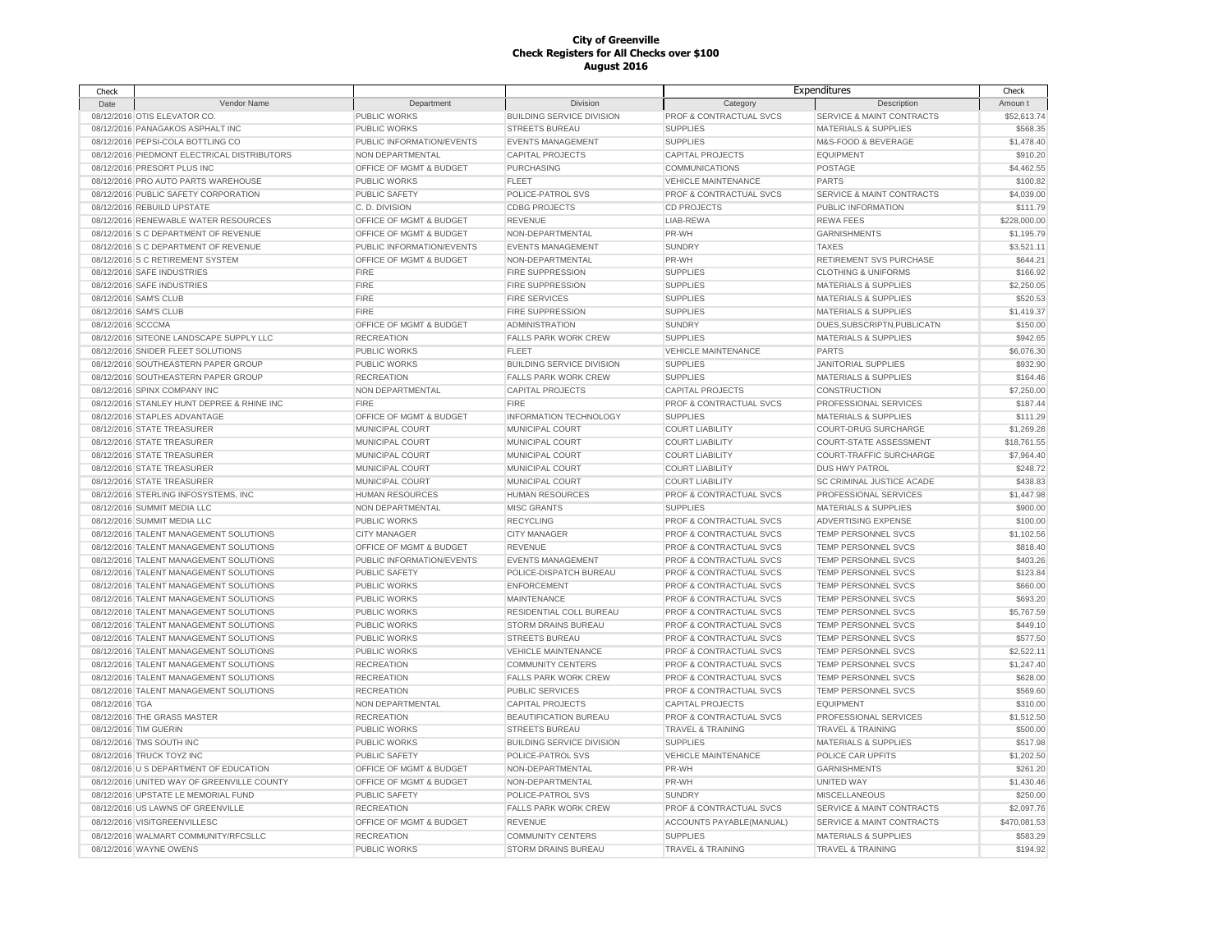| Check             |                                             |                           |                                  |                                    | Expenditures                         | Check        |
|-------------------|---------------------------------------------|---------------------------|----------------------------------|------------------------------------|--------------------------------------|--------------|
| Date              | Vendor Name                                 | Department                | Division                         | Category                           | Description                          | Amoun t      |
|                   | 08/12/2016 OTIS ELEVATOR CO.                | PUBLIC WORKS              | <b>BUILDING SERVICE DIVISION</b> | PROF & CONTRACTUAL SVCS            | SERVICE & MAINT CONTRACTS            | \$52,613.74  |
|                   | 08/12/2016 PANAGAKOS ASPHALT INC            | <b>PUBLIC WORKS</b>       | <b>STREETS BUREAU</b>            | <b>SUPPLIES</b>                    | <b>MATERIALS &amp; SUPPLIES</b>      | \$568.35     |
|                   | 08/12/2016 PEPSI-COLA BOTTLING CO           | PUBLIC INFORMATION/EVENTS | <b>EVENTS MANAGEMENT</b>         | <b>SUPPLIES</b>                    | M&S-FOOD & BEVERAGE                  | \$1,478.40   |
|                   | 08/12/2016 PIEDMONT ELECTRICAL DISTRIBUTORS | NON DEPARTMENTAL          | <b>CAPITAL PROJECTS</b>          | <b>CAPITAL PROJECTS</b>            | <b>EQUIPMENT</b>                     | \$910.20     |
|                   | 08/12/2016 PRESORT PLUS INC                 | OFFICE OF MGMT & BUDGET   | <b>PURCHASING</b>                | <b>COMMUNICATIONS</b>              | POSTAGE                              | \$4,462.55   |
|                   | 08/12/2016 PRO AUTO PARTS WAREHOUSE         | <b>PUBLIC WORKS</b>       | <b>FLEET</b>                     | <b>VEHICLE MAINTENANCE</b>         | <b>PARTS</b>                         | \$100.82     |
|                   | 08/12/2016 PUBLIC SAFETY CORPORATION        | <b>PUBLIC SAFETY</b>      | POLICE-PATROL SVS                | PROF & CONTRACTUAL SVCS            | SERVICE & MAINT CONTRACTS            | \$4,039.00   |
|                   | 08/12/2016 REBUILD UPSTATE                  | C.D. DIVISION             | <b>CDBG PROJECTS</b>             | CD PROJECTS                        | PUBLIC INFORMATION                   | \$111.79     |
|                   | 08/12/2016 RENEWABLE WATER RESOURCES        | OFFICE OF MGMT & BUDGET   | <b>REVENUE</b>                   | LIAB-REWA                          | <b>REWA FEES</b>                     | \$228,000.00 |
|                   | 08/12/2016 S C DEPARTMENT OF REVENUE        | OFFICE OF MGMT & BUDGET   | NON-DEPARTMENTAL                 | PR-WH                              | <b>GARNISHMENTS</b>                  | \$1,195.79   |
|                   | 08/12/2016 S C DEPARTMENT OF REVENUE        | PUBLIC INFORMATION/EVENTS | <b>EVENTS MANAGEMENT</b>         | <b>SUNDRY</b>                      | <b>TAXES</b>                         | \$3,521.11   |
|                   | 08/12/2016 S C RETIREMENT SYSTEM            | OFFICE OF MGMT & BUDGET   | NON-DEPARTMENTAL                 | PR-WH                              | RETIREMENT SVS PURCHASE              | \$644.21     |
|                   | 08/12/2016 SAFE INDUSTRIES                  | <b>FIRE</b>               | FIRE SUPPRESSION                 | <b>SUPPLIES</b>                    | <b>CLOTHING &amp; UNIFORMS</b>       | \$166.92     |
|                   | 08/12/2016 SAFE INDUSTRIES                  | <b>FIRE</b>               | FIRE SUPPRESSION                 | <b>SUPPLIES</b>                    | <b>MATERIALS &amp; SUPPLIES</b>      | \$2,250.05   |
|                   | 08/12/2016 SAM'S CLUB                       | <b>FIRE</b>               | <b>FIRE SERVICES</b>             | <b>SUPPLIES</b>                    | <b>MATERIALS &amp; SUPPLIES</b>      | \$520.53     |
|                   | 08/12/2016 SAM'S CLUB                       | <b>FIRE</b>               | FIRE SUPPRESSION                 | <b>SUPPLIES</b>                    | <b>MATERIALS &amp; SUPPLIES</b>      | \$1,419.37   |
| 08/12/2016 SCCCMA |                                             | OFFICE OF MGMT & BUDGET   | <b>ADMINISTRATION</b>            | <b>SUNDRY</b>                      | DUES, SUBSCRIPTN, PUBLICATN          | \$150.00     |
|                   | 08/12/2016 SITEONE LANDSCAPE SUPPLY LLC     | <b>RECREATION</b>         | <b>FALLS PARK WORK CREW</b>      | <b>SUPPLIES</b>                    | <b>MATERIALS &amp; SUPPLIES</b>      | \$942.65     |
|                   | 08/12/2016 SNIDER FLEET SOLUTIONS           | <b>PUBLIC WORKS</b>       | <b>FLEET</b>                     | <b>VEHICLE MAINTENANCE</b>         | <b>PARTS</b>                         | \$6,076.30   |
|                   | 08/12/2016 SOUTHEASTERN PAPER GROUP         | <b>PUBLIC WORKS</b>       | <b>BUILDING SERVICE DIVISION</b> | <b>SUPPLIES</b>                    | <b>JANITORIAL SUPPLIES</b>           | \$932.90     |
|                   | 08/12/2016 SOUTHEASTERN PAPER GROUP         | <b>RECREATION</b>         | <b>FALLS PARK WORK CREW</b>      | <b>SUPPLIES</b>                    | <b>MATERIALS &amp; SUPPLIES</b>      | \$164.46     |
|                   | 08/12/2016 SPINX COMPANY INC                | NON DEPARTMENTAL          | <b>CAPITAL PROJECTS</b>          | <b>CAPITAL PROJECTS</b>            | CONSTRUCTION                         | \$7,250.00   |
|                   | 08/12/2016 STANLEY HUNT DEPREE & RHINE INC  | <b>FIRE</b>               | <b>FIRE</b>                      | PROF & CONTRACTUAL SVCS            | PROFESSIONAL SERVICES                | \$187.44     |
|                   | 08/12/2016 STAPLES ADVANTAGE                | OFFICE OF MGMT & BUDGET   | <b>INFORMATION TECHNOLOGY</b>    | <b>SUPPLIES</b>                    | <b>MATERIALS &amp; SUPPLIES</b>      | \$111.29     |
|                   | 08/12/2016 STATE TREASURER                  | MUNICIPAL COURT           | MUNICIPAL COURT                  | <b>COURT LIABILITY</b>             | <b>COURT-DRUG SURCHARGE</b>          | \$1,269.28   |
|                   | 08/12/2016 STATE TREASURER                  | MUNICIPAL COURT           | MUNICIPAL COURT                  | <b>COURT LIABILITY</b>             | COURT-STATE ASSESSMENT               | \$18,761.55  |
|                   | 08/12/2016 STATE TREASURER                  | MUNICIPAL COURT           | MUNICIPAL COURT                  | <b>COURT LIABILITY</b>             | COURT-TRAFFIC SURCHARGE              | \$7,964.40   |
|                   | 08/12/2016 STATE TREASURER                  | MUNICIPAL COURT           | MUNICIPAL COURT                  | <b>COURT LIABILITY</b>             | <b>DUS HWY PATROL</b>                | \$248.72     |
|                   | 08/12/2016 STATE TREASURER                  | MUNICIPAL COURT           | MUNICIPAL COURT                  | <b>COURT LIABILITY</b>             | SC CRIMINAL JUSTICE ACADE            | \$438.83     |
|                   | 08/12/2016 STERLING INFOSYSTEMS, INC        | <b>HUMAN RESOURCES</b>    | <b>HUMAN RESOURCES</b>           | PROF & CONTRACTUAL SVCS            | PROFESSIONAL SERVICES                | \$1,447.98   |
|                   | 08/12/2016 SUMMIT MEDIA LLC                 | NON DEPARTMENTAL          | <b>MISC GRANTS</b>               | <b>SUPPLIES</b>                    | <b>MATERIALS &amp; SUPPLIES</b>      | \$900.00     |
|                   | 08/12/2016 SUMMIT MEDIA LLC                 | <b>PUBLIC WORKS</b>       | <b>RECYCLING</b>                 | PROF & CONTRACTUAL SVCS            | ADVERTISING EXPENSE                  | \$100.00     |
|                   | 08/12/2016 TALENT MANAGEMENT SOLUTIONS      |                           |                                  | PROF & CONTRACTUAL SVCS            | TEMP PERSONNEL SVCS                  | \$1,102.56   |
|                   |                                             | <b>CITY MANAGER</b>       | <b>CITY MANAGER</b>              |                                    |                                      |              |
|                   | 08/12/2016 TALENT MANAGEMENT SOLUTIONS      | OFFICE OF MGMT & BUDGET   | <b>REVENUE</b>                   | PROF & CONTRACTUAL SVCS            | <b>TEMP PERSONNEL SVCS</b>           | \$818.40     |
|                   | 08/12/2016 TALENT MANAGEMENT SOLUTIONS      | PUBLIC INFORMATION/EVENTS | <b>EVENTS MANAGEMENT</b>         | PROF & CONTRACTUAL SVCS            | <b>TEMP PERSONNEL SVCS</b>           | \$403.26     |
|                   | 08/12/2016 TALENT MANAGEMENT SOLUTIONS      | <b>PUBLIC SAFETY</b>      | POLICE-DISPATCH BUREAU           | PROF & CONTRACTUAL SVCS            | <b>TEMP PERSONNEL SVCS</b>           | \$123.84     |
|                   | 08/12/2016 TALENT MANAGEMENT SOLUTIONS      | <b>PUBLIC WORKS</b>       | <b>ENFORCEMENT</b>               | PROF & CONTRACTUAL SVCS            | TEMP PERSONNEL SVCS                  | \$660.00     |
|                   | 08/12/2016 TALENT MANAGEMENT SOLUTIONS      | <b>PUBLIC WORKS</b>       | <b>MAINTENANCE</b>               | PROF & CONTRACTUAL SVCS            | TEMP PERSONNEL SVCS                  | \$693.20     |
|                   | 08/12/2016 TALENT MANAGEMENT SOLUTIONS      | <b>PUBLIC WORKS</b>       | RESIDENTIAL COLL BUREAU          | PROF & CONTRACTUAL SVCS            | TEMP PERSONNEL SVCS                  | \$5,767.59   |
|                   | 08/12/2016 TALENT MANAGEMENT SOLUTIONS      | <b>PUBLIC WORKS</b>       | <b>STORM DRAINS BUREAU</b>       | PROF & CONTRACTUAL SVCS            | TEMP PERSONNEL SVCS                  | \$449.10     |
|                   | 08/12/2016 TALENT MANAGEMENT SOLUTIONS      | <b>PUBLIC WORKS</b>       | <b>STREETS BUREAU</b>            | PROF & CONTRACTUAL SVCS            | TEMP PERSONNEL SVCS                  | \$577.50     |
|                   | 08/12/2016 TALENT MANAGEMENT SOLUTIONS      | <b>PUBLIC WORKS</b>       | <b>VEHICLE MAINTENANCE</b>       | PROF & CONTRACTUAL SVCS            | TEMP PERSONNEL SVCS                  | \$2,522.11   |
|                   | 08/12/2016 TALENT MANAGEMENT SOLUTIONS      | <b>RECREATION</b>         | <b>COMMUNITY CENTERS</b>         | PROF & CONTRACTUAL SVCS            | <b>TEMP PERSONNEL SVCS</b>           | \$1,247.40   |
|                   | 08/12/2016 TALENT MANAGEMENT SOLUTIONS      | <b>RECREATION</b>         | <b>FALLS PARK WORK CREW</b>      | <b>PROF &amp; CONTRACTUAL SVCS</b> | <b>TEMP PERSONNEL SVCS</b>           | \$628.00     |
|                   | 08/12/2016 TALENT MANAGEMENT SOLUTIONS      | <b>RECREATION</b>         | <b>PUBLIC SERVICES</b>           | PROF & CONTRACTUAL SVCS            | <b>TEMP PERSONNEL SVCS</b>           | \$569.60     |
| 08/12/2016 TGA    |                                             | NON DEPARTMENTAL          | <b>CAPITAL PROJECTS</b>          | <b>CAPITAL PROJECTS</b>            | <b>EQUIPMENT</b>                     | \$310.00     |
|                   | 08/12/2016 THE GRASS MASTER                 | <b>RECREATION</b>         | BEAUTIFICATION BUREAU            | PROF & CONTRACTUAL SVCS            | PROFESSIONAL SERVICES                | \$1,512.50   |
|                   | 08/12/2016 TIM GUERIN                       | PUBLIC WORKS              | <b>STREETS BUREAU</b>            | <b>TRAVEL &amp; TRAINING</b>       | <b>TRAVEL &amp; TRAINING</b>         | \$500.00     |
|                   | 08/12/2016 TMS SOUTH INC                    | <b>PUBLIC WORKS</b>       | <b>BUILDING SERVICE DIVISION</b> | <b>SUPPLIES</b>                    | <b>MATERIALS &amp; SUPPLIES</b>      | \$517.98     |
|                   | 08/12/2016 TRUCK TOYZ INC                   | <b>PUBLIC SAFETY</b>      | POLICE-PATROL SVS                | <b>VEHICLE MAINTENANCE</b>         | POLICE CAR UPFITS                    | \$1,202.50   |
|                   | 08/12/2016 U S DEPARTMENT OF EDUCATION      | OFFICE OF MGMT & BUDGET   | NON-DEPARTMENTAL                 | PR-WH                              | <b>GARNISHMENTS</b>                  | \$261.20     |
|                   | 08/12/2016 UNITED WAY OF GREENVILLE COUNTY  | OFFICE OF MGMT & BUDGET   | NON-DEPARTMENTAL                 | PR-WH                              | <b>UNITED WAY</b>                    | \$1,430.46   |
|                   | 08/12/2016 UPSTATE LE MEMORIAL FUND         | <b>PUBLIC SAFETY</b>      | POLICE-PATROL SVS                | <b>SUNDRY</b>                      | <b>MISCELLANEOUS</b>                 | \$250.00     |
|                   | 08/12/2016 US LAWNS OF GREENVILLE           | <b>RECREATION</b>         | <b>FALLS PARK WORK CREW</b>      | PROF & CONTRACTUAL SVCS            | <b>SERVICE &amp; MAINT CONTRACTS</b> | \$2,097.76   |
|                   | 08/12/2016 VISITGREENVILLESC                | OFFICE OF MGMT & BUDGET   | <b>REVENUE</b>                   | ACCOUNTS PAYABLE(MANUAL)           | <b>SERVICE &amp; MAINT CONTRACTS</b> | \$470.081.53 |
|                   | 08/12/2016 WALMART COMMUNITY/RFCSLLC        | <b>RECREATION</b>         | <b>COMMUNITY CENTERS</b>         | <b>SUPPLIES</b>                    | <b>MATERIALS &amp; SUPPLIES</b>      | \$583.29     |
|                   | 08/12/2016 WAYNE OWENS                      | PUBLIC WORKS              | <b>STORM DRAINS BUREAU</b>       | <b>TRAVEL &amp; TRAINING</b>       | <b>TRAVEL &amp; TRAINING</b>         | \$194.92     |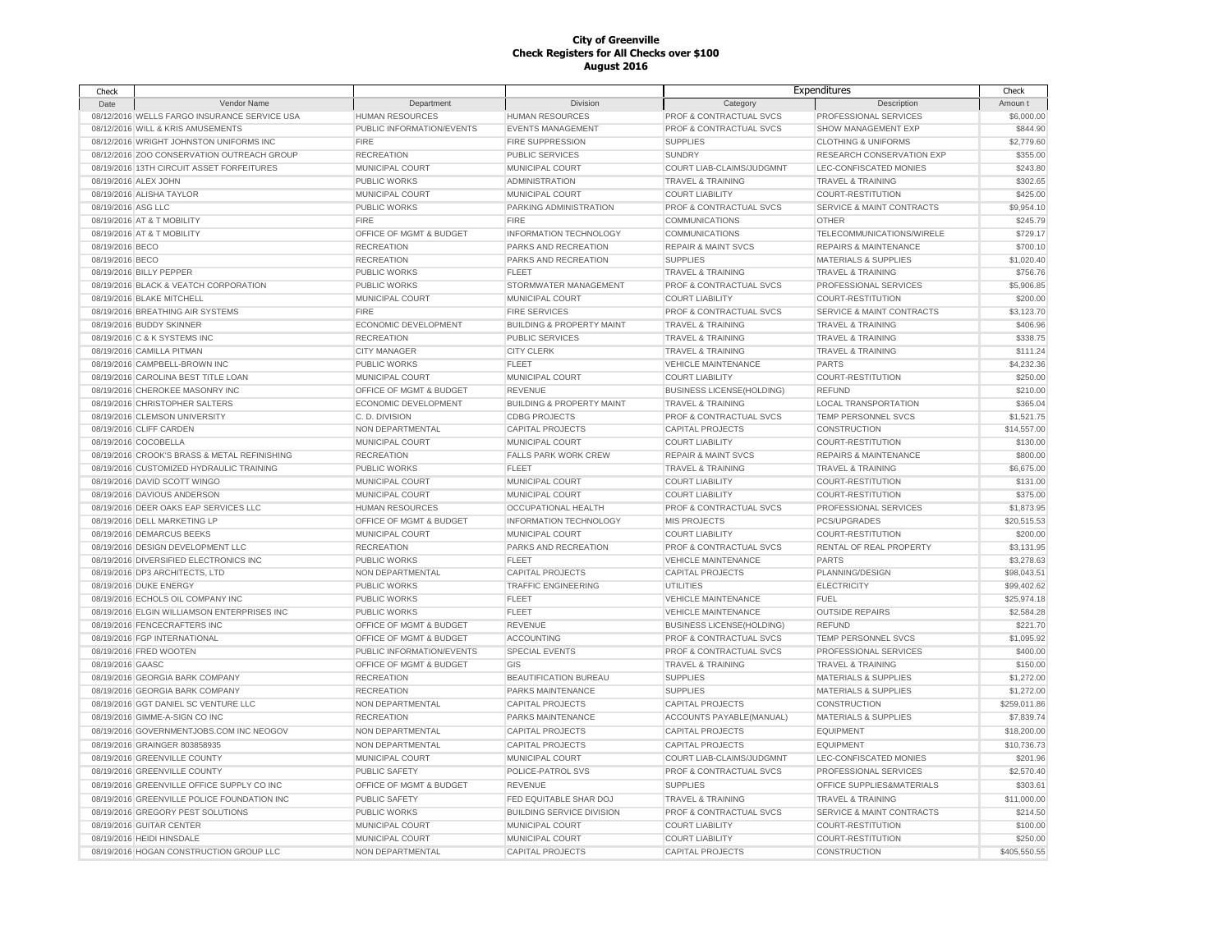| Check              |                                              |                           |                                      |                                  | Expenditures                         | Check                |
|--------------------|----------------------------------------------|---------------------------|--------------------------------------|----------------------------------|--------------------------------------|----------------------|
| Date               | Vendor Name                                  | Department                | Division                             | Category                         | Description                          | Amoun t              |
|                    | 08/12/2016 WELLS FARGO INSURANCE SERVICE USA | HUMAN RESOURCES           | <b>HUMAN RESOURCES</b>               | PROF & CONTRACTUAL SVCS          | PROFESSIONAL SERVICES                | \$6,000.00           |
|                    | 08/12/2016 WILL & KRIS AMUSEMENTS            | PUBLIC INFORMATION/EVENTS | <b>EVENTS MANAGEMENT</b>             | PROF & CONTRACTUAL SVCS          | <b>SHOW MANAGEMENT EXP</b>           | \$844.90             |
|                    | 08/12/2016 WRIGHT JOHNSTON UNIFORMS INC      | <b>FIRE</b>               | <b>FIRE SUPPRESSION</b>              | <b>SUPPLIES</b>                  | <b>CLOTHING &amp; UNIFORMS</b>       | \$2,779.60           |
|                    | 08/12/2016 ZOO CONSERVATION OUTREACH GROUP   | <b>RECREATION</b>         | PUBLIC SERVICES                      | <b>SUNDRY</b>                    | RESEARCH CONSERVATION EXP            | \$355.00             |
|                    | 08/19/2016 13TH CIRCUIT ASSET FORFEITURES    | MUNICIPAL COURT           | MUNICIPAL COURT                      | COURT LIAB-CLAIMS/JUDGMNT        | LEC-CONFISCATED MONIES               | \$243.80             |
|                    | 08/19/2016 ALEX JOHN                         | PUBLIC WORKS              | <b>ADMINISTRATION</b>                | TRAVEL & TRAINING                | <b>TRAVEL &amp; TRAINING</b>         | \$302.65             |
|                    | 08/19/2016 ALISHA TAYLOR                     | MUNICIPAL COURT           | MUNICIPAL COURT                      | <b>COURT LIABILITY</b>           | <b>COURT-RESTITUTION</b>             | \$425.00             |
| 08/19/2016 ASG LLC |                                              | <b>PUBLIC WORKS</b>       | PARKING ADMINISTRATION               | PROF & CONTRACTUAL SVCS          | <b>SERVICE &amp; MAINT CONTRACTS</b> | \$9,954.10           |
|                    | 08/19/2016 AT & T MOBILITY                   | <b>FIRE</b>               | <b>FIRE</b>                          | <b>COMMUNICATIONS</b>            | OTHER                                | \$245.79             |
|                    | 08/19/2016 AT & T MOBILITY                   | OFFICE OF MGMT & BUDGET   | <b>INFORMATION TECHNOLOGY</b>        | COMMUNICATIONS                   | TELECOMMUNICATIONS/WIRELE            | \$729.17             |
| 08/19/2016 BECO    |                                              | <b>RECREATION</b>         | PARKS AND RECREATION                 | <b>REPAIR &amp; MAINT SVCS</b>   | <b>REPAIRS &amp; MAINTENANCE</b>     | \$700.10             |
| 08/19/2016 BECO    |                                              | <b>RECREATION</b>         | PARKS AND RECREATION                 | <b>SUPPLIES</b>                  | <b>MATERIALS &amp; SUPPLIES</b>      | \$1,020.40           |
|                    | 08/19/2016 BILLY PEPPER                      | <b>PUBLIC WORKS</b>       | <b>FLEET</b>                         | <b>TRAVEL &amp; TRAINING</b>     | <b>TRAVEL &amp; TRAINING</b>         | \$756.76             |
|                    | 08/19/2016 BLACK & VEATCH CORPORATION        | <b>PUBLIC WORKS</b>       | STORMWATER MANAGEMENT                | PROF & CONTRACTUAL SVCS          | PROFESSIONAL SERVICES                | \$5,906.85           |
|                    | 08/19/2016 BLAKE MITCHELL                    | MUNICIPAL COURT           | MUNICIPAL COURT                      | <b>COURT LIABILITY</b>           | <b>COURT-RESTITUTION</b>             | \$200.00             |
|                    | 08/19/2016 BREATHING AIR SYSTEMS             | <b>FIRE</b>               | <b>FIRE SERVICES</b>                 | PROF & CONTRACTUAL SVCS          | <b>SERVICE &amp; MAINT CONTRACTS</b> | \$3,123.70           |
|                    | 08/19/2016 BUDDY SKINNER                     | ECONOMIC DEVELOPMENT      | <b>BUILDING &amp; PROPERTY MAINT</b> | <b>TRAVEL &amp; TRAINING</b>     | <b>TRAVEL &amp; TRAINING</b>         | \$406.96             |
|                    | 08/19/2016 C & K SYSTEMS INC                 | <b>RECREATION</b>         | PUBLIC SERVICES                      | TRAVEL & TRAINING                | <b>TRAVEL &amp; TRAINING</b>         | \$338.75             |
|                    | 08/19/2016 CAMILLA PITMAN                    | <b>CITY MANAGER</b>       | <b>CITY CLERK</b>                    | TRAVEL & TRAINING                | TRAVEL & TRAINING                    | \$111.24             |
|                    | 08/19/2016 CAMPBELL-BROWN INC                | <b>PUBLIC WORKS</b>       | <b>FLEET</b>                         | <b>VEHICLE MAINTENANCE</b>       | <b>PARTS</b>                         | \$4,232.36           |
|                    | 08/19/2016 CAROLINA BEST TITLE LOAN          | MUNICIPAL COURT           | MUNICIPAL COURT                      | <b>COURT LIABILITY</b>           | COURT-RESTITUTION                    | \$250.00             |
|                    | 08/19/2016 CHEROKEE MASONRY INC              | OFFICE OF MGMT & BUDGET   | <b>REVENUE</b>                       | <b>BUSINESS LICENSE(HOLDING)</b> | <b>REFUND</b>                        | \$210.00             |
|                    | 08/19/2016 CHRISTOPHER SALTERS               | ECONOMIC DEVELOPMENT      | <b>BUILDING &amp; PROPERTY MAINT</b> | <b>TRAVEL &amp; TRAINING</b>     | <b>LOCAL TRANSPORTATION</b>          | \$365.04             |
|                    | 08/19/2016 CLEMSON UNIVERSITY                | C.D. DIVISION             | <b>CDBG PROJECTS</b>                 | PROF & CONTRACTUAL SVCS          | TEMP PERSONNEL SVCS                  | \$1,521.75           |
|                    | 08/19/2016 CLIFF CARDEN                      | NON DEPARTMENTAL          | <b>CAPITAL PROJECTS</b>              | <b>CAPITAL PROJECTS</b>          | CONSTRUCTION                         | \$14,557.00          |
|                    | 08/19/2016 COCOBELLA                         | MUNICIPAL COURT           | MUNICIPAL COURT                      | <b>COURT LIABILITY</b>           | COURT-RESTITUTION                    | \$130.00             |
|                    | 08/19/2016 CROOK'S BRASS & METAL REFINISHING | <b>RECREATION</b>         | FALLS PARK WORK CREW                 | <b>REPAIR &amp; MAINT SVCS</b>   | <b>REPAIRS &amp; MAINTENANCE</b>     | \$800.00             |
|                    | 08/19/2016 CUSTOMIZED HYDRAULIC TRAINING     | <b>PUBLIC WORKS</b>       | <b>FLEET</b>                         | <b>TRAVEL &amp; TRAINING</b>     | <b>TRAVEL &amp; TRAINING</b>         | \$6,675.00           |
|                    | 08/19/2016 DAVID SCOTT WINGO                 | MUNICIPAL COURT           | MUNICIPAL COURT                      | <b>COURT LIABILITY</b>           | <b>COURT-RESTITUTION</b>             | \$131.00             |
|                    | 08/19/2016 DAVIOUS ANDERSON                  | MUNICIPAL COURT           | MUNICIPAL COURT                      | <b>COURT LIABILITY</b>           | <b>COURT-RESTITUTION</b>             | \$375.00             |
|                    | 08/19/2016 DEER OAKS EAP SERVICES LLC        | <b>HUMAN RESOURCES</b>    | <b>OCCUPATIONAL HEALTH</b>           | PROF & CONTRACTUAL SVCS          | PROFESSIONAL SERVICES                | \$1,873.95           |
|                    | 08/19/2016 DELL MARKETING LP                 | OFFICE OF MGMT & BUDGET   | <b>INFORMATION TECHNOLOGY</b>        | <b>MIS PROJECTS</b>              | PCS/UPGRADES                         | \$20,515.53          |
|                    | 08/19/2016 DEMARCUS BEEKS                    | MUNICIPAL COURT           | MUNICIPAL COURT                      | <b>COURT LIABILITY</b>           | COURT-RESTITUTION                    | \$200.00             |
|                    | 08/19/2016 DESIGN DEVELOPMENT LLC            | <b>RECREATION</b>         | PARKS AND RECREATION                 | PROF & CONTRACTUAL SVCS          | RENTAL OF REAL PROPERTY              | \$3,131.95           |
|                    | 08/19/2016 DIVERSIFIED ELECTRONICS INC       | PUBLIC WORKS              | <b>FLEET</b>                         | VEHICLE MAINTENANCE              | <b>PARTS</b>                         | \$3,278.63           |
|                    | 08/19/2016 DP3 ARCHITECTS, LTD               | NON DEPARTMENTAL          | <b>CAPITAL PROJECTS</b>              | <b>CAPITAL PROJECTS</b>          | PLANNING/DESIGN                      | \$98,043.51          |
|                    | 08/19/2016 DUKE ENERGY                       | <b>PUBLIC WORKS</b>       | <b>TRAFFIC ENGINEERING</b>           | <b>UTILITIES</b>                 | <b>ELECTRICITY</b>                   | \$99,402.62          |
|                    | 08/19/2016 ECHOLS OIL COMPANY INC            | <b>PUBLIC WORKS</b>       | <b>FLEET</b>                         | <b>VEHICLE MAINTENANCE</b>       | <b>FUEL</b>                          | \$25,974.18          |
|                    | 08/19/2016 ELGIN WILLIAMSON ENTERPRISES INC  | <b>PUBLIC WORKS</b>       | <b>FLEET</b>                         | <b>VEHICLE MAINTENANCE</b>       | <b>OUTSIDE REPAIRS</b>               | \$2,584.28           |
|                    | 08/19/2016 FENCECRAFTERS INC                 | OFFICE OF MGMT & BUDGET   | <b>REVENUE</b>                       | <b>BUSINESS LICENSE(HOLDING)</b> | <b>REFUND</b>                        | \$221.70             |
|                    | 08/19/2016 FGP INTERNATIONAL                 | OFFICE OF MGMT & BUDGET   | <b>ACCOUNTING</b>                    | PROF & CONTRACTUAL SVCS          | TEMP PERSONNEL SVCS                  | \$1,095.92           |
|                    | 08/19/2016 FRED WOOTEN                       | PUBLIC INFORMATION/EVENTS | <b>SPECIAL EVENTS</b>                | PROF & CONTRACTUAL SVCS          | PROFESSIONAL SERVICES                | \$400.00             |
| 08/19/2016 GAASC   |                                              | OFFICE OF MGMT & BUDGET   | GIS                                  | <b>TRAVEL &amp; TRAINING</b>     | <b>TRAVEL &amp; TRAINING</b>         | \$150.00             |
|                    | 08/19/2016 GEORGIA BARK COMPANY              | <b>RECREATION</b>         | BEAUTIFICATION BUREAU                | <b>SUPPLIES</b>                  | <b>MATERIALS &amp; SUPPLIES</b>      | \$1,272.00           |
|                    | 08/19/2016 GEORGIA BARK COMPANY              | <b>RECREATION</b>         | PARKS MAINTENANCE                    | <b>SUPPLIES</b>                  | <b>MATERIALS &amp; SUPPLIES</b>      | \$1,272.00           |
|                    | 08/19/2016 GGT DANIEL SC VENTURE LLC         | NON DEPARTMENTAL          | <b>CAPITAL PROJECTS</b>              | <b>CAPITAL PROJECTS</b>          | CONSTRUCTION                         | \$259,011.86         |
|                    | 08/19/2016 GIMME-A-SIGN CO INC               | <b>RECREATION</b>         | PARKS MAINTENANCE                    | ACCOUNTS PAYABLE(MANUAL)         | <b>MATERIALS &amp; SUPPLIES</b>      | \$7,839.74           |
|                    | 08/19/2016 GOVERNMENTJOBS.COM INC NEOGOV     | NON DEPARTMENTAL          | <b>CAPITAL PROJECTS</b>              | <b>CAPITAL PROJECTS</b>          | <b>EQUIPMENT</b>                     | \$18,200.00          |
|                    | 08/19/2016 GRAINGER 803858935                | NON DEPARTMENTAL          | <b>CAPITAL PROJECTS</b>              | <b>CAPITAL PROJECTS</b>          | <b>EQUIPMENT</b>                     | \$10,736.73          |
|                    | 08/19/2016 GREENVILLE COUNTY                 | MUNICIPAL COURT           | MUNICIPAL COURT                      | COURT LIAB-CLAIMS/JUDGMNT        | LEC-CONFISCATED MONIES               | \$201.96             |
|                    | 08/19/2016 GREENVILLE COUNTY                 | <b>PUBLIC SAFETY</b>      | POLICE-PATROL SVS                    | PROF & CONTRACTUAL SVCS          | PROFESSIONAL SERVICES                | \$2,570.40           |
|                    | 08/19/2016 GREENVILLE OFFICE SUPPLY CO INC   | OFFICE OF MGMT & BUDGET   | <b>REVENUE</b>                       | <b>SUPPLIES</b>                  | OFFICE SUPPLIES&MATERIALS            | \$303.61             |
|                    | 08/19/2016 GREENVILLE POLICE FOUNDATION INC  | PUBLIC SAFETY             | FED EQUITABLE SHAR DOJ               | <b>TRAVEL &amp; TRAINING</b>     | <b>TRAVEL &amp; TRAINING</b>         | \$11,000.00          |
|                    |                                              |                           |                                      |                                  |                                      |                      |
|                    | 08/19/2016 GREGORY PEST SOLUTIONS            | <b>PUBLIC WORKS</b>       | <b>BUILDING SERVICE DIVISION</b>     | PROF & CONTRACTUAL SVCS          | <b>SERVICE &amp; MAINT CONTRACTS</b> | \$214.50             |
|                    | 08/19/2016 GUITAR CENTER                     | MUNICIPAL COURT           | MUNICIPAL COURT                      | <b>COURT LIABILITY</b>           | <b>COURT-RESTITUTION</b>             | \$100.00<br>\$250.00 |
|                    | 08/19/2016 HEIDI HINSDALE                    | MUNICIPAL COURT           | MUNICIPAL COURT                      | <b>COURT LIABILITY</b>           | <b>COURT-RESTITUTION</b>             |                      |
|                    | 08/19/2016 HOGAN CONSTRUCTION GROUP LLC      | NON DEPARTMENTAL          | <b>CAPITAL PROJECTS</b>              | <b>CAPITAL PROJECTS</b>          | <b>CONSTRUCTION</b>                  | \$405,550.55         |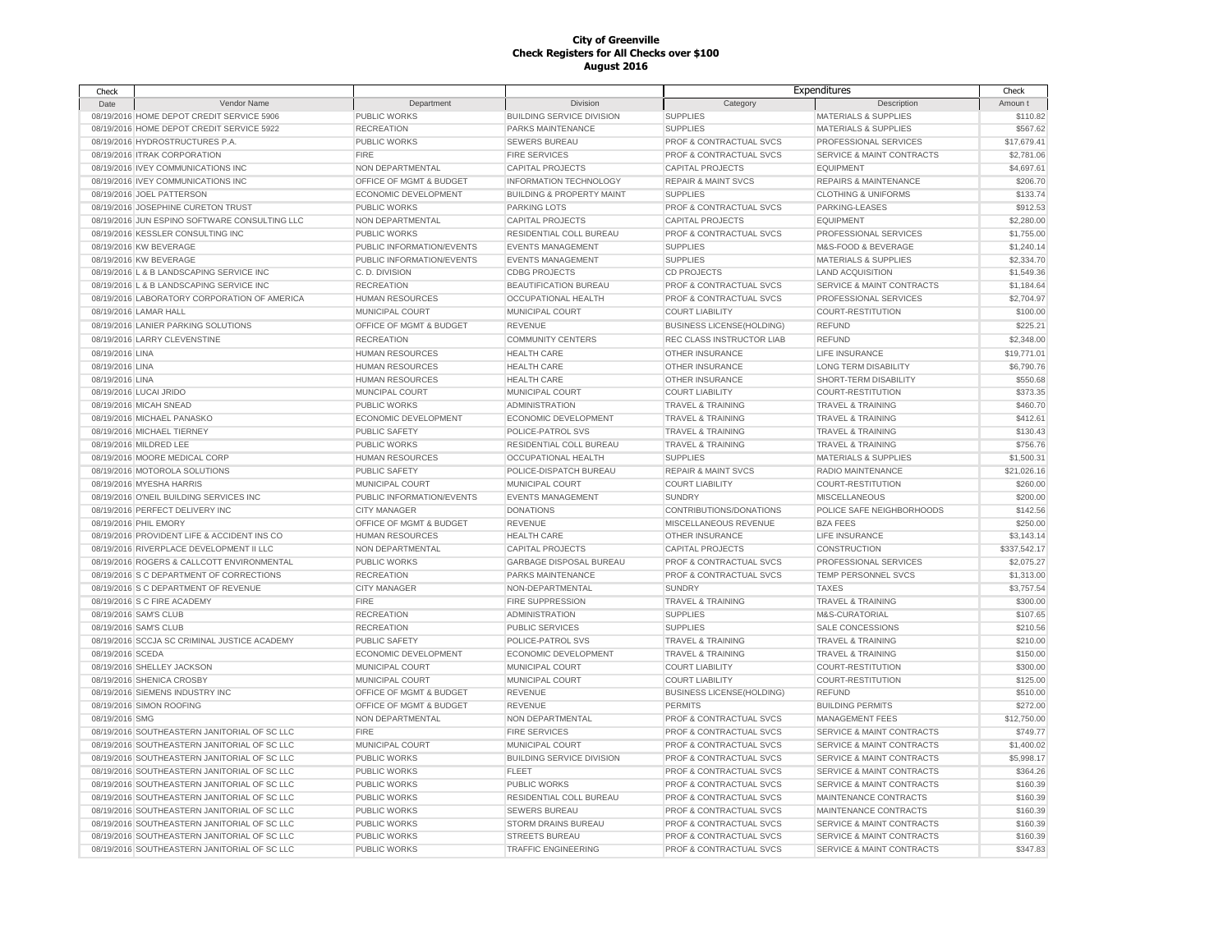| Check            |                                               |                           |                                      |                                    | Expenditures                         | Check        |
|------------------|-----------------------------------------------|---------------------------|--------------------------------------|------------------------------------|--------------------------------------|--------------|
| Date             | <b>Vendor Name</b>                            | Department                | <b>Division</b>                      | Category                           | Description                          | Amoun t      |
|                  | 08/19/2016 HOME DEPOT CREDIT SERVICE 5906     | PUBLIC WORKS              | <b>BUILDING SERVICE DIVISION</b>     | <b>SUPPLIES</b>                    | <b>MATERIALS &amp; SUPPLIES</b>      | \$110.82     |
|                  | 08/19/2016 HOME DEPOT CREDIT SERVICE 5922     | <b>RECREATION</b>         | PARKS MAINTENANCE                    | <b>SUPPLIES</b>                    | <b>MATERIALS &amp; SUPPLIES</b>      | \$567.62     |
|                  | 08/19/2016 HYDROSTRUCTURES P.A.               | <b>PUBLIC WORKS</b>       | <b>SEWERS BUREAU</b>                 | PROF & CONTRACTUAL SVCS            | PROFESSIONAL SERVICES                | \$17,679.41  |
|                  | 08/19/2016 ITRAK CORPORATION                  | <b>FIRE</b>               | <b>FIRE SERVICES</b>                 | PROF & CONTRACTUAL SVCS            | <b>SERVICE &amp; MAINT CONTRACTS</b> | \$2,781.06   |
|                  | 08/19/2016 IVEY COMMUNICATIONS INC            | NON DEPARTMENTAL          | <b>CAPITAL PROJECTS</b>              | <b>CAPITAL PROJECTS</b>            | <b>EQUIPMENT</b>                     | \$4,697.61   |
|                  | 08/19/2016 IVEY COMMUNICATIONS INC            | OFFICE OF MGMT & BUDGET   | <b>INFORMATION TECHNOLOGY</b>        | <b>REPAIR &amp; MAINT SVCS</b>     | <b>REPAIRS &amp; MAINTENANCE</b>     | \$206.70     |
|                  | 08/19/2016 JOEL PATTERSON                     | ECONOMIC DEVELOPMENT      | <b>BUILDING &amp; PROPERTY MAINT</b> | <b>SUPPLIES</b>                    | <b>CLOTHING &amp; UNIFORMS</b>       | \$133.74     |
|                  | 08/19/2016 JOSEPHINE CURETON TRUST            | PUBLIC WORKS              | <b>PARKING LOTS</b>                  | PROF & CONTRACTUAL SVCS            | PARKING-LEASES                       | \$912.53     |
|                  | 08/19/2016 JUN ESPINO SOFTWARE CONSULTING LLC | NON DEPARTMENTAL          | <b>CAPITAL PROJECTS</b>              | <b>CAPITAL PROJECTS</b>            | <b>EQUIPMENT</b>                     | \$2,280.00   |
|                  | 08/19/2016 KESSLER CONSULTING INC             | PUBLIC WORKS              | RESIDENTIAL COLL BUREAU              | PROF & CONTRACTUAL SVCS            | PROFESSIONAL SERVICES                | \$1,755.00   |
|                  | 08/19/2016 KW BEVERAGE                        |                           | <b>EVENTS MANAGEMENT</b>             |                                    | M&S-FOOD & BEVERAGE                  | \$1,240.14   |
|                  |                                               | PUBLIC INFORMATION/EVENTS |                                      | <b>SUPPLIES</b>                    |                                      |              |
|                  | 08/19/2016 KW BEVERAGE                        | PUBLIC INFORMATION/EVENTS | <b>EVENTS MANAGEMENT</b>             | <b>SUPPLIES</b>                    | <b>MATERIALS &amp; SUPPLIES</b>      | \$2,334.70   |
|                  | 08/19/2016 L & B LANDSCAPING SERVICE INC      | C.D. DIVISION             | <b>CDBG PROJECTS</b>                 | <b>CD PROJECTS</b>                 | <b>LAND ACQUISITION</b>              | \$1,549.36   |
|                  | 08/19/2016 L & B LANDSCAPING SERVICE INC      | <b>RECREATION</b>         | <b>BEAUTIFICATION BUREAU</b>         | PROF & CONTRACTUAL SVCS            | SERVICE & MAINT CONTRACTS            | \$1,184.64   |
|                  | 08/19/2016 LABORATORY CORPORATION OF AMERICA  | <b>HUMAN RESOURCES</b>    | OCCUPATIONAL HEALTH                  | PROF & CONTRACTUAL SVCS            | PROFESSIONAL SERVICES                | \$2,704.97   |
|                  | 08/19/2016 LAMAR HALL                         | MUNICIPAL COURT           | MUNICIPAL COURT                      | <b>COURT LIABILITY</b>             | <b>COURT-RESTITUTION</b>             | \$100.00     |
|                  | 08/19/2016 LANIER PARKING SOLUTIONS           | OFFICE OF MGMT & BUDGET   | <b>REVENUE</b>                       | <b>BUSINESS LICENSE(HOLDING)</b>   | <b>REFUND</b>                        | \$225.21     |
|                  | 08/19/2016 LARRY CLEVENSTINE                  | <b>RECREATION</b>         | <b>COMMUNITY CENTERS</b>             | REC CLASS INSTRUCTOR LIAB          | <b>REFUND</b>                        | \$2,348.00   |
| 08/19/2016 LINA  |                                               | <b>HUMAN RESOURCES</b>    | <b>HEALTH CARE</b>                   | <b>OTHER INSURANCE</b>             | LIFE INSURANCE                       | \$19,771.01  |
| 08/19/2016 LINA  |                                               | <b>HUMAN RESOURCES</b>    | <b>HEALTH CARE</b>                   | <b>OTHER INSURANCE</b>             | <b>LONG TERM DISABILITY</b>          | \$6,790.76   |
| 08/19/2016 LINA  |                                               | <b>HUMAN RESOURCES</b>    | <b>HEALTH CARE</b>                   | OTHER INSURANCE                    | SHORT-TERM DISABILITY                | \$550.68     |
|                  | 08/19/2016 LUCAI JRIDO                        | MUNCIPAL COURT            | MUNICIPAL COURT                      | <b>COURT LIABILITY</b>             | COURT-RESTITUTION                    | \$373.35     |
|                  | 08/19/2016 MICAH SNEAD                        | <b>PUBLIC WORKS</b>       | <b>ADMINISTRATION</b>                | <b>TRAVEL &amp; TRAINING</b>       | <b>TRAVEL &amp; TRAINING</b>         | \$460.70     |
|                  | 08/19/2016 MICHAEL PANASKO                    | ECONOMIC DEVELOPMENT      | ECONOMIC DEVELOPMENT                 | <b>TRAVEL &amp; TRAINING</b>       | <b>TRAVEL &amp; TRAINING</b>         | \$412.61     |
|                  | 08/19/2016 MICHAEL TIERNEY                    | PUBLIC SAFETY             | POLICE-PATROL SVS                    | <b>TRAVEL &amp; TRAINING</b>       | <b>TRAVEL &amp; TRAINING</b>         | \$130.43     |
|                  | 08/19/2016 MILDRED LEE                        | PUBLIC WORKS              | RESIDENTIAL COLL BUREAU              | <b>TRAVEL &amp; TRAINING</b>       | <b>TRAVEL &amp; TRAINING</b>         | \$756.76     |
|                  | 08/19/2016 MOORE MEDICAL CORP                 | <b>HUMAN RESOURCES</b>    | OCCUPATIONAL HEALTH                  | <b>SUPPLIES</b>                    | <b>MATERIALS &amp; SUPPLIES</b>      | \$1,500.31   |
|                  |                                               |                           |                                      |                                    |                                      |              |
|                  | 08/19/2016 MOTOROLA SOLUTIONS                 | <b>PUBLIC SAFETY</b>      | POLICE-DISPATCH BUREAU               | <b>REPAIR &amp; MAINT SVCS</b>     | RADIO MAINTENANCE                    | \$21,026.16  |
|                  | 08/19/2016 MYESHA HARRIS                      | MUNICIPAL COURT           | MUNICIPAL COURT                      | <b>COURT LIABILITY</b>             | <b>COURT-RESTITUTION</b>             | \$260.00     |
|                  | 08/19/2016 O'NEIL BUILDING SERVICES INC       | PUBLIC INFORMATION/EVENTS | <b>EVENTS MANAGEMENT</b>             | <b>SUNDRY</b>                      | <b>MISCELLANEOUS</b>                 | \$200.00     |
|                  | 08/19/2016 PERFECT DELIVERY INC               | <b>CITY MANAGER</b>       | <b>DONATIONS</b>                     | CONTRIBUTIONS/DONATIONS            | POLICE SAFE NEIGHBORHOODS            | \$142.56     |
|                  | 08/19/2016 PHIL EMORY                         | OFFICE OF MGMT & BUDGET   | REVENUE                              | MISCELLANEOUS REVENUE              | <b>BZA FEES</b>                      | \$250.00     |
|                  | 08/19/2016 PROVIDENT LIFE & ACCIDENT INS CO   | <b>HUMAN RESOURCES</b>    | <b>HEALTH CARE</b>                   | <b>OTHER INSURANCE</b>             | LIFE INSURANCE                       | \$3.143.14   |
|                  | 08/19/2016 RIVERPLACE DEVELOPMENT II LLC      | NON DEPARTMENTAL          | <b>CAPITAL PROJECTS</b>              | <b>CAPITAL PROJECTS</b>            | CONSTRUCTION                         | \$337,542.17 |
|                  | 08/19/2016 ROGERS & CALLCOTT ENVIRONMENTAL    | PUBLIC WORKS              | <b>GARBAGE DISPOSAL BUREAU</b>       | <b>PROF &amp; CONTRACTUAL SVCS</b> | PROFESSIONAL SERVICES                | \$2,075.27   |
|                  | 08/19/2016 S C DEPARTMENT OF CORRECTIONS      | <b>RECREATION</b>         | PARKS MAINTENANCE                    | PROF & CONTRACTUAL SVCS            | TEMP PERSONNEL SVCS                  | \$1,313.00   |
|                  | 08/19/2016 S C DEPARTMENT OF REVENUE          | <b>CITY MANAGER</b>       | NON-DEPARTMENTAL                     | <b>SUNDRY</b>                      | <b>TAXES</b>                         | \$3,757.54   |
|                  | 08/19/2016 S C FIRE ACADEMY                   | <b>FIRE</b>               | FIRE SUPPRESSION                     | <b>TRAVEL &amp; TRAINING</b>       | <b>TRAVEL &amp; TRAINING</b>         | \$300.00     |
|                  | 08/19/2016 SAM'S CLUB                         | <b>RECREATION</b>         | <b>ADMINISTRATION</b>                | <b>SUPPLIES</b>                    | M&S-CURATORIAL                       | \$107.65     |
|                  | 08/19/2016 SAM'S CLUB                         | <b>RECREATION</b>         | PUBLIC SERVICES                      | <b>SUPPLIES</b>                    | SALE CONCESSIONS                     | \$210.56     |
|                  | 08/19/2016 SCCJA SC CRIMINAL JUSTICE ACADEMY  | PUBLIC SAFETY             | POLICE-PATROL SVS                    | TRAVEL & TRAINING                  | TRAVEL & TRAINING                    | \$210.00     |
| 08/19/2016 SCEDA |                                               | ECONOMIC DEVELOPMENT      | ECONOMIC DEVELOPMENT                 | <b>TRAVEL &amp; TRAINING</b>       | <b>TRAVEL &amp; TRAINING</b>         | \$150.00     |
|                  | 08/19/2016 SHELLEY JACKSON                    | MUNICIPAL COURT           | MUNICIPAL COURT                      | <b>COURT LIABILITY</b>             | COURT-RESTITUTION                    | \$300.00     |
|                  | 08/19/2016 SHENICA CROSBY                     | MUNICIPAL COURT           | MUNICIPAL COURT                      | <b>COURT LIABILITY</b>             | COURT-RESTITUTION                    | \$125.00     |
|                  | 08/19/2016 SIEMENS INDUSTRY INC               | OFFICE OF MGMT & BUDGET   | REVENUE                              | <b>BUSINESS LICENSE(HOLDING)</b>   | <b>REFUND</b>                        | \$510.00     |
|                  | 08/19/2016 SIMON ROOFING                      | OFFICE OF MGMT & BUDGET   | REVENUE                              | <b>PERMITS</b>                     | <b>BUILDING PERMITS</b>              | \$272.00     |
| 08/19/2016 SMG   |                                               | NON DEPARTMENTAL          | NON DEPARTMENTAL                     | PROF & CONTRACTUAL SVCS            | <b>MANAGEMENT FEES</b>               | \$12,750.00  |
|                  | 08/19/2016 SOUTHEASTERN JANITORIAL OF SC LLC  | <b>FIRE</b>               | <b>FIRE SERVICES</b>                 | PROF & CONTRACTUAL SVCS            | <b>SERVICE &amp; MAINT CONTRACTS</b> | \$749.77     |
|                  | 08/19/2016 SOUTHEASTERN JANITORIAL OF SC LLC  | MUNICIPAL COURT           | MUNICIPAL COURT                      | PROF & CONTRACTUAL SVCS            | <b>SERVICE &amp; MAINT CONTRACTS</b> | \$1,400.02   |
|                  | 08/19/2016 SOUTHEASTERN JANITORIAL OF SC LLC  | <b>PUBLIC WORKS</b>       | <b>BUILDING SERVICE DIVISION</b>     | PROF & CONTRACTUAL SVCS            | <b>SERVICE &amp; MAINT CONTRACTS</b> | \$5,998.17   |
|                  | 08/19/2016 SOUTHEASTERN JANITORIAL OF SC LLC  | PUBLIC WORKS              | <b>FLEET</b>                         | PROF & CONTRACTUAL SVCS            | <b>SERVICE &amp; MAINT CONTRACTS</b> | \$364.26     |
|                  |                                               |                           |                                      |                                    |                                      |              |
|                  | 08/19/2016 SOUTHEASTERN JANITORIAL OF SC LLC  | PUBLIC WORKS              | PUBLIC WORKS                         | PROF & CONTRACTUAL SVCS            | <b>SERVICE &amp; MAINT CONTRACTS</b> | \$160.39     |
|                  | 08/19/2016 SOUTHEASTERN JANITORIAL OF SC LLC  | PUBLIC WORKS              | RESIDENTIAL COLL BUREAU              | PROF & CONTRACTUAL SVCS            | MAINTENANCE CONTRACTS                | \$160.39     |
|                  | 08/19/2016 SOUTHEASTERN JANITORIAL OF SC LLC  | PUBLIC WORKS              | <b>SEWERS BUREAU</b>                 | PROF & CONTRACTUAL SVCS            | MAINTENANCE CONTRACTS                | \$160.39     |
|                  | 08/19/2016 SOUTHEASTERN JANITORIAL OF SC LLC  | <b>PUBLIC WORKS</b>       | <b>STORM DRAINS BUREAU</b>           | PROF & CONTRACTUAL SVCS            | <b>SERVICE &amp; MAINT CONTRACTS</b> | \$160.39     |
|                  | 08/19/2016 SOUTHEASTERN JANITORIAL OF SC LLC  | PUBLIC WORKS              | <b>STREETS BUREAU</b>                | PROF & CONTRACTUAL SVCS            | <b>SERVICE &amp; MAINT CONTRACTS</b> | \$160.39     |
|                  | 08/19/2016 SOUTHEASTERN JANITORIAL OF SC LLC  | PUBLIC WORKS              | <b>TRAFFIC ENGINEERING</b>           | PROF & CONTRACTUAL SVCS            | <b>SERVICE &amp; MAINT CONTRACTS</b> | \$347.83     |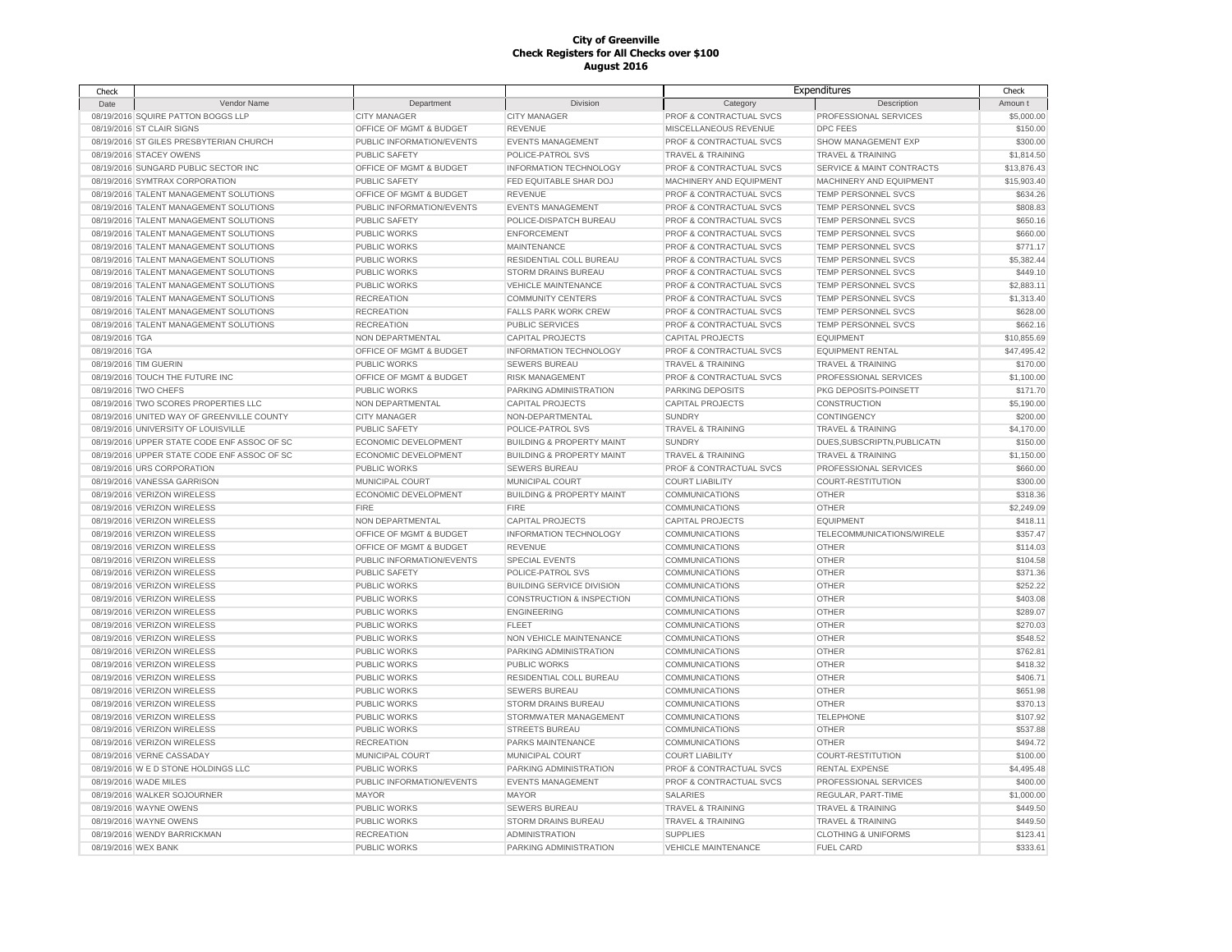| Check               |                                             |                           |                                      |                              | Expenditures                         | Check       |
|---------------------|---------------------------------------------|---------------------------|--------------------------------------|------------------------------|--------------------------------------|-------------|
| Date                | Vendor Name                                 | Department                | <b>Division</b>                      | Category                     | Description                          | Amoun t     |
|                     | 08/19/2016 SQUIRE PATTON BOGGS LLP          | <b>CITY MANAGER</b>       | <b>CITY MANAGER</b>                  | PROF & CONTRACTUAL SVCS      | PROFESSIONAL SERVICES                | \$5,000.00  |
|                     | 08/19/2016 ST CLAIR SIGNS                   | OFFICE OF MGMT & BUDGET   | <b>REVENUE</b>                       | MISCELLANEOUS REVENUE        | DPC FEES                             | \$150.00    |
|                     | 08/19/2016 ST GILES PRESBYTERIAN CHURCH     | PUBLIC INFORMATION/EVENTS | <b>EVENTS MANAGEMENT</b>             | PROF & CONTRACTUAL SVCS      | SHOW MANAGEMENT EXP                  | \$300.00    |
|                     | 08/19/2016 STACEY OWENS                     | <b>PUBLIC SAFETY</b>      | POLICE-PATROL SVS                    | <b>TRAVEL &amp; TRAINING</b> | <b>TRAVEL &amp; TRAINING</b>         | \$1,814.50  |
|                     | 08/19/2016 SUNGARD PUBLIC SECTOR INC        | OFFICE OF MGMT & BUDGET   | INFORMATION TECHNOLOGY               | PROF & CONTRACTUAL SVCS      | <b>SERVICE &amp; MAINT CONTRACTS</b> | \$13,876.43 |
|                     | 08/19/2016 SYMTRAX CORPORATION              | PUBLIC SAFETY             | FED EQUITABLE SHAR DOJ               | MACHINERY AND EQUIPMENT      | MACHINERY AND EQUIPMENT              | \$15,903.40 |
|                     | 08/19/2016 TALENT MANAGEMENT SOLUTIONS      | OFFICE OF MGMT & BUDGET   | <b>REVENUE</b>                       | PROF & CONTRACTUAL SVCS      | TEMP PERSONNEL SVCS                  | \$634.26    |
|                     | 08/19/2016 TALENT MANAGEMENT SOLUTIONS      | PUBLIC INFORMATION/EVENTS | <b>EVENTS MANAGEMENT</b>             | PROF & CONTRACTUAL SVCS      | TEMP PERSONNEL SVCS                  | \$808.83    |
|                     | 08/19/2016 TALENT MANAGEMENT SOLUTIONS      | PUBLIC SAFETY             | POLICE-DISPATCH BUREAU               | PROF & CONTRACTUAL SVCS      | TEMP PERSONNEL SVCS                  | \$650.16    |
|                     | 08/19/2016 TALENT MANAGEMENT SOLUTIONS      | <b>PUBLIC WORKS</b>       | <b>ENFORCEMENT</b>                   | PROF & CONTRACTUAL SVCS      | TEMP PERSONNEL SVCS                  | \$660.00    |
|                     | 08/19/2016 TALENT MANAGEMENT SOLUTIONS      | <b>PUBLIC WORKS</b>       | <b>MAINTENANCE</b>                   | PROF & CONTRACTUAL SVCS      | TEMP PERSONNEL SVCS                  | \$771.17    |
|                     | 08/19/2016 TALENT MANAGEMENT SOLUTIONS      | <b>PUBLIC WORKS</b>       | RESIDENTIAL COLL BUREAU              | PROF & CONTRACTUAL SVCS      | TEMP PERSONNEL SVCS                  | \$5,382.44  |
|                     | 08/19/2016 TALENT MANAGEMENT SOLUTIONS      | <b>PUBLIC WORKS</b>       | <b>STORM DRAINS BUREAU</b>           | PROF & CONTRACTUAL SVCS      | TEMP PERSONNEL SVCS                  | \$449.10    |
|                     | 08/19/2016 TALENT MANAGEMENT SOLUTIONS      | <b>PUBLIC WORKS</b>       | <b>VEHICLE MAINTENANCE</b>           | PROF & CONTRACTUAL SVCS      | TEMP PERSONNEL SVCS                  | \$2,883.11  |
|                     | 08/19/2016 TALENT MANAGEMENT SOLUTIONS      | <b>RECREATION</b>         | <b>COMMUNITY CENTERS</b>             | PROF & CONTRACTUAL SVCS      | TEMP PERSONNEL SVCS                  | \$1,313.40  |
|                     | 08/19/2016 TALENT MANAGEMENT SOLUTIONS      | <b>RECREATION</b>         | <b>FALLS PARK WORK CREW</b>          | PROF & CONTRACTUAL SVCS      | TEMP PERSONNEL SVCS                  | \$628.00    |
|                     | 08/19/2016 TALENT MANAGEMENT SOLUTIONS      | <b>RECREATION</b>         | PUBLIC SERVICES                      | PROF & CONTRACTUAL SVCS      | TEMP PERSONNEL SVCS                  | \$662.16    |
| 08/19/2016 TGA      |                                             | NON DEPARTMENTAL          | <b>CAPITAL PROJECTS</b>              | <b>CAPITAL PROJECTS</b>      | <b>EQUIPMENT</b>                     | \$10,855.69 |
| 08/19/2016 TGA      |                                             | OFFICE OF MGMT & BUDGET   | INFORMATION TECHNOLOGY               | PROF & CONTRACTUAL SVCS      | <b>EQUIPMENT RENTAL</b>              | \$47,495.42 |
|                     | 08/19/2016 TIM GUERIN                       | <b>PUBLIC WORKS</b>       | <b>SEWERS BUREAU</b>                 | <b>TRAVEL &amp; TRAINING</b> | <b>TRAVEL &amp; TRAINING</b>         | \$170.00    |
|                     | 08/19/2016 TOUCH THE FUTURE INC             | OFFICE OF MGMT & BUDGET   | <b>RISK MANAGEMENT</b>               | PROF & CONTRACTUAL SVCS      | PROFESSIONAL SERVICES                | \$1,100.00  |
|                     | 08/19/2016 TWO CHEFS                        | <b>PUBLIC WORKS</b>       | PARKING ADMINISTRATION               | PARKING DEPOSITS             | PKG DEPOSITS-POINSETT                | \$171.70    |
|                     | 08/19/2016 TWO SCORES PROPERTIES LLC        | NON DEPARTMENTAL          | <b>CAPITAL PROJECTS</b>              | <b>CAPITAL PROJECTS</b>      | <b>CONSTRUCTION</b>                  | \$5,190.00  |
|                     | 08/19/2016 UNITED WAY OF GREENVILLE COUNTY  | <b>CITY MANAGER</b>       | NON-DEPARTMENTAL                     | <b>SUNDRY</b>                | CONTINGENCY                          | \$200.00    |
|                     | 08/19/2016 UNIVERSITY OF LOUISVILLE         | <b>PUBLIC SAFETY</b>      | POLICE-PATROL SVS                    | TRAVEL & TRAINING            | <b>TRAVEL &amp; TRAINING</b>         | \$4,170.00  |
|                     | 08/19/2016 UPPER STATE CODE ENF ASSOC OF SC | ECONOMIC DEVELOPMENT      | <b>BUILDING &amp; PROPERTY MAINT</b> | <b>SUNDRY</b>                | DUES, SUBSCRIPTN, PUBLICATN          | \$150.00    |
|                     | 08/19/2016 UPPER STATE CODE ENF ASSOC OF SC | ECONOMIC DEVELOPMENT      | <b>BUILDING &amp; PROPERTY MAINT</b> | <b>TRAVEL &amp; TRAINING</b> | <b>TRAVEL &amp; TRAINING</b>         | \$1,150.00  |
|                     | 08/19/2016 URS CORPORATION                  | <b>PUBLIC WORKS</b>       | <b>SEWERS BUREAU</b>                 | PROF & CONTRACTUAL SVCS      | PROFESSIONAL SERVICES                | \$660.00    |
|                     | 08/19/2016 VANESSA GARRISON                 | MUNICIPAL COURT           | MUNICIPAL COURT                      | <b>COURT LIABILITY</b>       | COURT-RESTITUTION                    | \$300.00    |
|                     | 08/19/2016 VERIZON WIRELESS                 | ECONOMIC DEVELOPMENT      | <b>BUILDING &amp; PROPERTY MAINT</b> | <b>COMMUNICATIONS</b>        | <b>OTHER</b>                         | \$318.36    |
|                     | 08/19/2016 VERIZON WIRELESS                 | FIRE                      | FIRE                                 | <b>COMMUNICATIONS</b>        | <b>OTHER</b>                         | \$2,249.09  |
|                     | 08/19/2016 VERIZON WIRELESS                 | NON DEPARTMENTAL          | <b>CAPITAL PROJECTS</b>              | <b>CAPITAL PROJECTS</b>      | <b>EQUIPMENT</b>                     | \$418.11    |
|                     | 08/19/2016 VERIZON WIRELESS                 | OFFICE OF MGMT & BUDGET   | INFORMATION TECHNOLOGY               | <b>COMMUNICATIONS</b>        | TELECOMMUNICATIONS/WIRELE            | \$357.47    |
|                     | 08/19/2016 VERIZON WIRELESS                 | OFFICE OF MGMT & BUDGET   | <b>REVENUE</b>                       | <b>COMMUNICATIONS</b>        | <b>OTHER</b>                         | \$114.03    |
|                     | 08/19/2016 VERIZON WIRELESS                 | PUBLIC INFORMATION/EVENTS | <b>SPECIAL EVENTS</b>                | <b>COMMUNICATIONS</b>        | <b>OTHER</b>                         | \$104.58    |
|                     | 08/19/2016 VERIZON WIRELESS                 | PUBLIC SAFETY             | POLICE-PATROL SVS                    | <b>COMMUNICATIONS</b>        | <b>OTHER</b>                         | \$371.36    |
|                     | 08/19/2016 VERIZON WIRELESS                 | PUBLIC WORKS              | <b>BUILDING SERVICE DIVISION</b>     | <b>COMMUNICATIONS</b>        | <b>OTHER</b>                         | \$252.22    |
|                     | 08/19/2016 VERIZON WIRELESS                 | PUBLIC WORKS              | CONSTRUCTION & INSPECTION            | COMMUNICATIONS               | OTHER                                | \$403.08    |
|                     | 08/19/2016 VERIZON WIRELESS                 | <b>PUBLIC WORKS</b>       | <b>ENGINEERING</b>                   | <b>COMMUNICATIONS</b>        | <b>OTHER</b>                         | \$289.07    |
|                     | 08/19/2016 VERIZON WIRELESS                 | PUBLIC WORKS              | <b>FLEET</b>                         | <b>COMMUNICATIONS</b>        | OTHER                                | \$270.03    |
|                     | 08/19/2016 VERIZON WIRELESS                 | PUBLIC WORKS              | NON VEHICLE MAINTENANCE              | COMMUNICATIONS               | OTHER                                | \$548.52    |
|                     | 08/19/2016 VERIZON WIRELESS                 | PUBLIC WORKS              | PARKING ADMINISTRATION               | COMMUNICATIONS               | OTHER                                | \$762.81    |
|                     | 08/19/2016 VERIZON WIRELESS                 | PUBLIC WORKS              | <b>PUBLIC WORKS</b>                  | COMMUNICATIONS               | OTHER                                | \$418.32    |
|                     | 08/19/2016 VERIZON WIRELESS                 | PUBLIC WORKS              | RESIDENTIAL COLL BUREAU              | <b>COMMUNICATIONS</b>        | <b>OTHER</b>                         | \$406.71    |
|                     | 08/19/2016 VERIZON WIRELESS                 | PUBLIC WORKS              | <b>SEWERS BUREAU</b>                 | COMMUNICATIONS               | OTHER                                | \$651.98    |
|                     | 08/19/2016 VERIZON WIRELESS                 | PUBLIC WORKS              | <b>STORM DRAINS BUREAU</b>           | COMMUNICATIONS               | <b>OTHER</b>                         | \$370.13    |
|                     | 08/19/2016 VERIZON WIRELESS                 | PUBLIC WORKS              | STORMWATER MANAGEMENT                | COMMUNICATIONS               | <b>TELEPHONE</b>                     | \$107.92    |
|                     | 08/19/2016 VERIZON WIRELESS                 | PUBLIC WORKS              | STREETS BUREAU                       | COMMUNICATIONS               | <b>OTHER</b>                         | \$537.88    |
|                     | 08/19/2016 VERIZON WIRELESS                 | <b>RECREATION</b>         | PARKS MAINTENANCE                    | COMMUNICATIONS               | OTHER                                | \$494.72    |
|                     | 08/19/2016 VERNE CASSADAY                   | MUNICIPAL COURT           | MUNICIPAL COURT                      | <b>COURT LIABILITY</b>       | COURT-RESTITUTION                    | \$100.00    |
|                     | 08/19/2016 W E D STONE HOLDINGS LLC         | PUBLIC WORKS              | PARKING ADMINISTRATION               | PROF & CONTRACTUAL SVCS      | RENTAL EXPENSE                       | \$4,495.48  |
|                     | 08/19/2016 WADE MILES                       | PUBLIC INFORMATION/EVENTS | <b>EVENTS MANAGEMENT</b>             | PROF & CONTRACTUAL SVCS      | PROFESSIONAL SERVICES                | \$400.00    |
|                     | 08/19/2016 WALKER SOJOURNER                 | <b>MAYOR</b>              | <b>MAYOR</b>                         | SALARIES                     | REGULAR, PART-TIME                   | \$1,000.00  |
|                     | 08/19/2016 WAYNE OWENS                      | <b>PUBLIC WORKS</b>       | <b>SEWERS BUREAU</b>                 | <b>TRAVEL &amp; TRAINING</b> | <b>TRAVEL &amp; TRAINING</b>         | \$449.50    |
|                     | 08/19/2016 WAYNE OWENS                      | <b>PUBLIC WORKS</b>       | <b>STORM DRAINS BUREAU</b>           | <b>TRAVEL &amp; TRAINING</b> | <b>TRAVEL &amp; TRAINING</b>         | \$449.50    |
|                     | 08/19/2016 WENDY BARRICKMAN                 | <b>RECREATION</b>         | <b>ADMINISTRATION</b>                | <b>SUPPLIES</b>              | <b>CLOTHING &amp; UNIFORMS</b>       | \$123.41    |
| 08/19/2016 WEX BANK |                                             | <b>PUBLIC WORKS</b>       | PARKING ADMINISTRATION               | <b>VEHICLE MAINTENANCE</b>   | <b>FUEL CARD</b>                     | \$333.61    |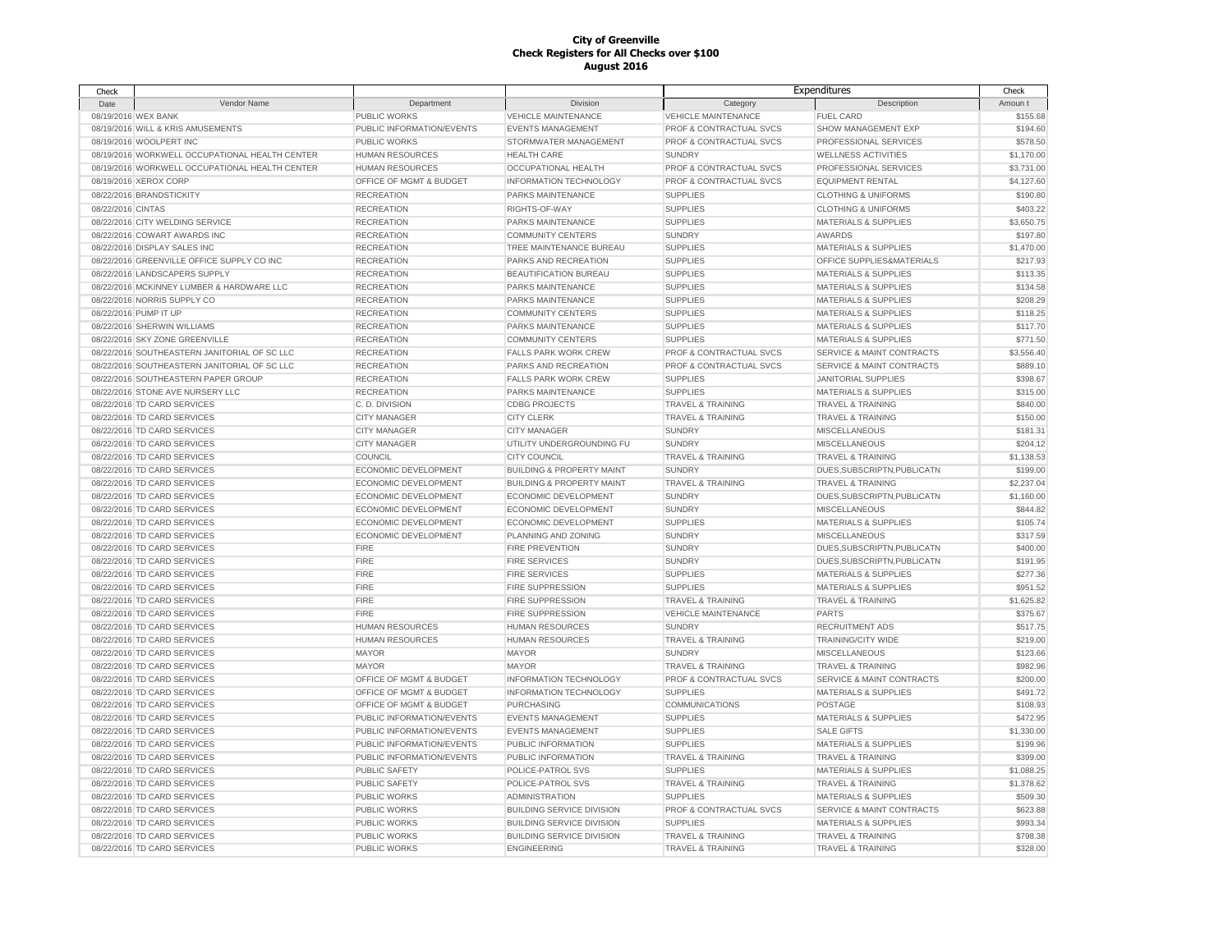| Check             |                                                |                           |                                      | Expenditures                 |                                      | Check      |
|-------------------|------------------------------------------------|---------------------------|--------------------------------------|------------------------------|--------------------------------------|------------|
| Date              | Vendor Name                                    | Department                | Division                             | Category                     | Description                          | Amoun t    |
|                   | 08/19/2016 WEX BANK                            | PUBLIC WORKS              | <b>VEHICLE MAINTENANCE</b>           | <b>VEHICLE MAINTENANCE</b>   | <b>FUEL CARD</b>                     | \$155.68   |
|                   | 08/19/2016 WILL & KRIS AMUSEMENTS              | PUBLIC INFORMATION/EVENTS | <b>EVENTS MANAGEMENT</b>             | PROF & CONTRACTUAL SVCS      | SHOW MANAGEMENT EXP                  | \$194.60   |
|                   | 08/19/2016 WOOLPERT INC                        | <b>PUBLIC WORKS</b>       | STORMWATER MANAGEMENT                | PROF & CONTRACTUAL SVCS      | PROFESSIONAL SERVICES                | \$578.50   |
|                   | 08/19/2016 WORKWELL OCCUPATIONAL HEALTH CENTER | <b>HUMAN RESOURCES</b>    | <b>HEALTH CARE</b>                   | <b>SUNDRY</b>                | <b>WELLNESS ACTIVITIES</b>           | \$1,170.00 |
|                   | 08/19/2016 WORKWELL OCCUPATIONAL HEALTH CENTER | <b>HUMAN RESOURCES</b>    | <b>OCCUPATIONAL HEALTH</b>           | PROF & CONTRACTUAL SVCS      | PROFESSIONAL SERVICES                | \$3,731.00 |
|                   | 08/19/2016 XEROX CORP                          | OFFICE OF MGMT & BUDGET   | INFORMATION TECHNOLOGY               | PROF & CONTRACTUAL SVCS      | <b>EQUIPMENT RENTAL</b>              | \$4,127.60 |
|                   | 08/22/2016 BRANDSTICKITY                       | <b>RECREATION</b>         | <b>PARKS MAINTENANCE</b>             | <b>SUPPLIES</b>              | <b>CLOTHING &amp; UNIFORMS</b>       | \$190.80   |
| 08/22/2016 CINTAS |                                                | <b>RECREATION</b>         | RIGHTS-OF-WAY                        | <b>SUPPLIES</b>              | <b>CLOTHING &amp; UNIFORMS</b>       | \$403.22   |
|                   |                                                |                           |                                      |                              |                                      |            |
|                   | 08/22/2016 CITY WELDING SERVICE                | <b>RECREATION</b>         | PARKS MAINTENANCE                    | <b>SUPPLIES</b>              | <b>MATERIALS &amp; SUPPLIES</b>      | \$3,650.75 |
|                   | 08/22/2016 COWART AWARDS INC                   | <b>RECREATION</b>         | <b>COMMUNITY CENTERS</b>             | <b>SUNDRY</b>                | AWARDS                               | \$197.80   |
|                   | 08/22/2016 DISPLAY SALES INC                   | <b>RECREATION</b>         | TREE MAINTENANCE BUREAU              | <b>SUPPLIES</b>              | <b>MATERIALS &amp; SUPPLIES</b>      | \$1,470.00 |
|                   | 08/22/2016 GREENVILLE OFFICE SUPPLY CO INC     | <b>RECREATION</b>         | PARKS AND RECREATION                 | <b>SUPPLIES</b>              | OFFICE SUPPLIES&MATERIALS            | \$217.93   |
|                   | 08/22/2016 LANDSCAPERS SUPPLY                  | <b>RECREATION</b>         | <b>BEAUTIFICATION BUREAU</b>         | <b>SUPPLIES</b>              | <b>MATERIALS &amp; SUPPLIES</b>      | \$113.35   |
|                   | 08/22/2016 MCKINNEY LUMBER & HARDWARE LLC      | <b>RECREATION</b>         | <b>PARKS MAINTENANCE</b>             | <b>SUPPLIES</b>              | <b>MATERIALS &amp; SUPPLIES</b>      | \$134.58   |
|                   | 08/22/2016 NORRIS SUPPLY CO                    | <b>RECREATION</b>         | PARKS MAINTENANCE                    | <b>SUPPLIES</b>              | <b>MATERIALS &amp; SUPPLIES</b>      | \$208.29   |
|                   | 08/22/2016 PUMP IT UP                          | <b>RECREATION</b>         | <b>COMMUNITY CENTERS</b>             | <b>SUPPLIES</b>              | <b>MATERIALS &amp; SUPPLIES</b>      | \$118.25   |
|                   | 08/22/2016 SHERWIN WILLIAMS                    | <b>RECREATION</b>         | PARKS MAINTENANCE                    | <b>SUPPLIES</b>              | <b>MATERIALS &amp; SUPPLIES</b>      | \$117.70   |
|                   | 08/22/2016 SKY ZONE GREENVILLE                 | <b>RECREATION</b>         | <b>COMMUNITY CENTERS</b>             | <b>SUPPLIES</b>              | <b>MATERIALS &amp; SUPPLIES</b>      | \$771.50   |
|                   | 08/22/2016 SOUTHEASTERN JANITORIAL OF SC LLC   | <b>RECREATION</b>         | <b>FALLS PARK WORK CREW</b>          | PROF & CONTRACTUAL SVCS      | SERVICE & MAINT CONTRACTS            | \$3,556.40 |
|                   | 08/22/2016 SOUTHEASTERN JANITORIAL OF SC LLC   | <b>RECREATION</b>         | PARKS AND RECREATION                 | PROF & CONTRACTUAL SVCS      | SERVICE & MAINT CONTRACTS            | \$889.10   |
|                   | 08/22/2016 SOUTHEASTERN PAPER GROUP            | <b>RECREATION</b>         | <b>FALLS PARK WORK CREW</b>          | <b>SUPPLIES</b>              | <b>JANITORIAL SUPPLIES</b>           | \$398.67   |
|                   | 08/22/2016 STONE AVE NURSERY LLC               | <b>RECREATION</b>         | PARKS MAINTENANCE                    | <b>SUPPLIES</b>              | <b>MATERIALS &amp; SUPPLIES</b>      | \$315.00   |
|                   | 08/22/2016 TD CARD SERVICES                    | C.D. DIVISION             | <b>CDBG PROJECTS</b>                 | <b>TRAVEL &amp; TRAINING</b> | <b>TRAVEL &amp; TRAINING</b>         | \$840.00   |
|                   | 08/22/2016 TD CARD SERVICES                    | <b>CITY MANAGER</b>       | <b>CITY CLERK</b>                    | <b>TRAVEL &amp; TRAINING</b> | <b>TRAVEL &amp; TRAINING</b>         | \$150.00   |
|                   | 08/22/2016 TD CARD SERVICES                    | <b>CITY MANAGER</b>       | <b>CITY MANAGER</b>                  | <b>SUNDRY</b>                | <b>MISCELLANEOUS</b>                 | \$181.31   |
|                   | 08/22/2016 TD CARD SERVICES                    | <b>CITY MANAGER</b>       | UTILITY UNDERGROUNDING FU            | <b>SUNDRY</b>                | <b>MISCELLANEOUS</b>                 | \$204.12   |
|                   | 08/22/2016 TD CARD SERVICES                    | COUNCIL                   | <b>CITY COUNCIL</b>                  | TRAVEL & TRAINING            | <b>TRAVEL &amp; TRAINING</b>         | \$1,138.53 |
|                   |                                                |                           |                                      |                              |                                      |            |
|                   | 08/22/2016 TD CARD SERVICES                    | ECONOMIC DEVELOPMENT      | <b>BUILDING &amp; PROPERTY MAINT</b> | <b>SUNDRY</b>                | DUES, SUBSCRIPTN, PUBLICATN          | \$199.00   |
|                   | 08/22/2016 TD CARD SERVICES                    | ECONOMIC DEVELOPMENT      | <b>BUILDING &amp; PROPERTY MAINT</b> | TRAVEL & TRAINING            | <b>TRAVEL &amp; TRAINING</b>         | \$2,237.04 |
|                   | 08/22/2016 TD CARD SERVICES                    | ECONOMIC DEVELOPMENT      | ECONOMIC DEVELOPMENT                 | <b>SUNDRY</b>                | DUES, SUBSCRIPTN, PUBLICATN          | \$1,160.00 |
|                   | 08/22/2016 TD CARD SERVICES                    | ECONOMIC DEVELOPMENT      | ECONOMIC DEVELOPMENT                 | <b>SUNDRY</b>                | <b>MISCELLANEOUS</b>                 | \$844.82   |
|                   | 08/22/2016 TD CARD SERVICES                    | ECONOMIC DEVELOPMENT      | ECONOMIC DEVELOPMENT                 | <b>SUPPLIES</b>              | <b>MATERIALS &amp; SUPPLIES</b>      | \$105.74   |
|                   | 08/22/2016 TD CARD SERVICES                    | ECONOMIC DEVELOPMENT      | PLANNING AND ZONING                  | <b>SUNDRY</b>                | <b>MISCELLANEOUS</b>                 | \$317.59   |
|                   | 08/22/2016 TD CARD SERVICES                    | <b>FIRE</b>               | <b>FIRE PREVENTION</b>               | <b>SUNDRY</b>                | DUES, SUBSCRIPTN, PUBLICATN          | \$400.00   |
|                   | 08/22/2016 TD CARD SERVICES                    | <b>FIRE</b>               | <b>FIRE SERVICES</b>                 | <b>SUNDRY</b>                | DUES, SUBSCRIPTN, PUBLICATN          | \$191.95   |
|                   | 08/22/2016 TD CARD SERVICES                    | <b>FIRE</b>               | <b>FIRE SERVICES</b>                 | <b>SUPPLIES</b>              | <b>MATERIALS &amp; SUPPLIES</b>      | \$277.36   |
|                   | 08/22/2016 TD CARD SERVICES                    | <b>FIRE</b>               | FIRE SUPPRESSION                     | <b>SUPPLIES</b>              | <b>MATERIALS &amp; SUPPLIES</b>      | \$951.52   |
|                   | 08/22/2016 TD CARD SERVICES                    | <b>FIRE</b>               | <b>FIRE SUPPRESSION</b>              | TRAVEL & TRAINING            | <b>TRAVEL &amp; TRAINING</b>         | \$1,625.82 |
|                   | 08/22/2016 TD CARD SERVICES                    | <b>FIRE</b>               | <b>FIRE SUPPRESSION</b>              | <b>VEHICLE MAINTENANCE</b>   | PARTS                                | \$375.67   |
|                   | 08/22/2016 TD CARD SERVICES                    | <b>HUMAN RESOURCES</b>    | <b>HUMAN RESOURCES</b>               | <b>SUNDRY</b>                | <b>RECRUITMENT ADS</b>               | \$517.75   |
|                   | 08/22/2016 TD CARD SERVICES                    | <b>HUMAN RESOURCES</b>    | <b>HUMAN RESOURCES</b>               | TRAVEL & TRAINING            | TRAINING/CITY WIDE                   | \$219.00   |
|                   | 08/22/2016 TD CARD SERVICES                    | <b>MAYOR</b>              | <b>MAYOR</b>                         | <b>SUNDRY</b>                | <b>MISCELLANEOUS</b>                 | \$123.66   |
|                   | 08/22/2016 TD CARD SERVICES                    | <b>MAYOR</b>              | <b>MAYOR</b>                         | <b>TRAVEL &amp; TRAINING</b> | <b>TRAVEL &amp; TRAINING</b>         | \$982.96   |
|                   | 08/22/2016 TD CARD SERVICES                    | OFFICE OF MGMT & BUDGET   | <b>INFORMATION TECHNOLOGY</b>        | PROF & CONTRACTUAL SVCS      | SERVICE & MAINT CONTRACTS            | \$200.00   |
|                   | 08/22/2016 TD CARD SERVICES                    | OFFICE OF MGMT & BUDGET   | <b>INFORMATION TECHNOLOGY</b>        | <b>SUPPLIES</b>              | <b>MATERIALS &amp; SUPPLIES</b>      | \$491.72   |
|                   | 08/22/2016 TD CARD SERVICES                    | OFFICE OF MGMT & BUDGET   | <b>PURCHASING</b>                    | <b>COMMUNICATIONS</b>        | POSTAGE                              | \$108.93   |
|                   | 08/22/2016 TD CARD SERVICES                    | PUBLIC INFORMATION/EVENTS | <b>EVENTS MANAGEMENT</b>             | <b>SUPPLIES</b>              | <b>MATERIALS &amp; SUPPLIES</b>      | \$472.95   |
|                   | 08/22/2016 TD CARD SERVICES                    | PUBLIC INFORMATION/EVENTS | <b>EVENTS MANAGEMENT</b>             | <b>SUPPLIES</b>              | <b>SALE GIFTS</b>                    | \$1,330.00 |
|                   | 08/22/2016 TD CARD SERVICES                    | PUBLIC INFORMATION/EVENTS | PUBLIC INFORMATION                   | <b>SUPPLIES</b>              | <b>MATERIALS &amp; SUPPLIES</b>      | \$199.96   |
|                   |                                                |                           |                                      |                              |                                      |            |
|                   | 08/22/2016 TD CARD SERVICES                    | PUBLIC INFORMATION/EVENTS | PUBLIC INFORMATION                   | <b>TRAVEL &amp; TRAINING</b> | <b>TRAVEL &amp; TRAINING</b>         | \$399.00   |
|                   | 08/22/2016 TD CARD SERVICES                    | <b>PUBLIC SAFETY</b>      | POLICE-PATROL SVS                    | <b>SUPPLIES</b>              | MATERIALS & SUPPLIES                 | \$1,088.25 |
|                   | 08/22/2016 TD CARD SERVICES                    | <b>PUBLIC SAFETY</b>      | POLICE-PATROL SVS                    | <b>TRAVEL &amp; TRAINING</b> | <b>TRAVEL &amp; TRAINING</b>         | \$1,378.62 |
|                   | 08/22/2016 TD CARD SERVICES                    | PUBLIC WORKS              | <b>ADMINISTRATION</b>                | <b>SUPPLIES</b>              | <b>MATERIALS &amp; SUPPLIES</b>      | \$509.30   |
|                   | 08/22/2016 TD CARD SERVICES                    | <b>PUBLIC WORKS</b>       | <b>BUILDING SERVICE DIVISION</b>     | PROF & CONTRACTUAL SVCS      | <b>SERVICE &amp; MAINT CONTRACTS</b> | \$623.88   |
|                   | 08/22/2016 TD CARD SERVICES                    | <b>PUBLIC WORKS</b>       | <b>BUILDING SERVICE DIVISION</b>     | <b>SUPPLIES</b>              | <b>MATERIALS &amp; SUPPLIES</b>      | \$993.34   |
|                   | 08/22/2016 TD CARD SERVICES                    | <b>PUBLIC WORKS</b>       | <b>BUILDING SERVICE DIVISION</b>     | <b>TRAVEL &amp; TRAINING</b> | <b>TRAVEL &amp; TRAINING</b>         | \$798.38   |
|                   | 08/22/2016 TD CARD SERVICES                    | PUBLIC WORKS              | <b>ENGINEERING</b>                   | <b>TRAVEL &amp; TRAINING</b> | <b>TRAVEL &amp; TRAINING</b>         | \$328.00   |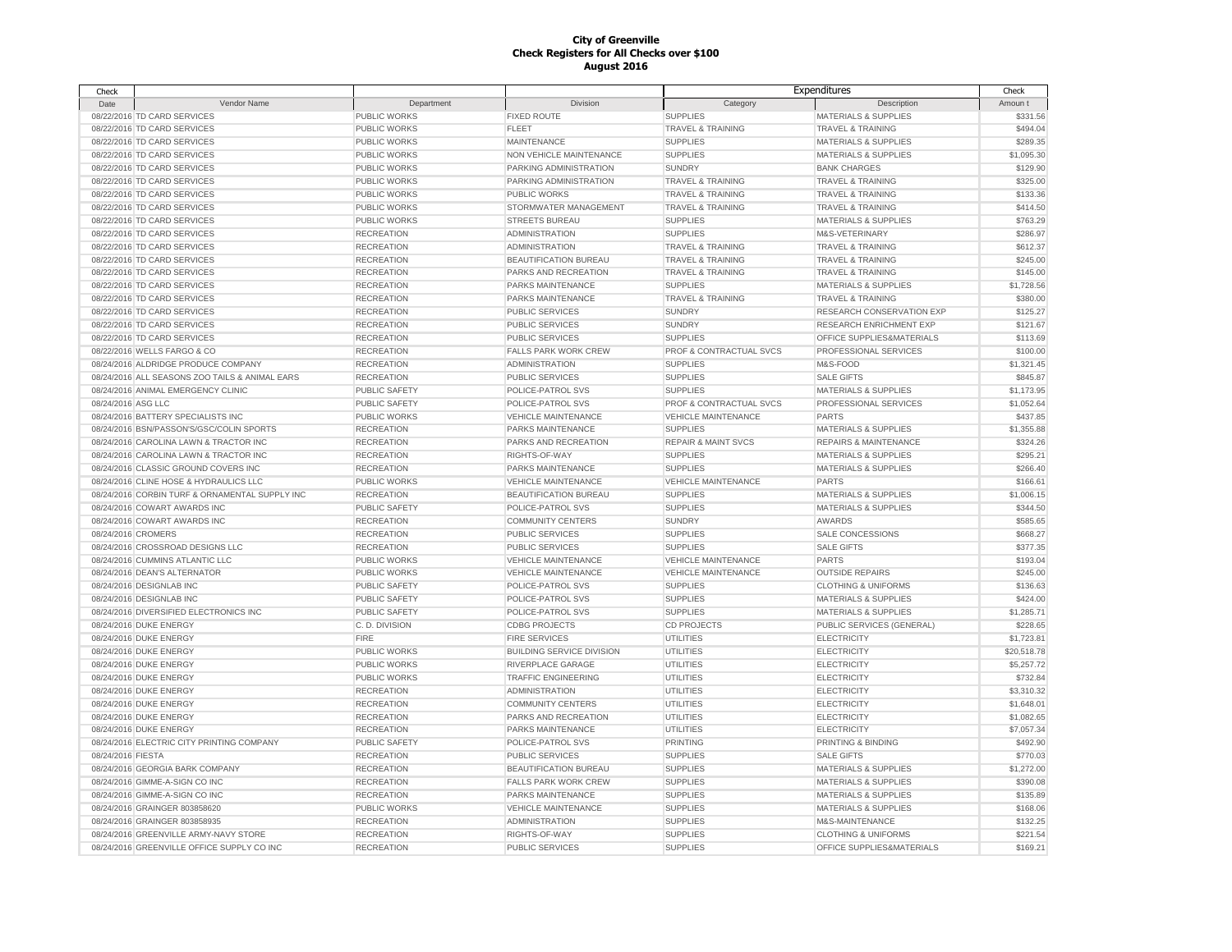| Check              |                                                |                      |                                  | Expenditures                       |                                  | Check       |
|--------------------|------------------------------------------------|----------------------|----------------------------------|------------------------------------|----------------------------------|-------------|
| Date               | Vendor Name                                    | Department           | Division                         | Category                           | Description                      | Amoun t     |
|                    | 08/22/2016 TD CARD SERVICES                    | PUBLIC WORKS         | <b>FIXED ROUTE</b>               | <b>SUPPLIES</b>                    | <b>MATERIALS &amp; SUPPLIES</b>  | \$331.56    |
|                    | 08/22/2016 TD CARD SERVICES                    | PUBLIC WORKS         | FLEET                            | <b>TRAVEL &amp; TRAINING</b>       | <b>TRAVEL &amp; TRAINING</b>     | \$494.04    |
|                    | 08/22/2016 TD CARD SERVICES                    | PUBLIC WORKS         | <b>MAINTENANCE</b>               | <b>SUPPLIES</b>                    | <b>MATERIALS &amp; SUPPLIES</b>  | \$289.35    |
|                    | 08/22/2016 TD CARD SERVICES                    | PUBLIC WORKS         | NON VEHICLE MAINTENANCE          | <b>SUPPLIES</b>                    | <b>MATERIALS &amp; SUPPLIES</b>  | \$1,095.30  |
|                    | 08/22/2016 TD CARD SERVICES                    | <b>PUBLIC WORKS</b>  | PARKING ADMINISTRATION           | <b>SUNDRY</b>                      | <b>BANK CHARGES</b>              | \$129.90    |
|                    | 08/22/2016 TD CARD SERVICES                    | PUBLIC WORKS         | PARKING ADMINISTRATION           | <b>TRAVEL &amp; TRAINING</b>       | <b>TRAVEL &amp; TRAINING</b>     | \$325.00    |
|                    | 08/22/2016 TD CARD SERVICES                    | PUBLIC WORKS         | PUBLIC WORKS                     | <b>TRAVEL &amp; TRAINING</b>       | TRAVEL & TRAINING                | \$133.36    |
|                    | 08/22/2016 TD CARD SERVICES                    | <b>PUBLIC WORKS</b>  | STORMWATER MANAGEMENT            | <b>TRAVEL &amp; TRAINING</b>       | <b>TRAVEL &amp; TRAINING</b>     | \$414.50    |
|                    | 08/22/2016 TD CARD SERVICES                    | PUBLIC WORKS         | <b>STREETS BUREAU</b>            | <b>SUPPLIES</b>                    | <b>MATERIALS &amp; SUPPLIES</b>  | \$763.29    |
|                    | 08/22/2016 TD CARD SERVICES                    | <b>RECREATION</b>    | <b>ADMINISTRATION</b>            | <b>SUPPLIES</b>                    | M&S-VETERINARY                   | \$286.97    |
|                    | 08/22/2016 TD CARD SERVICES                    | <b>RECREATION</b>    | <b>ADMINISTRATION</b>            | <b>TRAVEL &amp; TRAINING</b>       | <b>TRAVEL &amp; TRAINING</b>     | \$612.37    |
|                    |                                                |                      |                                  |                                    |                                  | \$245.00    |
|                    | 08/22/2016 TD CARD SERVICES                    | <b>RECREATION</b>    | BEAUTIFICATION BUREAU            | <b>TRAVEL &amp; TRAINING</b>       | <b>TRAVEL &amp; TRAINING</b>     |             |
|                    | 08/22/2016 TD CARD SERVICES                    | <b>RECREATION</b>    | PARKS AND RECREATION             | <b>TRAVEL &amp; TRAINING</b>       | <b>TRAVEL &amp; TRAINING</b>     | \$145.00    |
|                    | 08/22/2016 TD CARD SERVICES                    | <b>RECREATION</b>    | PARKS MAINTENANCE                | <b>SUPPLIES</b>                    | <b>MATERIALS &amp; SUPPLIES</b>  | \$1,728.56  |
|                    | 08/22/2016 TD CARD SERVICES                    | <b>RECREATION</b>    | PARKS MAINTENANCE                | <b>TRAVEL &amp; TRAINING</b>       | <b>TRAVEL &amp; TRAINING</b>     | \$380.00    |
|                    | 08/22/2016 TD CARD SERVICES                    | <b>RECREATION</b>    | <b>PUBLIC SERVICES</b>           | <b>SUNDRY</b>                      | RESEARCH CONSERVATION EXP        | \$125.27    |
|                    | 08/22/2016 TD CARD SERVICES                    | <b>RECREATION</b>    | PUBLIC SERVICES                  | <b>SUNDRY</b>                      | RESEARCH ENRICHMENT EXP          | \$121.67    |
|                    | 08/22/2016 TD CARD SERVICES                    | <b>RECREATION</b>    | PUBLIC SERVICES                  | <b>SUPPLIES</b>                    | OFFICE SUPPLIES&MATERIALS        | \$113.69    |
|                    | 08/22/2016 WELLS FARGO & CO                    | <b>RECREATION</b>    | <b>FALLS PARK WORK CREW</b>      | PROF & CONTRACTUAL SVCS            | PROFESSIONAL SERVICES            | \$100.00    |
|                    | 08/24/2016 ALDRIDGE PRODUCE COMPANY            | <b>RECREATION</b>    | <b>ADMINISTRATION</b>            | <b>SUPPLIES</b>                    | M&S-FOOD                         | \$1,321.45  |
|                    | 08/24/2016 ALL SEASONS ZOO TAILS & ANIMAL EARS | <b>RECREATION</b>    | <b>PUBLIC SERVICES</b>           | <b>SUPPLIES</b>                    | <b>SALE GIFTS</b>                | \$845.87    |
|                    | 08/24/2016 ANIMAL EMERGENCY CLINIC             | PUBLIC SAFETY        | POLICE-PATROL SVS                | <b>SUPPLIES</b>                    | <b>MATERIALS &amp; SUPPLIES</b>  | \$1,173.95  |
| 08/24/2016 ASG LLC |                                                | PUBLIC SAFETY        | POLICE-PATROL SVS                | PROF & CONTRACTUAL SVCS            | PROFESSIONAL SERVICES            | \$1,052.64  |
|                    | 08/24/2016 BATTERY SPECIALISTS INC             | PUBLIC WORKS         | <b>VEHICLE MAINTENANCE</b>       | <b>VEHICLE MAINTENANCE</b>         | <b>PARTS</b>                     | \$437.85    |
|                    | 08/24/2016 BSN/PASSON'S/GSC/COLIN SPORTS       | <b>RECREATION</b>    | PARKS MAINTENANCE                | <b>SUPPLIES</b>                    | <b>MATERIALS &amp; SUPPLIES</b>  | \$1,355.88  |
|                    | 08/24/2016 CAROLINA LAWN & TRACTOR INC         | <b>RECREATION</b>    | PARKS AND RECREATION             | <b>REPAIR &amp; MAINT SVCS</b>     | <b>REPAIRS &amp; MAINTENANCE</b> | \$324.26    |
|                    | 08/24/2016 CAROLINA LAWN & TRACTOR INC         | <b>RECREATION</b>    | RIGHTS-OF-WAY                    | <b>SUPPLIES</b>                    | <b>MATERIALS &amp; SUPPLIES</b>  | \$295.21    |
|                    | 08/24/2016 CLASSIC GROUND COVERS INC           | <b>RECREATION</b>    | PARKS MAINTENANCE                | <b>SUPPLIES</b>                    | MATERIALS & SUPPLIES             | \$266.40    |
|                    | 08/24/2016 CLINE HOSE & HYDRAULICS LLC         | PUBLIC WORKS         | <b>VEHICLE MAINTENANCE</b>       | <b>VEHICLE MAINTENANCE</b>         | <b>PARTS</b>                     | \$166.61    |
|                    | 08/24/2016 CORBIN TURF & ORNAMENTAL SUPPLY INC | <b>RECREATION</b>    | <b>BEAUTIFICATION BUREAU</b>     | <b>SUPPLIES</b>                    | <b>MATERIALS &amp; SUPPLIES</b>  | \$1,006.15  |
|                    | 08/24/2016 COWART AWARDS INC                   | PUBLIC SAFETY        | POLICE-PATROL SVS                | <b>SUPPLIES</b>                    | <b>MATERIALS &amp; SUPPLIES</b>  | \$344.50    |
|                    | 08/24/2016 COWART AWARDS INC                   | <b>RECREATION</b>    | <b>COMMUNITY CENTERS</b>         | <b>SUNDRY</b>                      | AWARDS                           | \$585.65    |
| 08/24/2016 CROMERS |                                                | <b>RECREATION</b>    | PUBLIC SERVICES                  | <b>SUPPLIES</b>                    | SALE CONCESSIONS                 | \$668.27    |
|                    | 08/24/2016 CROSSROAD DESIGNS LLC               | <b>RECREATION</b>    | <b>PUBLIC SERVICES</b>           | <b>SUPPLIES</b>                    | <b>SALE GIFTS</b>                | \$377.35    |
|                    | 08/24/2016 CUMMINS ATLANTIC LLC                | PUBLIC WORKS         | <b>VEHICLE MAINTENANCE</b>       | <b>VEHICLE MAINTENANCE</b>         | <b>PARTS</b>                     | \$193.04    |
|                    | 08/24/2016 DEAN'S ALTERNATOR                   | PUBLIC WORKS         | <b>VEHICLE MAINTENANCE</b>       | <b>VEHICLE MAINTENANCE</b>         | <b>OUTSIDE REPAIRS</b>           | \$245.00    |
|                    |                                                |                      |                                  |                                    | <b>CLOTHING &amp; UNIFORMS</b>   | \$136.63    |
|                    | 08/24/2016 DESIGNLAB INC                       | <b>PUBLIC SAFETY</b> | POLICE-PATROL SVS                | <b>SUPPLIES</b><br><b>SUPPLIES</b> |                                  | \$424.00    |
|                    | 08/24/2016 DESIGNLAB INC                       | <b>PUBLIC SAFETY</b> | POLICE-PATROL SVS                |                                    | <b>MATERIALS &amp; SUPPLIES</b>  |             |
|                    | 08/24/2016 DIVERSIFIED ELECTRONICS INC         | PUBLIC SAFETY        | POLICE-PATROL SVS                | <b>SUPPLIES</b>                    | <b>MATERIALS &amp; SUPPLIES</b>  | \$1,285.71  |
|                    | 08/24/2016 DUKE ENERGY                         | C.D. DIVISION        | <b>CDBG PROJECTS</b>             | <b>CD PROJECTS</b>                 | PUBLIC SERVICES (GENERAL)        | \$228.65    |
|                    | 08/24/2016 DUKE ENERGY                         | <b>FIRE</b>          | <b>FIRE SERVICES</b>             | UTILITIES                          | <b>ELECTRICITY</b>               | \$1,723.81  |
|                    | 08/24/2016 DUKE ENERGY                         | PUBLIC WORKS         | <b>BUILDING SERVICE DIVISION</b> | UTILITIES                          | <b>ELECTRICITY</b>               | \$20,518.78 |
|                    | 08/24/2016 DUKE ENERGY                         | PUBLIC WORKS         | RIVERPLACE GARAGE                | UTILITIES                          | <b>ELECTRICITY</b>               | \$5,257.72  |
|                    | 08/24/2016 DUKE ENERGY                         | PUBLIC WORKS         | <b>TRAFFIC ENGINEERING</b>       | <b>UTILITIES</b>                   | <b>ELECTRICITY</b>               | \$732.84    |
|                    | 08/24/2016 DUKE ENERGY                         | <b>RECREATION</b>    | <b>ADMINISTRATION</b>            | <b>UTILITIES</b>                   | <b>ELECTRICITY</b>               | \$3,310.32  |
|                    | 08/24/2016 DUKE ENERGY                         | <b>RECREATION</b>    | <b>COMMUNITY CENTERS</b>         | <b>UTILITIES</b>                   | <b>ELECTRICITY</b>               | \$1,648.01  |
|                    | 08/24/2016 DUKE ENERGY                         | <b>RECREATION</b>    | PARKS AND RECREATION             | <b>UTILITIES</b>                   | <b>ELECTRICITY</b>               | \$1,082.65  |
|                    | 08/24/2016 DUKE ENERGY                         | <b>RECREATION</b>    | PARKS MAINTENANCE                | <b>UTILITIES</b>                   | <b>ELECTRICITY</b>               | \$7,057.34  |
|                    | 08/24/2016 ELECTRIC CITY PRINTING COMPANY      | PUBLIC SAFETY        | POLICE-PATROL SVS                | <b>PRINTING</b>                    | PRINTING & BINDING               | \$492.90    |
| 08/24/2016 FIESTA  |                                                | <b>RECREATION</b>    | <b>PUBLIC SERVICES</b>           | <b>SUPPLIES</b>                    | <b>SALE GIFTS</b>                | \$770.03    |
|                    | 08/24/2016 GEORGIA BARK COMPANY                | <b>RECREATION</b>    | <b>BEAUTIFICATION BUREAU</b>     | <b>SUPPLIES</b>                    | <b>MATERIALS &amp; SUPPLIES</b>  | \$1,272.00  |
|                    | 08/24/2016 GIMME-A-SIGN CO INC                 | <b>RECREATION</b>    | <b>FALLS PARK WORK CREW</b>      | <b>SUPPLIES</b>                    | <b>MATERIALS &amp; SUPPLIES</b>  | \$390.08    |
|                    | 08/24/2016 GIMME-A-SIGN CO INC                 | <b>RECREATION</b>    | PARKS MAINTENANCE                | <b>SUPPLIES</b>                    | <b>MATERIALS &amp; SUPPLIES</b>  | \$135.89    |
|                    | 08/24/2016 GRAINGER 803858620                  | PUBLIC WORKS         | <b>VEHICLE MAINTENANCE</b>       | <b>SUPPLIES</b>                    | <b>MATERIALS &amp; SUPPLIES</b>  | \$168.06    |
|                    | 08/24/2016 GRAINGER 803858935                  | <b>RECREATION</b>    | <b>ADMINISTRATION</b>            | <b>SUPPLIES</b>                    | M&S-MAINTENANCE                  | \$132.25    |
|                    | 08/24/2016 GREENVILLE ARMY-NAVY STORE          | <b>RECREATION</b>    | RIGHTS-OF-WAY                    | <b>SUPPLIES</b>                    | <b>CLOTHING &amp; UNIFORMS</b>   | \$221.54    |
|                    | 08/24/2016 GREENVILLE OFFICE SUPPLY CO INC     | <b>RECREATION</b>    | <b>PUBLIC SERVICES</b>           | <b>SUPPLIES</b>                    | OFFICE SUPPLIES&MATERIALS        | \$169.21    |
|                    |                                                |                      |                                  |                                    |                                  |             |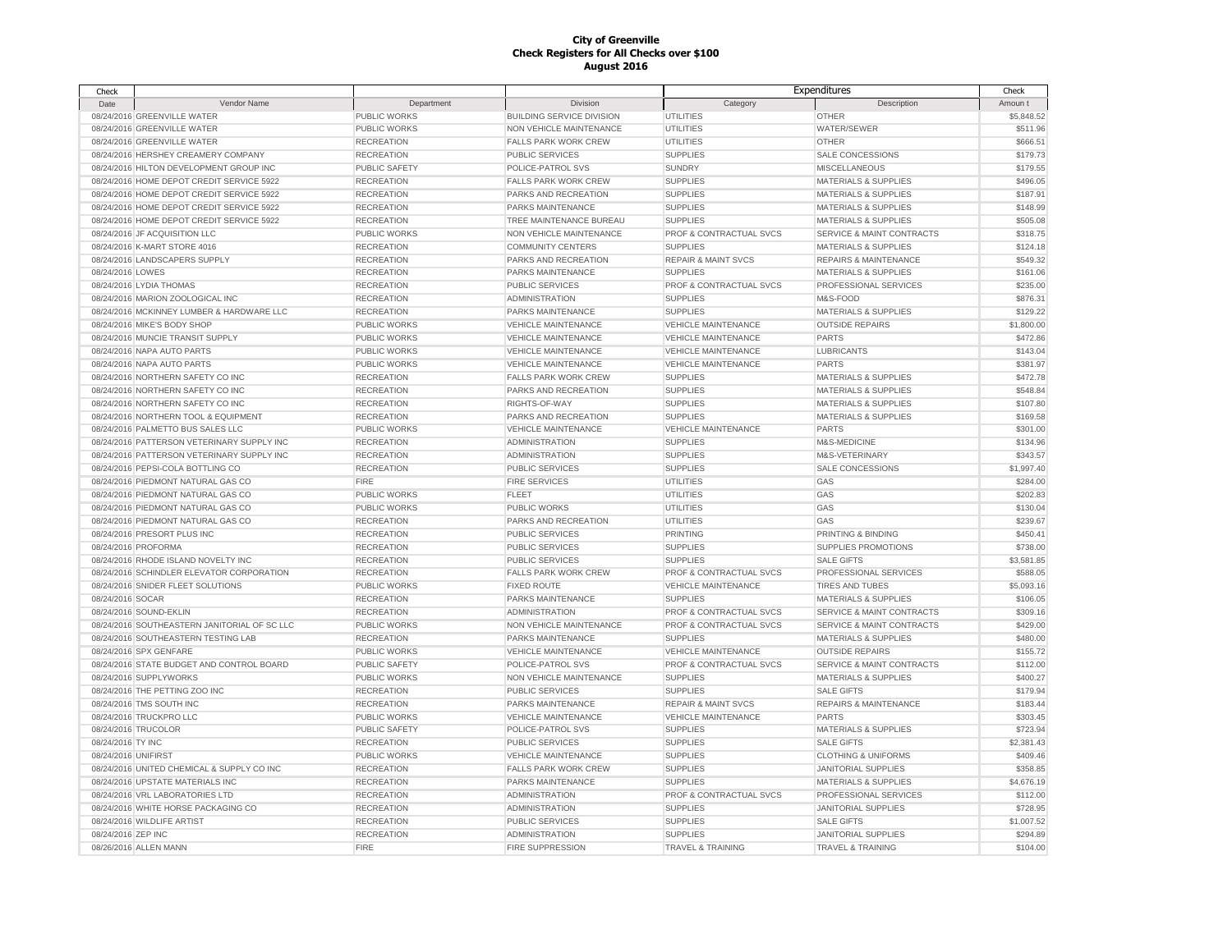| Check               |                                              |                     |                                  | Expenditures                   |                                      | Check      |
|---------------------|----------------------------------------------|---------------------|----------------------------------|--------------------------------|--------------------------------------|------------|
| Date                | Vendor Name                                  | Department          | <b>Division</b>                  | Category                       | Description                          | Amoun t    |
|                     | 08/24/2016 GREENVILLE WATER                  | PUBLIC WORKS        | <b>BUILDING SERVICE DIVISION</b> | <b>UTILITIES</b>               | <b>OTHER</b>                         | \$5,848.52 |
|                     | 08/24/2016 GREENVILLE WATER                  | <b>PUBLIC WORKS</b> | NON VEHICLE MAINTENANCE          | UTILITIES                      | WATER/SEWER                          | \$511.96   |
|                     | 08/24/2016 GREENVILLE WATER                  | <b>RECREATION</b>   | <b>FALLS PARK WORK CREW</b>      | UTILITIES                      | <b>OTHER</b>                         | \$666.51   |
|                     | 08/24/2016 HERSHEY CREAMERY COMPANY          | <b>RECREATION</b>   | <b>PUBLIC SERVICES</b>           | <b>SUPPLIES</b>                | SALE CONCESSIONS                     | \$179.73   |
|                     | 08/24/2016 HILTON DEVELOPMENT GROUP INC      | PUBLIC SAFETY       | POLICE-PATROL SVS                | <b>SUNDRY</b>                  | <b>MISCELLANEOUS</b>                 | \$179.55   |
|                     | 08/24/2016 HOME DEPOT CREDIT SERVICE 5922    | <b>RECREATION</b>   | <b>FALLS PARK WORK CREW</b>      | <b>SUPPLIES</b>                | <b>MATERIALS &amp; SUPPLIES</b>      | \$496.05   |
|                     | 08/24/2016 HOME DEPOT CREDIT SERVICE 5922    | <b>RECREATION</b>   | PARKS AND RECREATION             | <b>SUPPLIES</b>                | <b>MATERIALS &amp; SUPPLIES</b>      | \$187.91   |
|                     | 08/24/2016 HOME DEPOT CREDIT SERVICE 5922    | <b>RECREATION</b>   | PARKS MAINTENANCE                | <b>SUPPLIES</b>                | <b>MATERIALS &amp; SUPPLIES</b>      | \$148.99   |
|                     | 08/24/2016 HOME DEPOT CREDIT SERVICE 5922    | <b>RECREATION</b>   | TREE MAINTENANCE BUREAU          | <b>SUPPLIES</b>                | <b>MATERIALS &amp; SUPPLIES</b>      | \$505.08   |
|                     | 08/24/2016 JF ACQUISITION LLC                | PUBLIC WORKS        | NON VEHICLE MAINTENANCE          | PROF & CONTRACTUAL SVCS        | SERVICE & MAINT CONTRACTS            | \$318.75   |
|                     | 08/24/2016 K-MART STORE 4016                 | <b>RECREATION</b>   | <b>COMMUNITY CENTERS</b>         | <b>SUPPLIES</b>                | <b>MATERIALS &amp; SUPPLIES</b>      | \$124.18   |
|                     | 08/24/2016 LANDSCAPERS SUPPLY                | <b>RECREATION</b>   | PARKS AND RECREATION             | <b>REPAIR &amp; MAINT SVCS</b> | <b>REPAIRS &amp; MAINTENANCE</b>     | \$549.32   |
| 08/24/2016 LOWES    |                                              | <b>RECREATION</b>   | PARKS MAINTENANCE                | <b>SUPPLIES</b>                | <b>MATERIALS &amp; SUPPLIES</b>      | \$161.06   |
|                     | 08/24/2016 LYDIA THOMAS                      | <b>RECREATION</b>   | <b>PUBLIC SERVICES</b>           | PROF & CONTRACTUAL SVCS        | PROFESSIONAL SERVICES                | \$235.00   |
|                     | 08/24/2016 MARION ZOOLOGICAL INC             | <b>RECREATION</b>   | <b>ADMINISTRATION</b>            | <b>SUPPLIES</b>                | M&S-FOOD                             | \$876.31   |
|                     | 08/24/2016 MCKINNEY LUMBER & HARDWARE LLC    | <b>RECREATION</b>   | PARKS MAINTENANCE                | <b>SUPPLIES</b>                | <b>MATERIALS &amp; SUPPLIES</b>      | \$129.22   |
|                     | 08/24/2016 MIKE'S BODY SHOP                  | PUBLIC WORKS        | <b>VEHICLE MAINTENANCE</b>       | <b>VEHICLE MAINTENANCE</b>     | <b>OUTSIDE REPAIRS</b>               | \$1,800.00 |
|                     | 08/24/2016 MUNCIE TRANSIT SUPPLY             | PUBLIC WORKS        | <b>VEHICLE MAINTENANCE</b>       | <b>VEHICLE MAINTENANCE</b>     | <b>PARTS</b>                         | \$472.86   |
|                     | 08/24/2016 NAPA AUTO PARTS                   | PUBLIC WORKS        | <b>VEHICLE MAINTENANCE</b>       | <b>VEHICLE MAINTENANCE</b>     | <b>LUBRICANTS</b>                    | \$143.04   |
|                     | 08/24/2016 NAPA AUTO PARTS                   | PUBLIC WORKS        | <b>VEHICLE MAINTENANCE</b>       | <b>VEHICLE MAINTENANCE</b>     | <b>PARTS</b>                         | \$381.97   |
|                     | 08/24/2016 NORTHERN SAFETY CO INC            | <b>RECREATION</b>   | <b>FALLS PARK WORK CREW</b>      | <b>SUPPLIES</b>                | <b>MATERIALS &amp; SUPPLIES</b>      | \$472.78   |
|                     | 08/24/2016 NORTHERN SAFETY CO INC            | <b>RECREATION</b>   | PARKS AND RECREATION             | <b>SUPPLIES</b>                | <b>MATERIALS &amp; SUPPLIES</b>      | \$548.84   |
|                     | 08/24/2016 NORTHERN SAFETY CO INC            | <b>RECREATION</b>   | RIGHTS-OF-WAY                    | <b>SUPPLIES</b>                | <b>MATERIALS &amp; SUPPLIES</b>      | \$107.80   |
|                     | 08/24/2016 NORTHERN TOOL & EQUIPMENT         | <b>RECREATION</b>   | PARKS AND RECREATION             | <b>SUPPLIES</b>                | <b>MATERIALS &amp; SUPPLIES</b>      | \$169.58   |
|                     | 08/24/2016 PALMETTO BUS SALES LLC            | <b>PUBLIC WORKS</b> | <b>VEHICLE MAINTENANCE</b>       | <b>VEHICLE MAINTENANCE</b>     | <b>PARTS</b>                         | \$301.00   |
|                     | 08/24/2016 PATTERSON VETERINARY SUPPLY INC   | <b>RECREATION</b>   | <b>ADMINISTRATION</b>            | <b>SUPPLIES</b>                | M&S-MEDICINE                         | \$134.96   |
|                     | 08/24/2016 PATTERSON VETERINARY SUPPLY INC   | <b>RECREATION</b>   | <b>ADMINISTRATION</b>            | <b>SUPPLIES</b>                | M&S-VETERINARY                       | \$343.57   |
|                     | 08/24/2016 PEPSI-COLA BOTTLING CO            | <b>RECREATION</b>   | PUBLIC SERVICES                  | <b>SUPPLIES</b>                | SALE CONCESSIONS                     | \$1,997.40 |
|                     | 08/24/2016 PIEDMONT NATURAL GAS CO           | <b>FIRE</b>         | FIRE SERVICES                    | <b>UTILITIES</b>               | GAS                                  | \$284.00   |
|                     | 08/24/2016 PIEDMONT NATURAL GAS CO           | <b>PUBLIC WORKS</b> | <b>FLEET</b>                     | UTILITIES                      | GAS                                  | \$202.83   |
|                     | 08/24/2016 PIEDMONT NATURAL GAS CO           | <b>PUBLIC WORKS</b> | PUBLIC WORKS                     | UTILITIES                      | GAS                                  | \$130.04   |
|                     | 08/24/2016 PIEDMONT NATURAL GAS CO           | <b>RECREATION</b>   | PARKS AND RECREATION             | UTILITIES                      | GAS                                  | \$239.67   |
|                     | 08/24/2016 PRESORT PLUS INC                  | <b>RECREATION</b>   | PUBLIC SERVICES                  | <b>PRINTING</b>                | PRINTING & BINDING                   | \$450.41   |
|                     | 08/24/2016 PROFORMA                          | <b>RECREATION</b>   | <b>PUBLIC SERVICES</b>           | <b>SUPPLIES</b>                | SUPPLIES PROMOTIONS                  | \$738.00   |
|                     | 08/24/2016 RHODE ISLAND NOVELTY INC          | <b>RECREATION</b>   | <b>PUBLIC SERVICES</b>           | <b>SUPPLIES</b>                | <b>SALE GIFTS</b>                    | \$3,581.85 |
|                     | 08/24/2016 SCHINDLER ELEVATOR CORPORATION    | <b>RECREATION</b>   | FALLS PARK WORK CREW             | PROF & CONTRACTUAL SVCS        | PROFESSIONAL SERVICES                | \$588.05   |
|                     | 08/24/2016 SNIDER FLEET SOLUTIONS            | PUBLIC WORKS        | <b>FIXED ROUTE</b>               | <b>VEHICLE MAINTENANCE</b>     | <b>TIRES AND TUBES</b>               | \$5,093.16 |
| 08/24/2016 SOCAR    |                                              | <b>RECREATION</b>   | PARKS MAINTENANCE                | <b>SUPPLIES</b>                | MATERIALS & SUPPLIES                 | \$106.05   |
|                     | 08/24/2016 SOUND-EKLIN                       | <b>RECREATION</b>   | <b>ADMINISTRATION</b>            | PROF & CONTRACTUAL SVCS        | SERVICE & MAINT CONTRACTS            | \$309.16   |
|                     | 08/24/2016 SOUTHEASTERN JANITORIAL OF SC LLC | PUBLIC WORKS        | NON VEHICLE MAINTENANCE          | PROF & CONTRACTUAL SVCS        | <b>SERVICE &amp; MAINT CONTRACTS</b> | \$429.00   |
|                     | 08/24/2016 SOUTHEASTERN TESTING LAB          | <b>RECREATION</b>   | PARKS MAINTENANCE                | <b>SUPPLIES</b>                | MATERIALS & SUPPLIES                 | \$480.00   |
|                     | 08/24/2016 SPX GENFARE                       | PUBLIC WORKS        | <b>VEHICLE MAINTENANCE</b>       | <b>VEHICLE MAINTENANCE</b>     | <b>OUTSIDE REPAIRS</b>               | \$155.72   |
|                     | 08/24/2016 STATE BUDGET AND CONTROL BOARD    | PUBLIC SAFETY       | POLICE-PATROL SVS                | PROF & CONTRACTUAL SVCS        | SERVICE & MAINT CONTRACTS            | \$112.00   |
|                     | 08/24/2016 SUPPLYWORKS                       | PUBLIC WORKS        | NON VEHICLE MAINTENANCE          | <b>SUPPLIES</b>                | <b>MATERIALS &amp; SUPPLIES</b>      | \$400.27   |
|                     | 08/24/2016 THE PETTING ZOO INC               | <b>RECREATION</b>   | PUBLIC SERVICES                  | <b>SUPPLIES</b>                | <b>SALE GIFTS</b>                    | \$179.94   |
|                     | 08/24/2016 TMS SOUTH INC                     | <b>RECREATION</b>   | PARKS MAINTENANCE                | <b>REPAIR &amp; MAINT SVCS</b> | <b>REPAIRS &amp; MAINTENANCE</b>     | \$183.44   |
|                     | 08/24/2016 TRUCKPRO LLC                      | PUBLIC WORKS        | <b>VEHICLE MAINTENANCE</b>       | VEHICLE MAINTENANCE            | PARTS                                | \$303.45   |
| 08/24/2016 TRUCOLOR |                                              | PUBLIC SAFETY       | POLICE-PATROL SVS                | <b>SUPPLIES</b>                | MATERIALS & SUPPLIES                 | \$723.94   |
| 08/24/2016 TY INC   |                                              | <b>RECREATION</b>   | PUBLIC SERVICES                  | <b>SUPPLIES</b>                | <b>SALE GIFTS</b>                    | \$2,381.43 |
| 08/24/2016 UNIFIRST |                                              | PUBLIC WORKS        | <b>VEHICLE MAINTENANCE</b>       | <b>SUPPLIES</b>                | <b>CLOTHING &amp; UNIFORMS</b>       | \$409.46   |
|                     | 08/24/2016 UNITED CHEMICAL & SUPPLY CO INC   | <b>RECREATION</b>   | <b>FALLS PARK WORK CREW</b>      | <b>SUPPLIES</b>                | <b>JANITORIAL SUPPLIES</b>           | \$358.85   |
|                     | 08/24/2016 UPSTATE MATERIALS INC             | <b>RECREATION</b>   | PARKS MAINTENANCE                | <b>SUPPLIES</b>                | <b>MATERIALS &amp; SUPPLIES</b>      | \$4,676.19 |
|                     | 08/24/2016 VRL LABORATORIES LTD              | <b>RECREATION</b>   | <b>ADMINISTRATION</b>            | PROF & CONTRACTUAL SVCS        | PROFESSIONAL SERVICES                | \$112.00   |
|                     | 08/24/2016 WHITE HORSE PACKAGING CO          | <b>RECREATION</b>   | <b>ADMINISTRATION</b>            | <b>SUPPLIES</b>                | <b>JANITORIAL SUPPLIES</b>           | \$728.95   |
|                     | 08/24/2016 WILDLIFE ARTIST                   | <b>RECREATION</b>   | <b>PUBLIC SERVICES</b>           | <b>SUPPLIES</b>                | <b>SALE GIFTS</b>                    | \$1,007.52 |
| 08/24/2016 ZEP INC  |                                              | <b>RECREATION</b>   | <b>ADMINISTRATION</b>            | <b>SUPPLIES</b>                | <b>JANITORIAL SUPPLIES</b>           | \$294.89   |
|                     | 08/26/2016 ALLEN MANN                        | <b>FIRE</b>         | <b>FIRE SUPPRESSION</b>          | <b>TRAVEL &amp; TRAINING</b>   | <b>TRAVEL &amp; TRAINING</b>         | \$104.00   |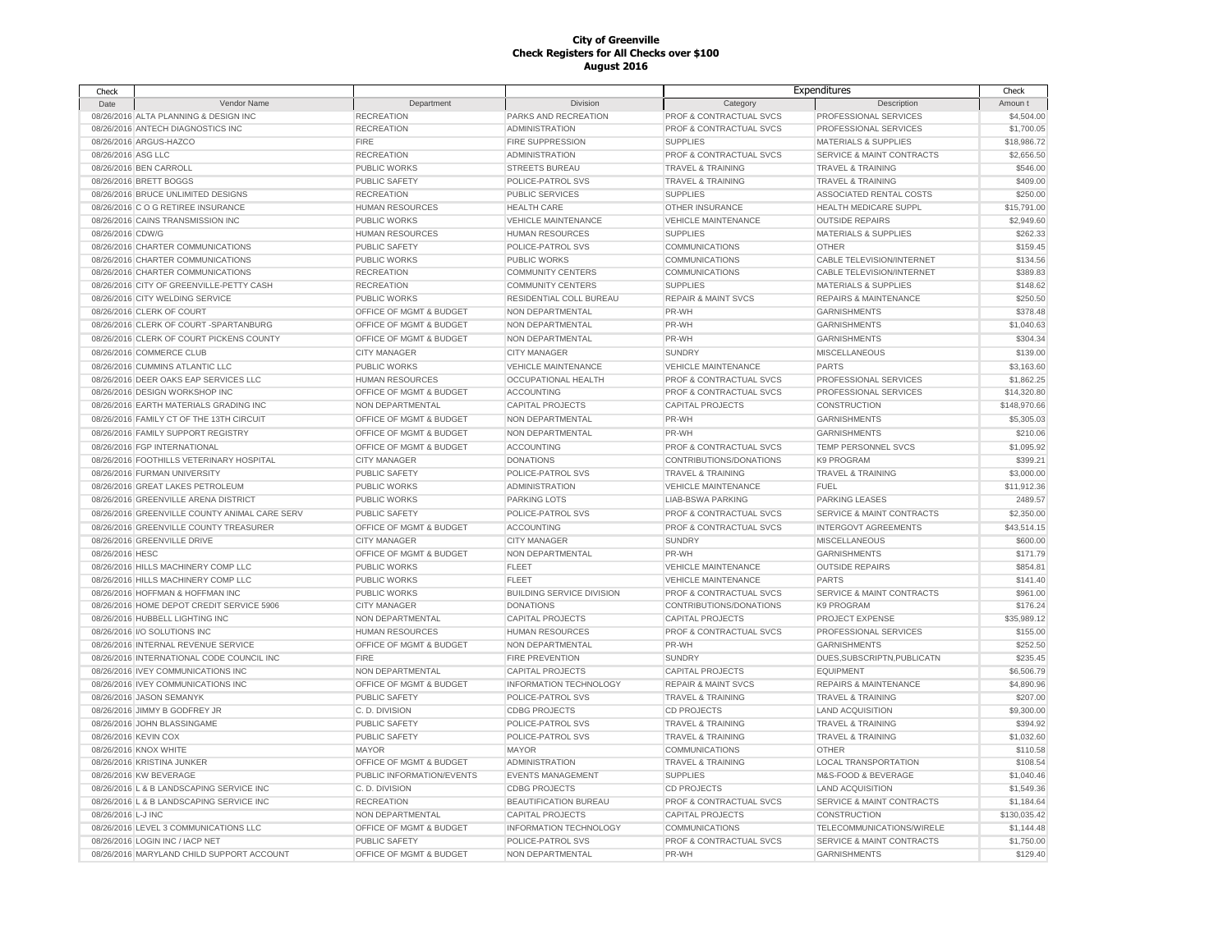| Check                |                                                                         |                                            |                                                  |                                                       | Expenditures                                         | Check                |
|----------------------|-------------------------------------------------------------------------|--------------------------------------------|--------------------------------------------------|-------------------------------------------------------|------------------------------------------------------|----------------------|
| Date                 | Vendor Name                                                             | Department                                 | Division                                         | Category                                              | Description                                          | Amoun t              |
|                      | 08/26/2016 ALTA PLANNING & DESIGN INC                                   | <b>RECREATION</b>                          | PARKS AND RECREATION                             | PROF & CONTRACTUAL SVCS                               | PROFESSIONAL SERVICES                                | \$4,504.00           |
|                      | 08/26/2016 ANTECH DIAGNOSTICS INC                                       | <b>RECREATION</b>                          | <b>ADMINISTRATION</b>                            | PROF & CONTRACTUAL SVCS                               | PROFESSIONAL SERVICES                                | \$1,700.05           |
|                      | 08/26/2016 ARGUS-HAZCO                                                  | <b>FIRE</b>                                | <b>FIRE SUPPRESSION</b>                          | <b>SUPPLIES</b>                                       | <b>MATERIALS &amp; SUPPLIES</b>                      | \$18,986.72          |
| 08/26/2016 ASG LLC   |                                                                         | <b>RECREATION</b>                          | <b>ADMINISTRATION</b>                            | PROF & CONTRACTUAL SVCS                               | SERVICE & MAINT CONTRACTS                            | \$2,656.50           |
|                      | 08/26/2016 BEN CARROLL                                                  | PUBLIC WORKS                               | <b>STREETS BUREAU</b>                            | <b>TRAVEL &amp; TRAINING</b>                          | <b>TRAVEL &amp; TRAINING</b>                         | \$546.00             |
|                      | 08/26/2016 BRETT BOGGS                                                  | PUBLIC SAFETY                              | POLICE-PATROL SVS                                | <b>TRAVEL &amp; TRAINING</b>                          | TRAVEL & TRAINING                                    | \$409.00             |
|                      | 08/26/2016 BRUCE UNLIMITED DESIGNS                                      | <b>RECREATION</b>                          | <b>PUBLIC SERVICES</b>                           | <b>SUPPLIES</b>                                       | ASSOCIATED RENTAL COSTS                              | \$250.00             |
|                      | 08/26/2016 C O G RETIREE INSURANCE                                      | <b>HUMAN RESOURCES</b>                     | <b>HEALTH CARE</b>                               | OTHER INSURANCE                                       | HEALTH MEDICARE SUPPL                                | \$15,791.00          |
|                      | 08/26/2016 CAINS TRANSMISSION INC                                       | PUBLIC WORKS                               | <b>VEHICLE MAINTENANCE</b>                       | <b>VEHICLE MAINTENANCE</b>                            | <b>OUTSIDE REPAIRS</b>                               | \$2,949.60           |
| 08/26/2016 CDW/G     |                                                                         | <b>HUMAN RESOURCES</b>                     | <b>HUMAN RESOURCES</b>                           | <b>SUPPLIES</b>                                       | MATERIALS & SUPPLIES                                 | \$262.33             |
|                      | 08/26/2016 CHARTER COMMUNICATIONS                                       | PUBLIC SAFETY                              | POLICE-PATROL SVS                                | <b>COMMUNICATIONS</b>                                 | <b>OTHER</b>                                         | \$159.45             |
|                      | 08/26/2016 CHARTER COMMUNICATIONS                                       | PUBLIC WORKS                               | <b>PUBLIC WORKS</b>                              | COMMUNICATIONS                                        | CABLE TELEVISION/INTERNET                            | \$134.56             |
|                      | 08/26/2016 CHARTER COMMUNICATIONS                                       | <b>RECREATION</b>                          | <b>COMMUNITY CENTERS</b>                         | <b>COMMUNICATIONS</b>                                 | CABLE TELEVISION/INTERNET                            | \$389.83             |
|                      | 08/26/2016 CITY OF GREENVILLE-PETTY CASH                                | <b>RECREATION</b>                          | <b>COMMUNITY CENTERS</b>                         | <b>SUPPLIES</b>                                       | <b>MATERIALS &amp; SUPPLIES</b>                      | \$148.62             |
|                      | 08/26/2016 CITY WELDING SERVICE                                         | PUBLIC WORKS                               | RESIDENTIAL COLL BUREAU                          | <b>REPAIR &amp; MAINT SVCS</b>                        | REPAIRS & MAINTENANCE                                | \$250.50             |
|                      | 08/26/2016 CLERK OF COURT                                               | OFFICE OF MGMT & BUDGET                    | NON DEPARTMENTAL                                 | PR-WH                                                 | <b>GARNISHMENTS</b>                                  | \$378.48             |
|                      | 08/26/2016 CLERK OF COURT -SPARTANBURG                                  | OFFICE OF MGMT & BUDGET                    | NON DEPARTMENTAL                                 | PR-WH                                                 | <b>GARNISHMENTS</b>                                  | \$1,040.63           |
|                      | 08/26/2016 CLERK OF COURT PICKENS COUNTY                                | OFFICE OF MGMT & BUDGET                    | NON DEPARTMENTAL                                 | PR-WH                                                 | <b>GARNISHMENTS</b>                                  | \$304.34             |
|                      | 08/26/2016 COMMERCE CLUB                                                | <b>CITY MANAGER</b>                        | <b>CITY MANAGER</b>                              | <b>SUNDRY</b>                                         | <b>MISCELLANEOUS</b>                                 | \$139.00             |
|                      | 08/26/2016 CUMMINS ATLANTIC LLC                                         | PUBLIC WORKS                               | <b>VEHICLE MAINTENANCE</b>                       | <b>VEHICLE MAINTENANCE</b>                            | <b>PARTS</b>                                         | \$3,163.60           |
|                      | 08/26/2016 DEER OAKS EAP SERVICES LLC                                   | <b>HUMAN RESOURCES</b>                     | <b>OCCUPATIONAL HEALTH</b>                       | <b>PROF &amp; CONTRACTUAL SVCS</b>                    | PROFESSIONAL SERVICES                                | \$1,862.25           |
|                      | 08/26/2016 DESIGN WORKSHOP INC                                          | OFFICE OF MGMT & BUDGET                    | ACCOUNTING                                       | PROF & CONTRACTUAL SVCS                               | PROFESSIONAL SERVICES                                | \$14,320.80          |
|                      | 08/26/2016 EARTH MATERIALS GRADING INC                                  | NON DEPARTMENTAL                           | <b>CAPITAL PROJECTS</b>                          | <b>CAPITAL PROJECTS</b>                               | CONSTRUCTION                                         | \$148,970.66         |
|                      | 08/26/2016 FAMILY CT OF THE 13TH CIRCUIT                                | OFFICE OF MGMT & BUDGET                    | NON DEPARTMENTAL                                 | PR-WH                                                 | <b>GARNISHMENTS</b>                                  | \$5,305.03           |
|                      | 08/26/2016 FAMILY SUPPORT REGISTRY                                      | OFFICE OF MGMT & BUDGET                    | NON DEPARTMENTAL                                 | PR-WH                                                 | <b>GARNISHMENTS</b>                                  | \$210.06             |
|                      | 08/26/2016 FGP INTERNATIONAL                                            | OFFICE OF MGMT & BUDGET                    | ACCOUNTING                                       | PROF & CONTRACTUAL SVCS                               | TEMP PERSONNEL SVCS                                  | \$1,095.92           |
|                      | 08/26/2016 FOOTHILLS VETERINARY HOSPITAL                                | <b>CITY MANAGER</b>                        | <b>DONATIONS</b>                                 | CONTRIBUTIONS/DONATIONS                               | <b>K9 PROGRAM</b>                                    | \$399.21             |
|                      | 08/26/2016 FURMAN UNIVERSITY                                            | PUBLIC SAFETY                              | POLICE-PATROL SVS                                | <b>TRAVEL &amp; TRAINING</b>                          | <b>TRAVEL &amp; TRAINING</b>                         | \$3,000.00           |
|                      | 08/26/2016 GREAT LAKES PETROLEUM                                        | <b>PUBLIC WORKS</b>                        | <b>ADMINISTRATION</b>                            | <b>VEHICLE MAINTENANCE</b>                            | <b>FUEL</b>                                          | \$11,912.36          |
|                      | 08/26/2016 GREENVILLE ARENA DISTRICT                                    | PUBLIC WORKS                               | <b>PARKING LOTS</b>                              | <b>LIAB-BSWA PARKING</b>                              | <b>PARKING LEASES</b>                                | 2489.57              |
|                      | 08/26/2016 GREENVILLE COUNTY ANIMAL CARE SERV                           | <b>PUBLIC SAFETY</b>                       | POLICE-PATROL SVS                                | <b>PROF &amp; CONTRACTUAL SVCS</b>                    | <b>SERVICE &amp; MAINT CONTRACTS</b>                 | \$2,350.00           |
|                      |                                                                         |                                            |                                                  |                                                       |                                                      |                      |
|                      | 08/26/2016 GREENVILLE COUNTY TREASURER                                  | OFFICE OF MGMT & BUDGET                    | <b>ACCOUNTING</b>                                | PROF & CONTRACTUAL SVCS                               | <b>INTERGOVT AGREEMENTS</b>                          | \$43,514.15          |
|                      | 08/26/2016 GREENVILLE DRIVE                                             | <b>CITY MANAGER</b>                        | <b>CITY MANAGER</b>                              | <b>SUNDRY</b>                                         | <b>MISCELLANEOUS</b>                                 | \$600.00<br>\$171.79 |
| 08/26/2016 HESC      | 08/26/2016 HILLS MACHINERY COMP LLC                                     | OFFICE OF MGMT & BUDGET<br>PUBLIC WORKS    | NON DEPARTMENTAL<br><b>FLEET</b>                 | PR-WH                                                 | <b>GARNISHMENTS</b>                                  | \$854.81             |
|                      |                                                                         |                                            |                                                  | <b>VEHICLE MAINTENANCE</b>                            | <b>OUTSIDE REPAIRS</b>                               |                      |
|                      | 08/26/2016 HILLS MACHINERY COMP LLC<br>08/26/2016 HOFFMAN & HOFFMAN INC | <b>PUBLIC WORKS</b><br><b>PUBLIC WORKS</b> | <b>FLEET</b><br><b>BUILDING SERVICE DIVISION</b> | <b>VEHICLE MAINTENANCE</b><br>PROF & CONTRACTUAL SVCS | <b>PARTS</b><br><b>SERVICE &amp; MAINT CONTRACTS</b> | \$141.40<br>\$961.00 |
|                      | 08/26/2016 HOME DEPOT CREDIT SERVICE 5906                               | <b>CITY MANAGER</b>                        | <b>DONATIONS</b>                                 | CONTRIBUTIONS/DONATIONS                               | K9 PROGRAM                                           | \$176.24             |
|                      | 08/26/2016 HUBBELL LIGHTING INC                                         | NON DEPARTMENTAL                           | <b>CAPITAL PROJECTS</b>                          | <b>CAPITAL PROJECTS</b>                               | PROJECT EXPENSE                                      | \$35,989.12          |
|                      | 08/26/2016 I/O SOLUTIONS INC                                            | HUMAN RESOURCES                            | <b>HUMAN RESOURCES</b>                           | PROF & CONTRACTUAL SVCS                               | PROFESSIONAL SERVICES                                | \$155.00             |
|                      | 08/26/2016 INTERNAL REVENUE SERVICE                                     | OFFICE OF MGMT & BUDGET                    | NON DEPARTMENTAL                                 |                                                       |                                                      | \$252.50             |
|                      | 08/26/2016 INTERNATIONAL CODE COUNCIL INC                               | <b>FIRE</b>                                | <b>FIRE PREVENTION</b>                           | PR-WH<br><b>SUNDRY</b>                                | <b>GARNISHMENTS</b><br>DUES, SUBSCRIPTN, PUBLICATN   | \$235.45             |
|                      | 08/26/2016 IVEY COMMUNICATIONS INC                                      | NON DEPARTMENTAL                           | <b>CAPITAL PROJECTS</b>                          | <b>CAPITAL PROJECTS</b>                               | <b>EQUIPMENT</b>                                     | \$6,506.79           |
|                      | 08/26/2016 IVEY COMMUNICATIONS INC                                      | OFFICE OF MGMT & BUDGET                    | INFORMATION TECHNOLOGY                           | <b>REPAIR &amp; MAINT SVCS</b>                        | REPAIRS & MAINTENANCE                                | \$4,890.96           |
|                      | 08/26/2016 JASON SEMANYK                                                | PUBLIC SAFETY                              | POLICE-PATROL SVS                                | <b>TRAVEL &amp; TRAINING</b>                          | <b>TRAVEL &amp; TRAINING</b>                         | \$207.00             |
|                      | 08/26/2016 JIMMY B GODFREY JR                                           | C.D. DIVISION                              | <b>CDBG PROJECTS</b>                             | <b>CD PROJECTS</b>                                    | <b>LAND ACQUISITION</b>                              | \$9,300.00           |
|                      | 08/26/2016 JOHN BLASSINGAME                                             | PUBLIC SAFETY                              | POLICE-PATROL SVS                                | <b>TRAVEL &amp; TRAINING</b>                          | <b>TRAVEL &amp; TRAINING</b>                         | \$394.92             |
| 08/26/2016 KEVIN COX |                                                                         | PUBLIC SAFETY                              | POLICE-PATROL SVS                                | <b>TRAVEL &amp; TRAINING</b>                          | TRAVEL & TRAINING                                    | \$1,032.60           |
|                      | 08/26/2016 KNOX WHITE                                                   | <b>MAYOR</b>                               | <b>MAYOR</b>                                     | <b>COMMUNICATIONS</b>                                 | <b>OTHER</b>                                         | \$110.58             |
|                      |                                                                         |                                            |                                                  |                                                       |                                                      |                      |
|                      | 08/26/2016 KRISTINA JUNKER                                              | OFFICE OF MGMT & BUDGET                    | <b>ADMINISTRATION</b>                            | TRAVEL & TRAINING                                     | LOCAL TRANSPORTATION                                 | \$108.54             |
|                      | 08/26/2016 KW BEVERAGE                                                  | PUBLIC INFORMATION/EVENTS                  | <b>EVENTS MANAGEMENT</b>                         | <b>SUPPLIES</b>                                       | M&S-FOOD & BEVERAGE                                  | \$1,040.46           |
|                      | 08/26/2016 L & B LANDSCAPING SERVICE INC                                | C.D. DIVISION                              | <b>CDBG PROJECTS</b>                             | CD PROJECTS                                           | <b>LAND ACQUISITION</b>                              | \$1,549.36           |
|                      | 08/26/2016 L & B LANDSCAPING SERVICE INC                                | <b>RECREATION</b>                          | BEAUTIFICATION BUREAU                            | PROF & CONTRACTUAL SVCS                               | SERVICE & MAINT CONTRACTS                            | \$1,184.64           |
| 08/26/2016 L-J INC   |                                                                         | NON DEPARTMENTAL                           | <b>CAPITAL PROJECTS</b>                          | <b>CAPITAL PROJECTS</b>                               | CONSTRUCTION                                         | \$130,035.42         |
|                      | 08/26/2016 LEVEL 3 COMMUNICATIONS LLC                                   | OFFICE OF MGMT & BUDGET                    | <b>INFORMATION TECHNOLOGY</b>                    | <b>COMMUNICATIONS</b>                                 | TELECOMMUNICATIONS/WIRELE                            | \$1,144.48           |
|                      | 08/26/2016 LOGIN INC / IACP NET                                         | PUBLIC SAFETY                              | POLICE-PATROL SVS                                | PROF & CONTRACTUAL SVCS                               | <b>SERVICE &amp; MAINT CONTRACTS</b>                 | \$1,750.00           |
|                      | 08/26/2016 MARYLAND CHILD SUPPORT ACCOUNT                               | OFFICE OF MGMT & BUDGET                    | NON DEPARTMENTAL                                 | PR-WH                                                 | <b>GARNISHMENTS</b>                                  | \$129.40             |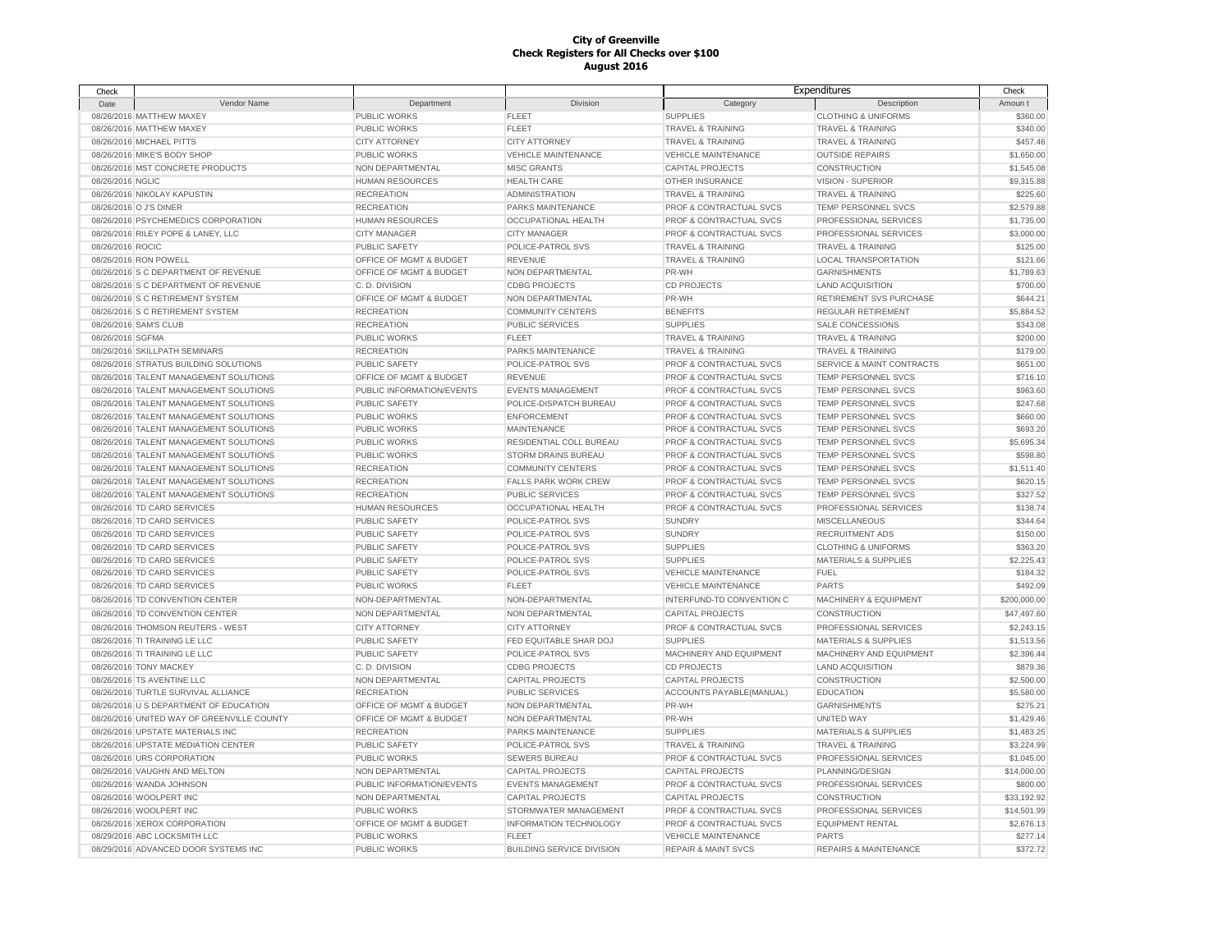| Check            |                                            |                           |                                  |                                | Expenditures                     | Check                |
|------------------|--------------------------------------------|---------------------------|----------------------------------|--------------------------------|----------------------------------|----------------------|
| Date             | Vendor Name                                | Department                | Division                         | Category                       | Description                      | Amoun t              |
|                  | 08/26/2016 MATTHEW MAXEY                   | PUBLIC WORKS              | <b>FLEET</b>                     | <b>SUPPLIES</b>                | <b>CLOTHING &amp; UNIFORMS</b>   | \$360.00             |
|                  | 08/26/2016 MATTHEW MAXEY                   | PUBLIC WORKS              | <b>FLEET</b>                     | <b>TRAVEL &amp; TRAINING</b>   | <b>TRAVEL &amp; TRAINING</b>     | \$340.00             |
|                  | 08/26/2016 MICHAEL PITTS                   | <b>CITY ATTORNEY</b>      | <b>CITY ATTORNEY</b>             | <b>TRAVEL &amp; TRAINING</b>   | <b>TRAVEL &amp; TRAINING</b>     | \$457.46             |
|                  | 08/26/2016 MIKE'S BODY SHOP                | <b>PUBLIC WORKS</b>       | <b>VEHICLE MAINTENANCE</b>       | <b>VEHICLE MAINTENANCE</b>     | <b>OUTSIDE REPAIRS</b>           | \$1,650.00           |
|                  | 08/26/2016 MST CONCRETE PRODUCTS           | NON DEPARTMENTAL          | <b>MISC GRANTS</b>               | <b>CAPITAL PROJECTS</b>        | CONSTRUCTION                     | \$1,545.08           |
| 08/26/2016 NGLIC |                                            | <b>HUMAN RESOURCES</b>    | <b>HEALTH CARE</b>               | OTHER INSURANCE                | VISION - SUPERIOR                | \$9,315.88           |
|                  | 08/26/2016 NIKOLAY KAPUSTIN                | <b>RECREATION</b>         | <b>ADMINISTRATION</b>            | <b>TRAVEL &amp; TRAINING</b>   | <b>TRAVEL &amp; TRAINING</b>     | \$225.60             |
|                  | 08/26/2016 O J'S DINER                     | <b>RECREATION</b>         | PARKS MAINTENANCE                | PROF & CONTRACTUAL SVCS        | TEMP PERSONNEL SVCS              | \$2,579.88           |
|                  | 08/26/2016 PSYCHEMEDICS CORPORATION        | <b>HUMAN RESOURCES</b>    | OCCUPATIONAL HEALTH              | PROF & CONTRACTUAL SVCS        | PROFESSIONAL SERVICES            | \$1,735.00           |
|                  | 08/26/2016 RILEY POPE & LANEY, LLC         | <b>CITY MANAGER</b>       | <b>CITY MANAGER</b>              | PROF & CONTRACTUAL SVCS        | PROFESSIONAL SERVICES            | \$3,000.00           |
| 08/26/2016 ROCIC |                                            | <b>PUBLIC SAFETY</b>      | POLICE-PATROL SVS                | <b>TRAVEL &amp; TRAINING</b>   | <b>TRAVEL &amp; TRAINING</b>     | \$125.00             |
|                  | 08/26/2016 RON POWELL                      | OFFICE OF MGMT & BUDGET   | <b>REVENUE</b>                   | <b>TRAVEL &amp; TRAINING</b>   | LOCAL TRANSPORTATION             | \$121.66             |
|                  | 08/26/2016 S C DEPARTMENT OF REVENUE       | OFFICE OF MGMT & BUDGET   | NON DEPARTMENTAL                 | PR-WH                          | <b>GARNISHMENTS</b>              | \$1,789.63           |
|                  | 08/26/2016 S C DEPARTMENT OF REVENUE       | C.D. DIVISION             | <b>CDBG PROJECTS</b>             | <b>CD PROJECTS</b>             | <b>LAND ACQUISITION</b>          | \$700.00             |
|                  | 08/26/2016 S C RETIREMENT SYSTEM           | OFFICE OF MGMT & BUDGET   | NON DEPARTMENTAL                 | PR-WH                          | RETIREMENT SVS PURCHASE          | \$644.21             |
|                  | 08/26/2016 S C RETIREMENT SYSTEM           | <b>RECREATION</b>         | <b>COMMUNITY CENTERS</b>         | <b>BENEFITS</b>                | REGULAR RETIREMENT               | \$5,884.52           |
|                  | 08/26/2016 SAM'S CLUB                      | <b>RECREATION</b>         | PUBLIC SERVICES                  | <b>SUPPLIES</b>                | <b>SALE CONCESSIONS</b>          | \$343.08             |
| 08/26/2016 SGFMA |                                            | <b>PUBLIC WORKS</b>       | <b>FLEET</b>                     | TRAVEL & TRAINING              | <b>TRAVEL &amp; TRAINING</b>     | \$200.00             |
|                  | 08/26/2016 SKILLPATH SEMINARS              | <b>RECREATION</b>         | PARKS MAINTENANCE                | TRAVEL & TRAINING              | <b>TRAVEL &amp; TRAINING</b>     | \$179.00             |
|                  | 08/26/2016 STRATUS BUILDING SOLUTIONS      | <b>PUBLIC SAFETY</b>      | POLICE-PATROL SVS                | PROF & CONTRACTUAL SVCS        | SERVICE & MAINT CONTRACTS        | \$651.00             |
|                  | 08/26/2016 TALENT MANAGEMENT SOLUTIONS     | OFFICE OF MGMT & BUDGET   | <b>REVENUE</b>                   | PROF & CONTRACTUAL SVCS        | TEMP PERSONNEL SVCS              | \$716.10             |
|                  | 08/26/2016 TALENT MANAGEMENT SOLUTIONS     | PUBLIC INFORMATION/EVENTS | <b>EVENTS MANAGEMENT</b>         | PROF & CONTRACTUAL SVCS        | TEMP PERSONNEL SVCS              | \$963.60             |
|                  | 08/26/2016 TALENT MANAGEMENT SOLUTIONS     | <b>PUBLIC SAFETY</b>      | POLICE-DISPATCH BUREAU           | PROF & CONTRACTUAL SVCS        | TEMP PERSONNEL SVCS              | \$247.68             |
|                  | 08/26/2016 TALENT MANAGEMENT SOLUTIONS     | <b>PUBLIC WORKS</b>       | <b>ENFORCEMENT</b>               | PROF & CONTRACTUAL SVCS        | TEMP PERSONNEL SVCS              | \$660.00             |
|                  | 08/26/2016 TALENT MANAGEMENT SOLUTIONS     | PUBLIC WORKS              | <b>MAINTENANCE</b>               | PROF & CONTRACTUAL SVCS        | <b>TEMP PERSONNEL SVCS</b>       | \$693.20             |
|                  | 08/26/2016 TALENT MANAGEMENT SOLUTIONS     | PUBLIC WORKS              | RESIDENTIAL COLL BUREAU          | PROF & CONTRACTUAL SVCS        | TEMP PERSONNEL SVCS              | \$5,695.34           |
|                  | 08/26/2016 TALENT MANAGEMENT SOLUTIONS     | PUBLIC WORKS              | STORM DRAINS BUREAU              | PROF & CONTRACTUAL SVCS        | <b>TEMP PERSONNEL SVCS</b>       | \$598.80             |
|                  |                                            |                           | <b>COMMUNITY CENTERS</b>         | PROF & CONTRACTUAL SVCS        | TEMP PERSONNEL SVCS              |                      |
|                  | 08/26/2016 TALENT MANAGEMENT SOLUTIONS     | <b>RECREATION</b>         | <b>FALLS PARK WORK CREW</b>      | PROF & CONTRACTUAL SVCS        | TEMP PERSONNEL SVCS              | \$1,511.40           |
|                  | 08/26/2016 TALENT MANAGEMENT SOLUTIONS     | <b>RECREATION</b>         |                                  |                                |                                  | \$620.15<br>\$327.52 |
|                  | 08/26/2016 TALENT MANAGEMENT SOLUTIONS     | <b>RECREATION</b>         | PUBLIC SERVICES                  | PROF & CONTRACTUAL SVCS        | TEMP PERSONNEL SVCS              |                      |
|                  | 08/26/2016 TD CARD SERVICES                | <b>HUMAN RESOURCES</b>    | <b>OCCUPATIONAL HEALTH</b>       | PROF & CONTRACTUAL SVCS        | PROFESSIONAL SERVICES            | \$138.74             |
|                  | 08/26/2016 TD CARD SERVICES                | PUBLIC SAFETY             | POLICE-PATROL SVS                | <b>SUNDRY</b>                  | <b>MISCELLANEOUS</b>             | \$344.64             |
|                  | 08/26/2016 TD CARD SERVICES                | <b>PUBLIC SAFETY</b>      | POLICE-PATROL SVS                | <b>SUNDRY</b>                  | <b>RECRUITMENT ADS</b>           | \$150.00             |
|                  | 08/26/2016 TD CARD SERVICES                | PUBLIC SAFETY             | POLICE-PATROL SVS                | <b>SUPPLIES</b>                | <b>CLOTHING &amp; UNIFORMS</b>   | \$363.20             |
|                  | 08/26/2016 TD CARD SERVICES                | PUBLIC SAFETY             | POLICE-PATROL SVS                | <b>SUPPLIES</b>                | <b>MATERIALS &amp; SUPPLIES</b>  | \$2,225.43           |
|                  | 08/26/2016 TD CARD SERVICES                | PUBLIC SAFETY             | POLICE-PATROL SVS                | <b>VEHICLE MAINTENANCE</b>     | <b>FUEL</b>                      | \$184.32             |
|                  | 08/26/2016 TD CARD SERVICES                | PUBLIC WORKS              | <b>FLEET</b>                     | <b>VEHICLE MAINTENANCE</b>     | <b>PARTS</b>                     | \$492.09             |
|                  | 08/26/2016 TD CONVENTION CENTER            | NON-DEPARTMENTAL          | NON-DEPARTMENTAL                 | INTERFUND-TD CONVENTION C      | <b>MACHINERY &amp; EQUIPMENT</b> | \$200,000.00         |
|                  | 08/26/2016 TD CONVENTION CENTER            | NON DEPARTMENTAL          | NON DEPARTMENTAL                 | <b>CAPITAL PROJECTS</b>        | <b>CONSTRUCTION</b>              | \$47,497.60          |
|                  | 08/26/2016 THOMSON REUTERS - WEST          | <b>CITY ATTORNEY</b>      | <b>CITY ATTORNEY</b>             | PROF & CONTRACTUAL SVCS        | PROFESSIONAL SERVICES            | \$2,243.15           |
|                  | 08/26/2016 TI TRAINING LE LLC              | PUBLIC SAFETY             | FED EQUITABLE SHAR DOJ           | <b>SUPPLIES</b>                | <b>MATERIALS &amp; SUPPLIES</b>  | \$1,513.56           |
|                  | 08/26/2016 TI TRAINING LE LLC              | PUBLIC SAFETY             | POLICE-PATROL SVS                | MACHINERY AND EQUIPMENT        | MACHINERY AND EQUIPMENT          | \$2,396.44           |
|                  | 08/26/2016 TONY MACKEY                     | C.D. DIVISION             | <b>CDBG PROJECTS</b>             | <b>CD PROJECTS</b>             | <b>LAND ACQUISITION</b>          | \$879.36             |
|                  | 08/26/2016 TS AVENTINE LLC                 | NON DEPARTMENTAL          | <b>CAPITAL PROJECTS</b>          | <b>CAPITAL PROJECTS</b>        | CONSTRUCTION                     | \$2,500.00           |
|                  | 08/26/2016 TURTLE SURVIVAL ALLIANCE        | <b>RECREATION</b>         | <b>PUBLIC SERVICES</b>           | ACCOUNTS PAYABLE(MANUAL)       | <b>EDUCATION</b>                 | \$5,580.00           |
|                  | 08/26/2016 U S DEPARTMENT OF EDUCATION     | OFFICE OF MGMT & BUDGET   | NON DEPARTMENTAL                 | PR-WH                          | <b>GARNISHMENTS</b>              | \$275.21             |
|                  | 08/26/2016 UNITED WAY OF GREENVILLE COUNTY | OFFICE OF MGMT & BUDGET   | NON DEPARTMENTAL                 | PR-WH                          | <b>UNITED WAY</b>                | \$1,429.46           |
|                  | 08/26/2016 UPSTATE MATERIALS INC           | <b>RECREATION</b>         | <b>PARKS MAINTENANCE</b>         | <b>SUPPLIES</b>                | <b>MATERIALS &amp; SUPPLIES</b>  | \$1,483.25           |
|                  | 08/26/2016 UPSTATE MEDIATION CENTER        | PUBLIC SAFETY             | POLICE-PATROL SVS                | <b>TRAVEL &amp; TRAINING</b>   | <b>TRAVEL &amp; TRAINING</b>     | \$3,224.99           |
|                  | 08/26/2016 URS CORPORATION                 | PUBLIC WORKS              | <b>SEWERS BUREAU</b>             | PROF & CONTRACTUAL SVCS        | PROFESSIONAL SERVICES            | \$1,045.00           |
|                  | 08/26/2016 VAUGHN AND MELTON               | NON DEPARTMENTAL          | <b>CAPITAL PROJECTS</b>          | <b>CAPITAL PROJECTS</b>        | PLANNING/DESIGN                  | \$14,000.00          |
|                  | 08/26/2016 WANDA JOHNSON                   | PUBLIC INFORMATION/EVENTS | <b>EVENTS MANAGEMENT</b>         | PROF & CONTRACTUAL SVCS        | PROFESSIONAL SERVICES            | \$800.00             |
|                  | 08/26/2016 WOOLPERT INC                    | NON DEPARTMENTAL          | <b>CAPITAL PROJECTS</b>          | <b>CAPITAL PROJECTS</b>        | <b>CONSTRUCTION</b>              | \$33,192.92          |
|                  | 08/26/2016 WOOLPERT INC                    | PUBLIC WORKS              | STORMWATER MANAGEMENT            | PROF & CONTRACTUAL SVCS        | PROFESSIONAL SERVICES            | \$14,501.99          |
|                  | 08/26/2016 XEROX CORPORATION               | OFFICE OF MGMT & BUDGET   | <b>INFORMATION TECHNOLOGY</b>    | PROF & CONTRACTUAL SVCS        | <b>EQUIPMENT RENTAL</b>          | \$2,676.13           |
|                  | 08/29/2016 ABC LOCKSMITH LLC               | PUBLIC WORKS              | <b>FLEET</b>                     | <b>VEHICLE MAINTENANCE</b>     | <b>PARTS</b>                     | \$277.14             |
|                  | 08/29/2016 ADVANCED DOOR SYSTEMS INC       | PUBLIC WORKS              | <b>BUILDING SERVICE DIVISION</b> | <b>REPAIR &amp; MAINT SVCS</b> | <b>REPAIRS &amp; MAINTENANCE</b> | \$372.72             |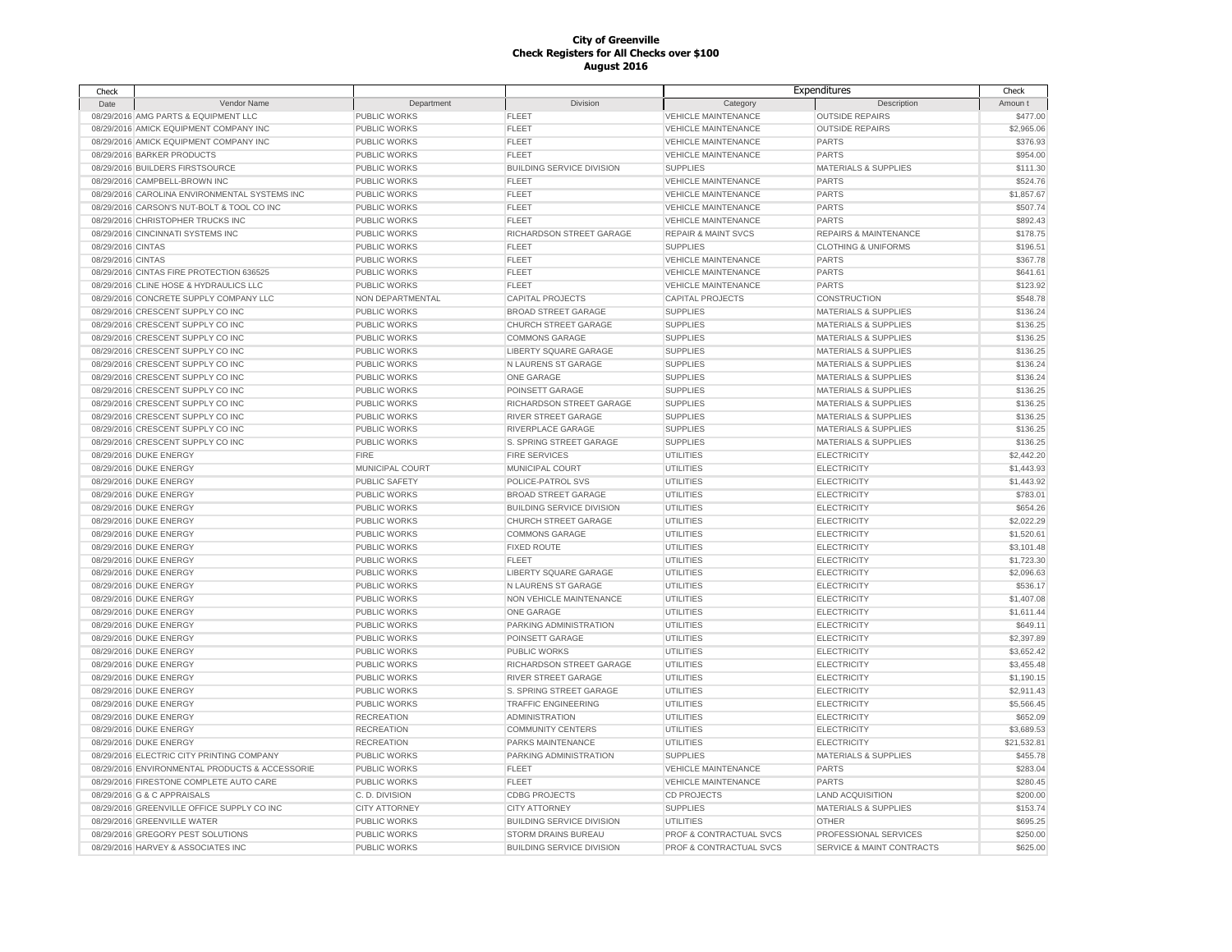| Check             |                                                |                      |                                  | Expenditures                   |                                      | Check       |
|-------------------|------------------------------------------------|----------------------|----------------------------------|--------------------------------|--------------------------------------|-------------|
| Date              | Vendor Name                                    | Department           | <b>Division</b>                  | Category                       | Description                          | Amoun t     |
|                   | 08/29/2016 AMG PARTS & EQUIPMENT LLC           | PUBLIC WORKS         | <b>FLEET</b>                     | <b>VEHICLE MAINTENANCE</b>     | <b>OUTSIDE REPAIRS</b>               | \$477.00    |
|                   | 08/29/2016 AMICK EQUIPMENT COMPANY INC         | <b>PUBLIC WORKS</b>  | <b>FLEET</b>                     | <b>VEHICLE MAINTENANCE</b>     | <b>OUTSIDE REPAIRS</b>               | \$2,965.06  |
|                   | 08/29/2016 AMICK EQUIPMENT COMPANY INC         | <b>PUBLIC WORKS</b>  | <b>FLEET</b>                     | <b>VEHICLE MAINTENANCE</b>     | <b>PARTS</b>                         | \$376.93    |
|                   | 08/29/2016 BARKER PRODUCTS                     | PUBLIC WORKS         | <b>FLEET</b>                     | <b>VEHICLE MAINTENANCE</b>     | <b>PARTS</b>                         | \$954.00    |
|                   | 08/29/2016 BUILDERS FIRSTSOURCE                | PUBLIC WORKS         | <b>BUILDING SERVICE DIVISION</b> | <b>SUPPLIES</b>                | MATERIALS & SUPPLIES                 | \$111.30    |
|                   | 08/29/2016 CAMPBELL-BROWN INC                  | PUBLIC WORKS         | <b>FLEET</b>                     | <b>VEHICLE MAINTENANCE</b>     | <b>PARTS</b>                         | \$524.76    |
|                   | 08/29/2016 CAROLINA ENVIRONMENTAL SYSTEMS INC  | <b>PUBLIC WORKS</b>  | <b>FLEET</b>                     | <b>VEHICLE MAINTENANCE</b>     | <b>PARTS</b>                         | \$1,857.67  |
|                   | 08/29/2016 CARSON'S NUT-BOLT & TOOL CO INC     | <b>PUBLIC WORKS</b>  | <b>FLEET</b>                     | <b>VEHICLE MAINTENANCE</b>     | <b>PARTS</b>                         | \$507.74    |
|                   | 08/29/2016 CHRISTOPHER TRUCKS INC              | <b>PUBLIC WORKS</b>  | <b>FLEET</b>                     | <b>VEHICLE MAINTENANCE</b>     | <b>PARTS</b>                         | \$892.43    |
|                   | 08/29/2016 CINCINNATI SYSTEMS INC              | PUBLIC WORKS         | RICHARDSON STREET GARAGE         | <b>REPAIR &amp; MAINT SVCS</b> | REPAIRS & MAINTENANCE                | \$178.75    |
|                   |                                                |                      | <b>FLEET</b>                     | <b>SUPPLIES</b>                |                                      |             |
| 08/29/2016 CINTAS |                                                | PUBLIC WORKS         |                                  |                                | <b>CLOTHING &amp; UNIFORMS</b>       | \$196.51    |
| 08/29/2016 CINTAS |                                                | PUBLIC WORKS         | <b>FLEET</b>                     | <b>VEHICLE MAINTENANCE</b>     | <b>PARTS</b>                         | \$367.78    |
|                   | 08/29/2016 CINTAS FIRE PROTECTION 636525       | <b>PUBLIC WORKS</b>  | <b>FLEET</b>                     | <b>VEHICLE MAINTENANCE</b>     | <b>PARTS</b>                         | \$641.61    |
|                   | 08/29/2016 CLINE HOSE & HYDRAULICS LLC         | PUBLIC WORKS         | <b>FLEET</b>                     | <b>VEHICLE MAINTENANCE</b>     | <b>PARTS</b>                         | \$123.92    |
|                   | 08/29/2016 CONCRETE SUPPLY COMPANY LLC         | NON DEPARTMENTAL     | <b>CAPITAL PROJECTS</b>          | <b>CAPITAL PROJECTS</b>        | CONSTRUCTION                         | \$548.78    |
|                   | 08/29/2016 CRESCENT SUPPLY CO INC              | <b>PUBLIC WORKS</b>  | <b>BROAD STREET GARAGE</b>       | <b>SUPPLIES</b>                | <b>MATERIALS &amp; SUPPLIES</b>      | \$136.24    |
|                   | 08/29/2016 CRESCENT SUPPLY CO INC              | PUBLIC WORKS         | CHURCH STREET GARAGE             | <b>SUPPLIES</b>                | <b>MATERIALS &amp; SUPPLIES</b>      | \$136.25    |
|                   | 08/29/2016 CRESCENT SUPPLY CO INC              | <b>PUBLIC WORKS</b>  | <b>COMMONS GARAGE</b>            | <b>SUPPLIES</b>                | <b>MATERIALS &amp; SUPPLIES</b>      | \$136.25    |
|                   | 08/29/2016 CRESCENT SUPPLY CO INC              | PUBLIC WORKS         | LIBERTY SQUARE GARAGE            | <b>SUPPLIES</b>                | <b>MATERIALS &amp; SUPPLIES</b>      | \$136.25    |
|                   | 08/29/2016 CRESCENT SUPPLY CO INC              | PUBLIC WORKS         | N LAURENS ST GARAGE              | <b>SUPPLIES</b>                | <b>MATERIALS &amp; SUPPLIES</b>      | \$136.24    |
|                   | 08/29/2016 CRESCENT SUPPLY CO INC              | PUBLIC WORKS         | ONE GARAGE                       | <b>SUPPLIES</b>                | MATERIALS & SUPPLIES                 | \$136.24    |
|                   | 08/29/2016 CRESCENT SUPPLY CO INC              | PUBLIC WORKS         | POINSETT GARAGE                  | <b>SUPPLIES</b>                | <b>MATERIALS &amp; SUPPLIES</b>      | \$136.25    |
|                   | 08/29/2016 CRESCENT SUPPLY CO INC              | PUBLIC WORKS         | RICHARDSON STREET GARAGE         | <b>SUPPLIES</b>                | <b>MATERIALS &amp; SUPPLIES</b>      | \$136.25    |
|                   | 08/29/2016 CRESCENT SUPPLY CO INC              | PUBLIC WORKS         | RIVER STREET GARAGE              | <b>SUPPLIES</b>                | <b>MATERIALS &amp; SUPPLIES</b>      | \$136.25    |
|                   | 08/29/2016 CRESCENT SUPPLY CO INC              | <b>PUBLIC WORKS</b>  | RIVERPLACE GARAGE                | <b>SUPPLIES</b>                | <b>MATERIALS &amp; SUPPLIES</b>      | \$136.25    |
|                   | 08/29/2016 CRESCENT SUPPLY CO INC              | PUBLIC WORKS         | S. SPRING STREET GARAGE          | <b>SUPPLIES</b>                | <b>MATERIALS &amp; SUPPLIES</b>      | \$136.25    |
|                   | 08/29/2016 DUKE ENERGY                         | <b>FIRE</b>          | <b>FIRE SERVICES</b>             | <b>UTILITIES</b>               | <b>ELECTRICITY</b>                   | \$2,442.20  |
|                   | 08/29/2016 DUKE ENERGY                         | MUNICIPAL COURT      | MUNICIPAL COURT                  | UTILITIES                      | <b>ELECTRICITY</b>                   | \$1,443.93  |
|                   | 08/29/2016 DUKE ENERGY                         | <b>PUBLIC SAFETY</b> | POLICE-PATROL SVS                | UTILITIES                      | <b>ELECTRICITY</b>                   | \$1,443.92  |
|                   | 08/29/2016 DUKE ENERGY                         | PUBLIC WORKS         | <b>BROAD STREET GARAGE</b>       | UTILITIES                      | <b>ELECTRICITY</b>                   | \$783.01    |
|                   |                                                |                      |                                  |                                |                                      |             |
|                   | 08/29/2016 DUKE ENERGY                         | PUBLIC WORKS         | <b>BUILDING SERVICE DIVISION</b> | UTILITIES                      | <b>ELECTRICITY</b>                   | \$654.26    |
|                   | 08/29/2016 DUKE ENERGY                         | PUBLIC WORKS         | CHURCH STREET GARAGE             | UTILITIES                      | <b>ELECTRICITY</b>                   | \$2,022.29  |
|                   | 08/29/2016 DUKE ENERGY                         | PUBLIC WORKS         | <b>COMMONS GARAGE</b>            | UTILITIES                      | <b>ELECTRICITY</b>                   | \$1,520.61  |
|                   | 08/29/2016 DUKE ENERGY                         | PUBLIC WORKS         | FIXED ROUTE                      | <b>UTILITIES</b>               | <b>ELECTRICITY</b>                   | \$3,101.48  |
|                   | 08/29/2016 DUKE ENERGY                         | PUBLIC WORKS         | <b>FLEET</b>                     | <b>UTILITIES</b>               | <b>ELECTRICITY</b>                   | \$1,723.30  |
|                   | 08/29/2016 DUKE ENERGY                         | PUBLIC WORKS         | LIBERTY SQUARE GARAGE            | <b>UTILITIES</b>               | <b>ELECTRICITY</b>                   | \$2,096.63  |
|                   | 08/29/2016 DUKE ENERGY                         | PUBLIC WORKS         | N LAURENS ST GARAGE              | <b>UTILITIES</b>               | <b>ELECTRICITY</b>                   | \$536.17    |
|                   | 08/29/2016 DUKE ENERGY                         | PUBLIC WORKS         | NON VEHICLE MAINTENANCE          | <b>UTILITIES</b>               | <b>ELECTRICITY</b>                   | \$1,407.08  |
|                   | 08/29/2016 DUKE ENERGY                         | <b>PUBLIC WORKS</b>  | <b>ONE GARAGE</b>                | UTILITIES                      | <b>ELECTRICITY</b>                   | \$1,611.44  |
|                   | 08/29/2016 DUKE ENERGY                         | <b>PUBLIC WORKS</b>  | PARKING ADMINISTRATION           | UTILITIES                      | <b>ELECTRICITY</b>                   | \$649.11    |
|                   | 08/29/2016 DUKE ENERGY                         | <b>PUBLIC WORKS</b>  | POINSETT GARAGE                  | UTILITIES                      | <b>ELECTRICITY</b>                   | \$2,397.89  |
|                   | 08/29/2016 DUKE ENERGY                         | PUBLIC WORKS         | PUBLIC WORKS                     | UTILITIES                      | <b>ELECTRICITY</b>                   | \$3,652.42  |
|                   | 08/29/2016 DUKE ENERGY                         | PUBLIC WORKS         | RICHARDSON STREET GARAGE         | UTILITIES                      | <b>ELECTRICITY</b>                   | \$3,455.48  |
|                   | 08/29/2016 DUKE ENERGY                         | PUBLIC WORKS         | <b>RIVER STREET GARAGE</b>       | UTILITIES                      | <b>ELECTRICITY</b>                   | \$1,190.15  |
|                   | 08/29/2016 DUKE ENERGY                         | PUBLIC WORKS         | S. SPRING STREET GARAGE          | UTILITIES                      | <b>ELECTRICITY</b>                   | \$2,911.43  |
|                   | 08/29/2016 DUKE ENERGY                         | PUBLIC WORKS         | <b>TRAFFIC ENGINEERING</b>       | UTILITIES                      | <b>ELECTRICITY</b>                   | \$5,566.45  |
|                   | 08/29/2016 DUKE ENERGY                         | <b>RECREATION</b>    | <b>ADMINISTRATION</b>            | <b>UTILITIES</b>               | <b>ELECTRICITY</b>                   | \$652.09    |
|                   | 08/29/2016 DUKE ENERGY                         | <b>RECREATION</b>    | <b>COMMUNITY CENTERS</b>         | UTILITIES                      | <b>ELECTRICITY</b>                   | \$3,689.53  |
|                   | 08/29/2016 DUKE ENERGY                         | <b>RECREATION</b>    | PARKS MAINTENANCE                | <b>UTILITIES</b>               | <b>ELECTRICITY</b>                   | \$21,532.81 |
|                   | 08/29/2016 ELECTRIC CITY PRINTING COMPANY      | PUBLIC WORKS         | PARKING ADMINISTRATION           | <b>SUPPLIES</b>                | MATERIALS & SUPPLIES                 | \$455.78    |
|                   | 08/29/2016 ENVIRONMENTAL PRODUCTS & ACCESSORIE | PUBLIC WORKS         | <b>FLEET</b>                     | <b>VEHICLE MAINTENANCE</b>     | <b>PARTS</b>                         | \$283.04    |
|                   |                                                |                      |                                  |                                |                                      |             |
|                   | 08/29/2016 FIRESTONE COMPLETE AUTO CARE        | <b>PUBLIC WORKS</b>  | <b>FLEET</b>                     | <b>VEHICLE MAINTENANCE</b>     | <b>PARTS</b>                         | \$280.45    |
|                   | 08/29/2016 G & C APPRAISALS                    | C.D. DIVISION        | <b>CDBG PROJECTS</b>             | <b>CD PROJECTS</b>             | <b>LAND ACQUISITION</b>              | \$200.00    |
|                   | 08/29/2016 GREENVILLE OFFICE SUPPLY CO INC     | <b>CITY ATTORNEY</b> | <b>CITY ATTORNEY</b>             | <b>SUPPLIES</b>                | <b>MATERIALS &amp; SUPPLIES</b>      | \$153.74    |
|                   | 08/29/2016 GREENVILLE WATER                    | <b>PUBLIC WORKS</b>  | <b>BUILDING SERVICE DIVISION</b> | <b>UTILITIES</b>               | <b>OTHER</b>                         | \$695.25    |
|                   | 08/29/2016 GREGORY PEST SOLUTIONS              | PUBLIC WORKS         | STORM DRAINS BUREAU              | PROF & CONTRACTUAL SVCS        | PROFESSIONAL SERVICES                | \$250.00    |
|                   | 08/29/2016 HARVEY & ASSOCIATES INC             | PUBLIC WORKS         | <b>BUILDING SERVICE DIVISION</b> | PROF & CONTRACTUAL SVCS        | <b>SERVICE &amp; MAINT CONTRACTS</b> | \$625.00    |